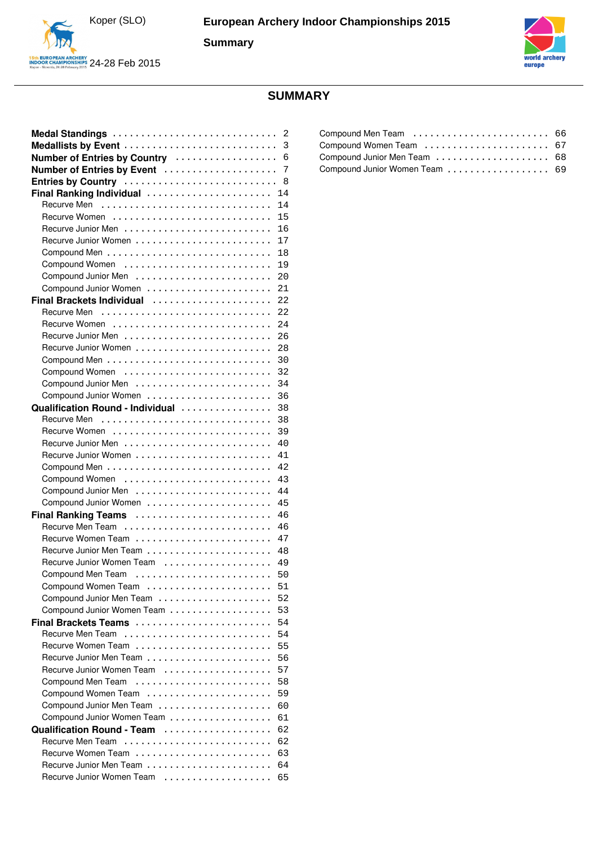

europ

# **SUMMARY**

| Medal Standings                  | 2  |
|----------------------------------|----|
| Medallists by Event              | 3  |
| Number of Entries by Country     | 6  |
| Number of Entries by Event       | 7  |
|                                  | 8  |
| Entries by Country               |    |
| Final Ranking Individual         | 14 |
|                                  | 14 |
|                                  | 15 |
|                                  | 16 |
|                                  | 17 |
|                                  | 18 |
| Compound Women                   | 19 |
|                                  | 20 |
|                                  | 21 |
| Final Brackets Individual        | 22 |
|                                  | 22 |
|                                  | 24 |
|                                  | 26 |
|                                  | 28 |
|                                  | 30 |
| Compound Women                   | 32 |
|                                  | 34 |
| Compound Junior Women            | 36 |
| Qualification Round - Individual | 38 |
| Recurve Men                      | 38 |
|                                  | 39 |
|                                  | 40 |
|                                  | 41 |
|                                  | 42 |
| Compound Women                   | 43 |
|                                  | 44 |
| Compound Junior Women            | 45 |
| Final Ranking Teams              | 46 |
|                                  | 46 |
|                                  | 47 |
|                                  | 48 |
|                                  |    |
| Recurve Junior Women Team        | 49 |
|                                  | 50 |
| Compound Women Team              | 51 |
|                                  | 52 |
| Compound Junior Women Team       | 53 |
| <b>Final Brackets Teams</b>      | 54 |
| Recurve Men Team                 | 54 |
|                                  | 55 |
| Recurve Junior Men Team          | 56 |
| Recurve Junior Women Team        | 57 |
| Compound Men Team                | 58 |
| Compound Women Team              | 59 |
|                                  | 60 |
| Compound Junior Women Team       | 61 |
| Qualification Round - Team       | 62 |
| Recurve Men Team                 | 62 |
|                                  | 63 |
|                                  | 64 |
| Recurve Junior Women Team        | 65 |

| Compound Women Team  67        |  |
|--------------------------------|--|
| Compound Junior Men Team  68   |  |
| Compound Junior Women Team  69 |  |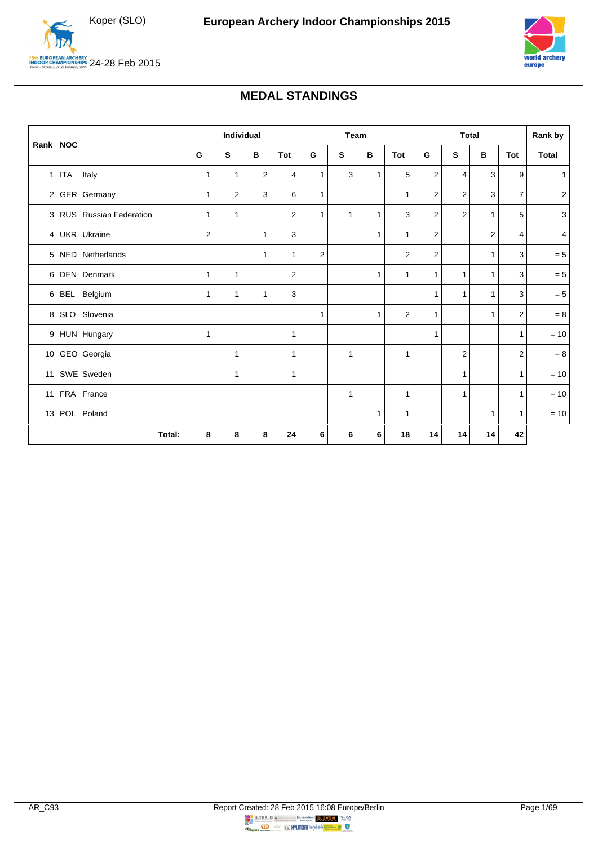<span id="page-1-0"></span>



### **MEDAL STANDINGS**

| Rank   NOC      |                          | Individual              |                | Team         |            |                | <b>Total</b> |              |                | Rank by                 |                |                |                |                |
|-----------------|--------------------------|-------------------------|----------------|--------------|------------|----------------|--------------|--------------|----------------|-------------------------|----------------|----------------|----------------|----------------|
|                 |                          | G                       | S              | B            | <b>Tot</b> | G              | S            | В            | Tot            | G                       | S              | в              | <b>Tot</b>     | <b>Total</b>   |
| $\mathbf{1}$    | ITA Italy                | 1                       | $\mathbf{1}$   | 2            | 4          | $\mathbf{1}$   | 3            | $\mathbf{1}$ | 5              | 2                       | 4              | 3              | 9              | 1              |
|                 | 2 GER Germany            | $\mathbf{1}$            | $\overline{2}$ | 3            | 6          | $\mathbf{1}$   |              |              | $\mathbf{1}$   | $\overline{\mathbf{c}}$ | $\overline{2}$ | 3              | $\overline{7}$ | $\overline{c}$ |
|                 | 3 RUS Russian Federation | 1                       | 1              |              | 2          | $\mathbf{1}$   | 1            | 1            | 3              | $\overline{2}$          | $\overline{2}$ | $\mathbf{1}$   | 5              | $\mathbf{3}$   |
| 4 <sup>1</sup>  | UKR Ukraine              | $\overline{\mathbf{c}}$ |                | $\mathbf{1}$ | 3          |                |              | $\mathbf{1}$ | $\mathbf{1}$   | $\overline{c}$          |                | $\overline{2}$ | $\overline{4}$ | 4 <sup>1</sup> |
| 5 <sup>1</sup>  | NED Netherlands          |                         |                | 1            | 1          | $\overline{2}$ |              |              | $\overline{c}$ | $\overline{c}$          |                | 1              | 3              | $= 5$          |
| 6               | <b>DEN</b> Denmark       | 1                       | 1              |              | 2          |                |              | 1            | $\mathbf{1}$   | 1                       | $\mathbf{1}$   | $\mathbf{1}$   | 3              | $= 5$          |
| 6               | BEL Belgium              | $\mathbf{1}$            | $\mathbf{1}$   | 1            | 3          |                |              |              |                | 1                       | $\mathbf{1}$   | $\mathbf{1}$   | 3              | $= 5$          |
| 8 <sup>1</sup>  | SLO Slovenia             |                         |                |              |            | 1              |              | 1            | $\overline{2}$ | $\mathbf{1}$            |                | 1              | $\overline{2}$ | $=8\,$         |
|                 | 9 HUN Hungary            | 1                       |                |              | 1          |                |              |              |                | $\mathbf{1}$            |                |                | $\mathbf{1}$   | $= 10$         |
|                 | 10 GEO Georgia           |                         | 1              |              | 1          |                | 1            |              | $\mathbf{1}$   |                         | $\overline{2}$ |                | 2              | $=8\,$         |
| 11 <sup>1</sup> | SWE Sweden               |                         | 1              |              | 1          |                |              |              |                |                         | $\mathbf{1}$   |                | $\mathbf{1}$   | $= 10$         |
| 11 <sup>1</sup> | FRA France               |                         |                |              |            |                | 1            |              | $\mathbf{1}$   |                         | $\mathbf{1}$   |                | $\mathbf{1}$   | $= 10$         |
|                 | 13 POL Poland            |                         |                |              |            |                |              | 1            | $\mathbf{1}$   |                         |                | 1              | $\mathbf{1}$   | $= 10$         |
|                 | Total:                   | 8                       | 8              | 8            | 24         | 6              | 6            | 6            | 18             | 14                      | 14             | 14             | 42             |                |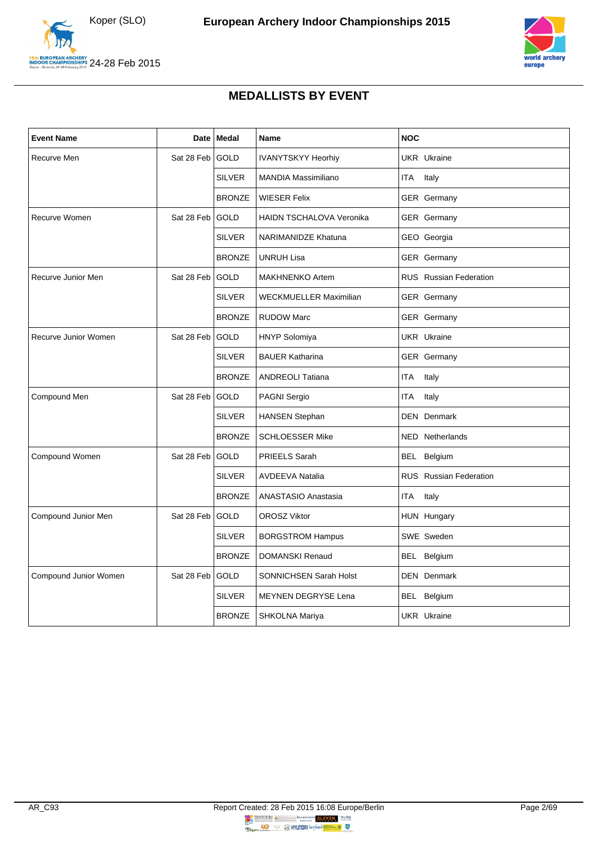



### **MEDALLISTS BY EVENT**

<span id="page-2-0"></span>

| <b>Event Name</b>     | Date       | <b>Medal</b>  | <b>Name</b>                     | <b>NOC</b>                    |
|-----------------------|------------|---------------|---------------------------------|-------------------------------|
| Recurve Men           | Sat 28 Feb | <b>GOLD</b>   | <b>IVANYTSKYY Heorhiy</b>       | <b>UKR</b> Ukraine            |
|                       |            | <b>SILVER</b> | <b>MANDIA Massimiliano</b>      | ITA<br>Italy                  |
|                       |            | <b>BRONZE</b> | <b>WIESER Felix</b>             | GER Germany                   |
| Recurve Women         | Sat 28 Feb | <b>GOLD</b>   | <b>HAIDN TSCHALOVA Veronika</b> | GER Germany                   |
|                       |            | <b>SILVER</b> | <b>NARIMANIDZE Khatuna</b>      | GEO Georgia                   |
|                       |            | <b>BRONZE</b> | <b>UNRUH Lisa</b>               | GER Germany                   |
| Recurve Junior Men    | Sat 28 Feb | GOLD          | <b>MAKHNENKO Artem</b>          | <b>RUS</b> Russian Federation |
|                       |            | <b>SILVER</b> | <b>WECKMUELLER Maximilian</b>   | GER Germany                   |
|                       |            | <b>BRONZE</b> | <b>RUDOW Marc</b>               | <b>GER</b> Germany            |
| Recurve Junior Women  | Sat 28 Feb | <b>GOLD</b>   | <b>HNYP Solomiya</b>            | <b>UKR</b> Ukraine            |
|                       |            | <b>SILVER</b> | <b>BAUER Katharina</b>          | <b>GER</b> Germany            |
|                       |            | <b>BRONZE</b> | <b>ANDREOLI Tatiana</b>         | <b>ITA</b><br>Italy           |
| Compound Men          | Sat 28 Feb | <b>GOLD</b>   | PAGNI Sergio                    | <b>ITA</b><br>Italy           |
|                       |            | <b>SILVER</b> | <b>HANSEN Stephan</b>           | <b>DEN</b> Denmark            |
|                       |            | <b>BRONZE</b> | <b>SCHLOESSER Mike</b>          | NED Netherlands               |
| Compound Women        | Sat 28 Feb | <b>GOLD</b>   | PRIEELS Sarah                   | BEL Belgium                   |
|                       |            | <b>SILVER</b> | <b>AVDEEVA Natalia</b>          | <b>RUS</b> Russian Federation |
|                       |            | <b>BRONZE</b> | ANASTASIO Anastasia             | ITA<br>Italy                  |
| Compound Junior Men   | Sat 28 Feb | <b>GOLD</b>   | <b>OROSZ Viktor</b>             | HUN Hungary                   |
|                       |            | <b>SILVER</b> | <b>BORGSTROM Hampus</b>         | SWE Sweden                    |
|                       |            | <b>BRONZE</b> | <b>DOMANSKI Renaud</b>          | BEL Belgium                   |
| Compound Junior Women | Sat 28 Feb | <b>GOLD</b>   | SONNICHSEN Sarah Holst          | <b>DEN</b> Denmark            |
|                       |            | <b>SILVER</b> | MEYNEN DEGRYSE Lena             | BEL Belgium                   |
|                       |            | <b>BRONZE</b> | SHKOLNA Mariya                  | <b>UKR</b> Ukraine            |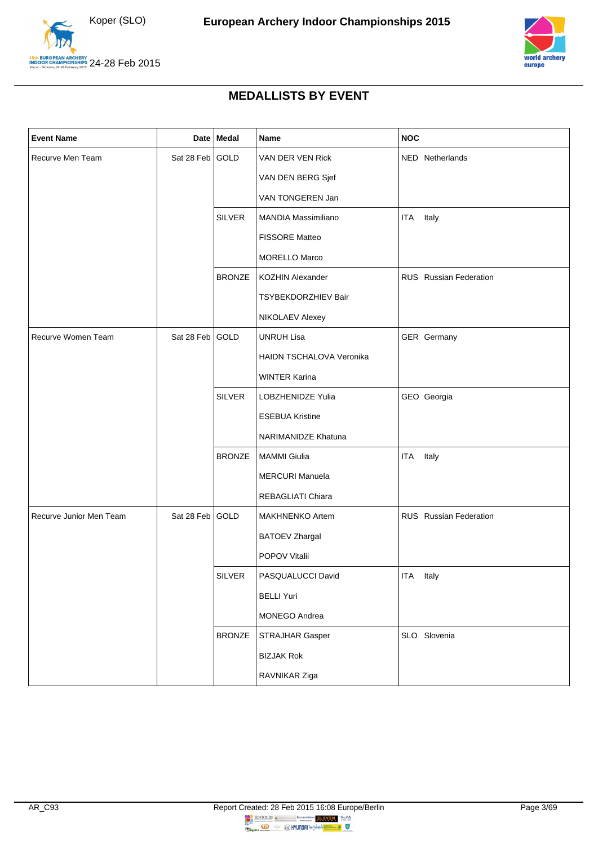



### **MEDALLISTS BY EVENT**

| <b>Event Name</b>       |                 | Date Medal    | Name                            | <b>NOC</b>             |
|-------------------------|-----------------|---------------|---------------------------------|------------------------|
| Recurve Men Team        | Sat 28 Feb GOLD |               | VAN DER VEN Rick                | NED Netherlands        |
|                         |                 |               | VAN DEN BERG Sjef               |                        |
|                         |                 |               | VAN TONGEREN Jan                |                        |
|                         |                 | <b>SILVER</b> | <b>MANDIA Massimiliano</b>      | Italy<br>ITA           |
|                         |                 |               | FISSORE Matteo                  |                        |
|                         |                 |               | <b>MORELLO Marco</b>            |                        |
|                         |                 | <b>BRONZE</b> | <b>KOZHIN Alexander</b>         | RUS Russian Federation |
|                         |                 |               | TSYBEKDORZHIEV Bair             |                        |
|                         |                 |               | NIKOLAEV Alexey                 |                        |
| Recurve Women Team      | Sat 28 Feb GOLD |               | <b>UNRUH Lisa</b>               | GER Germany            |
|                         |                 |               | <b>HAIDN TSCHALOVA Veronika</b> |                        |
|                         |                 |               | <b>WINTER Karina</b>            |                        |
|                         |                 | <b>SILVER</b> | LOBZHENIDZE Yulia               | GEO Georgia            |
|                         |                 |               | <b>ESEBUA Kristine</b>          |                        |
|                         |                 |               | NARIMANIDZE Khatuna             |                        |
|                         |                 | <b>BRONZE</b> | <b>MAMMI Giulia</b>             | Italy<br><b>ITA</b>    |
|                         |                 |               | <b>MERCURI Manuela</b>          |                        |
|                         |                 |               | REBAGLIATI Chiara               |                        |
| Recurve Junior Men Team | Sat 28 Feb GOLD |               | <b>MAKHNENKO Artem</b>          | RUS Russian Federation |
|                         |                 |               | <b>BATOEV Zhargal</b>           |                        |
|                         |                 |               | POPOV Vitalii                   |                        |
|                         |                 | <b>SILVER</b> | PASQUALUCCI David               | ITA<br>Italy           |
|                         |                 |               | <b>BELLI Yuri</b>               |                        |
|                         |                 |               | MONEGO Andrea                   |                        |
|                         |                 | <b>BRONZE</b> | STRAJHAR Gasper                 | SLO Slovenia           |
|                         |                 |               | <b>BIZJAK Rok</b>               |                        |
|                         |                 |               | RAVNIKAR Ziga                   |                        |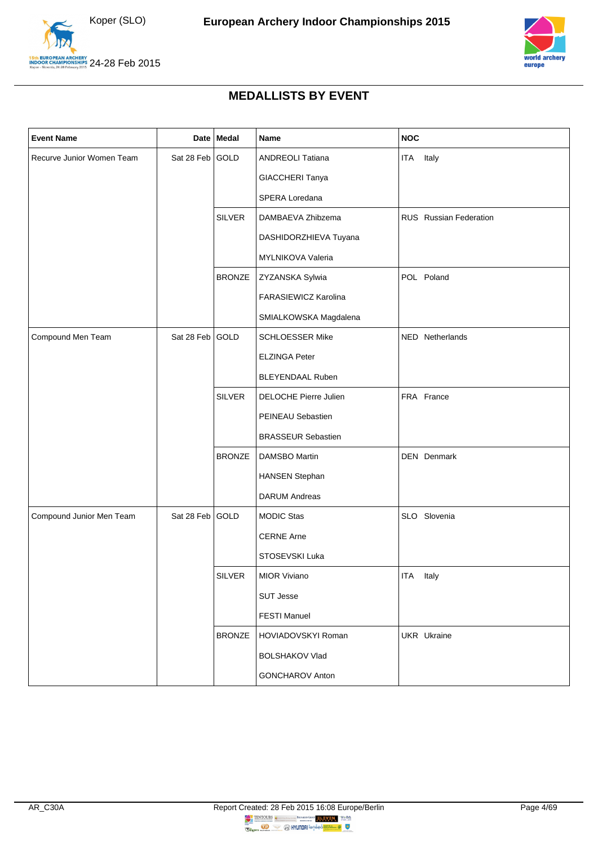



### **MEDALLISTS BY EVENT**

| <b>Event Name</b>         |                 | Date Medal    | Name                      | <b>NOC</b>             |
|---------------------------|-----------------|---------------|---------------------------|------------------------|
| Recurve Junior Women Team | Sat 28 Feb      | GOLD          | <b>ANDREOLI Tatiana</b>   | ITA<br>Italy           |
|                           |                 |               | GIACCHERI Tanya           |                        |
|                           |                 |               | SPERA Loredana            |                        |
|                           |                 | <b>SILVER</b> | DAMBAEVA Zhibzema         | RUS Russian Federation |
|                           |                 |               | DASHIDORZHIEVA Tuyana     |                        |
|                           |                 |               | MYLNIKOVA Valeria         |                        |
|                           |                 | <b>BRONZE</b> | ZYZANSKA Sylwia           | POL Poland             |
|                           |                 |               | FARASIEWICZ Karolina      |                        |
|                           |                 |               | SMIALKOWSKA Magdalena     |                        |
| Compound Men Team         | Sat 28 Feb GOLD |               | <b>SCHLOESSER Mike</b>    | NED Netherlands        |
|                           |                 |               | <b>ELZINGA Peter</b>      |                        |
|                           |                 |               | <b>BLEYENDAAL Ruben</b>   |                        |
|                           |                 | <b>SILVER</b> | DELOCHE Pierre Julien     | FRA France             |
|                           |                 |               | PEINEAU Sebastien         |                        |
|                           |                 |               | <b>BRASSEUR Sebastien</b> |                        |
|                           |                 | <b>BRONZE</b> | DAMSBO Martin             | DEN Denmark            |
|                           |                 |               | <b>HANSEN Stephan</b>     |                        |
|                           |                 |               | <b>DARUM Andreas</b>      |                        |
| Compound Junior Men Team  | Sat 28 Feb      | GOLD          | <b>MODIC Stas</b>         | SLO Slovenia           |
|                           |                 |               | <b>CERNE Arne</b>         |                        |
|                           |                 |               | STOSEVSKI Luka            |                        |
|                           |                 | <b>SILVER</b> | MIOR Viviano              | <b>ITA</b><br>Italy    |
|                           |                 |               | <b>SUT Jesse</b>          |                        |
|                           |                 |               | <b>FESTI Manuel</b>       |                        |
|                           |                 | <b>BRONZE</b> | HOVIADOVSKYI Roman        | UKR Ukraine            |
|                           |                 |               | <b>BOLSHAKOV Vlad</b>     |                        |
|                           |                 |               | <b>GONCHAROV Anton</b>    |                        |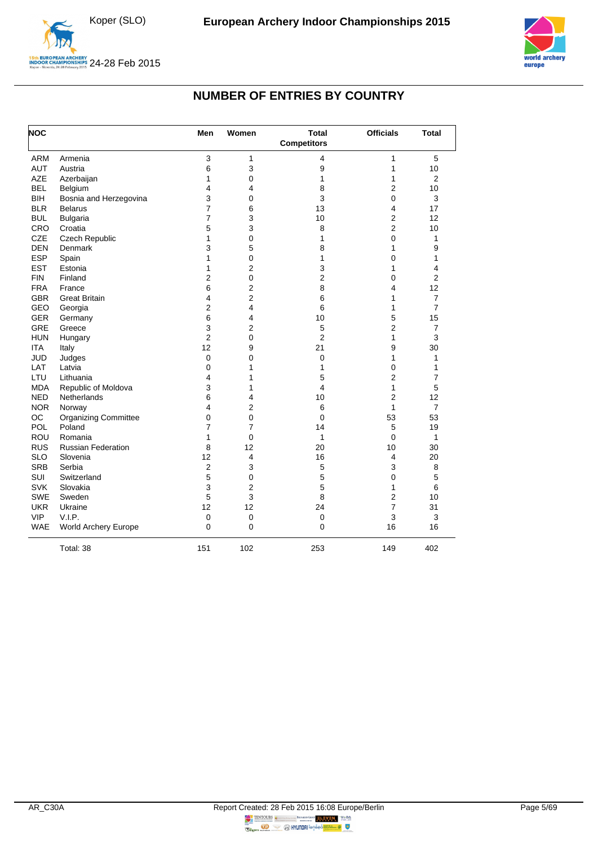



### **NUMBER OF ENTRIES BY COUNTRY**

<span id="page-5-0"></span>

| <b>NOC</b> |                             | Men            | Women          | <b>Total</b><br><b>Competitors</b> | <b>Officials</b>        | <b>Total</b>   |
|------------|-----------------------------|----------------|----------------|------------------------------------|-------------------------|----------------|
| <b>ARM</b> | Armenia                     | 3              | 1              | 4                                  | $\mathbf{1}$            | 5              |
| <b>AUT</b> | Austria                     | 6              | 3              | 9                                  | 1                       | 10             |
| <b>AZE</b> | Azerbaijan                  | 1              | 0              | 1                                  | 1                       | $\overline{2}$ |
| <b>BEL</b> | Belgium                     | 4              | 4              | 8                                  | $\overline{2}$          | 10             |
| <b>BIH</b> | Bosnia and Herzegovina      | 3              | 0              | 3                                  | $\mathbf 0$             | 3              |
| <b>BLR</b> | <b>Belarus</b>              | $\overline{7}$ | 6              | 13                                 | $\overline{\mathbf{4}}$ | 17             |
| <b>BUL</b> | <b>Bulgaria</b>             | $\overline{7}$ | 3              | 10                                 | $\overline{c}$          | 12             |
| CRO        | Croatia                     | 5              | 3              | 8                                  | $\overline{c}$          | 10             |
| <b>CZE</b> | Czech Republic              | 1              | 0              | 1                                  | $\mathbf 0$             | 1              |
| <b>DEN</b> | Denmark                     | 3              | 5              | 8                                  | 1                       | 9              |
| <b>ESP</b> | Spain                       | 1              | 0              | 1                                  | $\Omega$                | 1              |
| <b>EST</b> | Estonia                     | 1              | $\overline{2}$ | 3                                  | 1                       | 4              |
| <b>FIN</b> | Finland                     | 2              | 0              | 2                                  | 0                       | $\overline{c}$ |
| <b>FRA</b> | France                      | 6              | 2              | 8                                  | 4                       | 12             |
| <b>GBR</b> | <b>Great Britain</b>        | 4              | 2              | 6                                  | 1                       | 7              |
| GEO        | Georgia                     | 2              | 4              | 6                                  | 1                       | $\overline{7}$ |
| <b>GER</b> | Germany                     | 6              | 4              | 10                                 | 5                       | 15             |
| <b>GRE</b> | Greece                      | 3              | 2              | 5                                  | 2                       | 7              |
| <b>HUN</b> | Hungary                     | $\overline{2}$ | 0              | $\overline{2}$                     | 1                       | 3              |
| <b>ITA</b> | Italy                       | 12             | 9              | 21                                 | 9                       | 30             |
| <b>JUD</b> | Judges                      | $\mathbf 0$    | 0              | 0                                  | $\mathbf{1}$            | 1              |
| LAT        | Latvia                      | $\mathbf 0$    | 1              | 1                                  | $\mathbf 0$             | 1              |
| LTU        | Lithuania                   | 4              | 1              | 5                                  | $\overline{2}$          | $\overline{7}$ |
| <b>MDA</b> | Republic of Moldova         | 3              | 1              | 4                                  | 1                       | 5              |
| <b>NED</b> | Netherlands                 | 6              | 4              | 10                                 | $\overline{2}$          | 12             |
| <b>NOR</b> | Norway                      | 4              | 2              | 6                                  | $\mathbf{1}$            | $\overline{7}$ |
| OC         | <b>Organizing Committee</b> | 0              | 0              | 0                                  | 53                      | 53             |
| POL        | Poland                      | 7              | $\overline{7}$ | 14                                 | 5                       | 19             |
| ROU        | Romania                     | 1              | 0              | 1                                  | $\mathbf 0$             | 1              |
| <b>RUS</b> | <b>Russian Federation</b>   | 8              | 12             | 20                                 | 10                      | 30             |
| <b>SLO</b> | Slovenia                    | 12             | 4              | 16                                 | $\overline{4}$          | 20             |
| <b>SRB</b> | Serbia                      | $\overline{2}$ | 3              | 5                                  | 3                       | 8              |
| <b>SUI</b> | Switzerland                 | 5              | 0              | 5                                  | $\mathbf 0$             | 5              |
| <b>SVK</b> | Slovakia                    | 3              | $\overline{2}$ | 5                                  | 1                       | 6              |
| <b>SWE</b> | Sweden                      | 5              | 3              | 8                                  | $\overline{2}$          | 10             |
| <b>UKR</b> | Ukraine                     | 12             | 12             | 24                                 | $\overline{7}$          | 31             |
| <b>VIP</b> | V.I.P.                      | $\mathbf 0$    | $\mathbf 0$    | $\mathbf 0$                        | 3                       | 3              |
| <b>WAE</b> | World Archery Europe        | $\mathbf{0}$   | 0              | 0                                  | 16                      | 16             |
|            | Total: 38                   | 151            | 102            | 253                                | 149                     | 402            |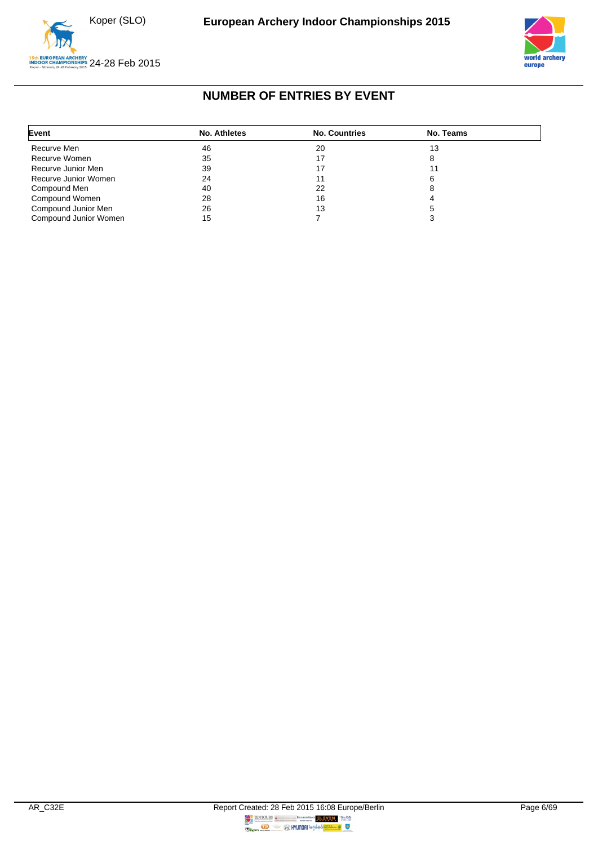



## **NUMBER OF ENTRIES BY EVENT**

<span id="page-6-0"></span>

| Event                 | No. Athletes | <b>No. Countries</b> | No. Teams |  |
|-----------------------|--------------|----------------------|-----------|--|
| Recurve Men           | 46           | 20                   | 13        |  |
| Recurve Women         | 35           |                      |           |  |
| Recurve Junior Men    | 39           |                      |           |  |
| Recurve Junior Women  | 24           |                      |           |  |
| Compound Men          | 40           | 22                   |           |  |
| Compound Women        | 28           | 16                   |           |  |
| Compound Junior Men   | 26           | 13                   |           |  |
| Compound Junior Women | 15           |                      |           |  |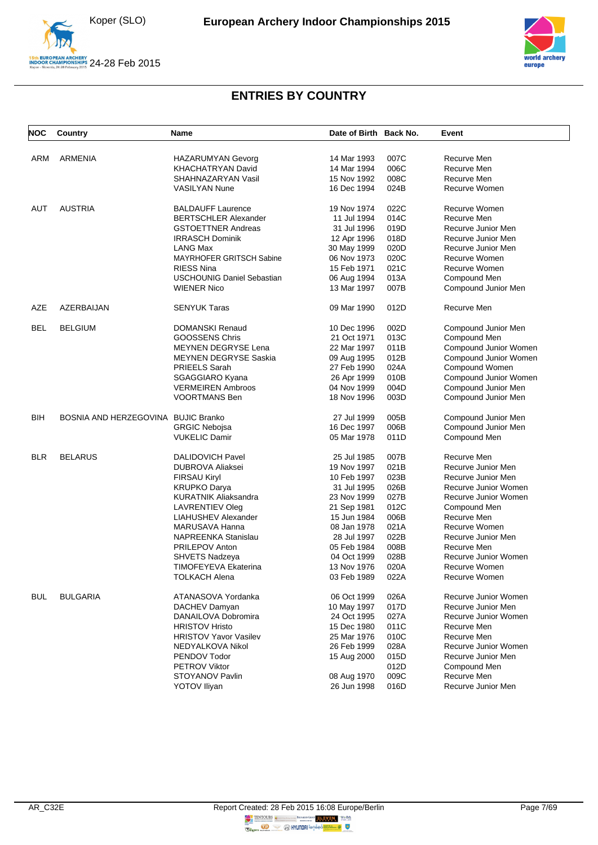



<span id="page-7-0"></span>

| NOC        | Country                             | Name                              | Date of Birth Back No. |      | Event                 |
|------------|-------------------------------------|-----------------------------------|------------------------|------|-----------------------|
| ARM        | ARMENIA                             | <b>HAZARUMYAN Gevorg</b>          | 14 Mar 1993            | 007C | Recurve Men           |
|            |                                     | KHACHATRYAN David                 | 14 Mar 1994            | 006C | Recurve Men           |
|            |                                     | SHAHNAZARYAN Vasil                | 15 Nov 1992            | 008C | Recurve Men           |
|            |                                     | <b>VASILYAN Nune</b>              | 16 Dec 1994            | 024B | Recurve Women         |
|            |                                     |                                   |                        |      |                       |
| AUT        | <b>AUSTRIA</b>                      | <b>BALDAUFF Laurence</b>          | 19 Nov 1974            | 022C | Recurve Women         |
|            |                                     | <b>BERTSCHLER Alexander</b>       | 11 Jul 1994            | 014C | Recurve Men           |
|            |                                     | <b>GSTOETTNER Andreas</b>         | 31 Jul 1996            | 019D | Recurve Junior Men    |
|            |                                     | <b>IRRASCH Dominik</b>            | 12 Apr 1996            | 018D | Recurve Junior Men    |
|            |                                     | <b>LANG Max</b>                   | 30 May 1999            | 020D | Recurve Junior Men    |
|            |                                     | MAYRHOFER GRITSCH Sabine          | 06 Nov 1973            | 020C | Recurve Women         |
|            |                                     | <b>RIESS Nina</b>                 | 15 Feb 1971            | 021C | Recurve Women         |
|            |                                     | <b>USCHOUNIG Daniel Sebastian</b> | 06 Aug 1994            | 013A | Compound Men          |
|            |                                     | <b>WIENER Nico</b>                | 13 Mar 1997            | 007B | Compound Junior Men   |
| AZE        | AZERBAIJAN                          | <b>SENYUK Taras</b>               | 09 Mar 1990            | 012D | Recurve Men           |
| <b>BEL</b> | <b>BELGIUM</b>                      | <b>DOMANSKI Renaud</b>            | 10 Dec 1996            | 002D | Compound Junior Men   |
|            |                                     | <b>GOOSSENS Chris</b>             | 21 Oct 1971            | 013C | Compound Men          |
|            |                                     | MEYNEN DEGRYSE Lena               | 22 Mar 1997            | 011B | Compound Junior Women |
|            |                                     | <b>MEYNEN DEGRYSE Saskia</b>      | 09 Aug 1995            | 012B | Compound Junior Women |
|            |                                     | PRIEELS Sarah                     | 27 Feb 1990            | 024A | Compound Women        |
|            |                                     | <b>SGAGGIARO Kyana</b>            | 26 Apr 1999            | 010B | Compound Junior Women |
|            |                                     | <b>VERMEIREN Ambroos</b>          | 04 Nov 1999            | 004D | Compound Junior Men   |
|            |                                     | <b>VOORTMANS Ben</b>              | 18 Nov 1996            | 003D | Compound Junior Men   |
| BIH        | BOSNIA AND HERZEGOVINA BUJIC Branko |                                   | 27 Jul 1999            | 005B | Compound Junior Men   |
|            |                                     | <b>GRGIC Nebojsa</b>              | 16 Dec 1997            | 006B | Compound Junior Men   |
|            |                                     | <b>VUKELIC Damir</b>              | 05 Mar 1978            | 011D | Compound Men          |
| <b>BLR</b> | <b>BELARUS</b>                      | <b>DALIDOVICH Pavel</b>           | 25 Jul 1985            | 007B | Recurve Men           |
|            |                                     | <b>DUBROVA Aliaksei</b>           | 19 Nov 1997            | 021B | Recurve Junior Men    |
|            |                                     | <b>FIRSAU Kiryl</b>               | 10 Feb 1997            | 023B | Recurve Junior Men    |
|            |                                     | <b>KRUPKO Darya</b>               | 31 Jul 1995            | 026B | Recurve Junior Women  |
|            |                                     | <b>KURATNIK Aliaksandra</b>       | 23 Nov 1999            | 027B | Recurve Junior Women  |
|            |                                     | LAVRENTIEV Oleg                   | 21 Sep 1981            | 012C | Compound Men          |
|            |                                     | <b>LIAHUSHEV Alexander</b>        | 15 Jun 1984            | 006B | Recurve Men           |
|            |                                     | MARUSAVA Hanna                    | 08 Jan 1978            | 021A | Recurve Women         |
|            |                                     | NAPREENKA Stanislau               | 28 Jul 1997            | 022B | Recurve Junior Men    |
|            |                                     | PRILEPOV Anton                    | 05 Feb 1984            | 008B | Recurve Men           |
|            |                                     | <b>SHVETS Nadzeva</b>             | 04 Oct 1999            | 028B | Recurve Junior Women  |
|            |                                     | TIMOFEYEVA Ekaterina              | 13 Nov 1976            | 020A | Recurve Women         |
|            |                                     | <b>TOLKACH Alena</b>              | 03 Feb 1989            | 022A | Recurve Women         |
|            |                                     |                                   |                        |      |                       |
| <b>BUL</b> | <b>BULGARIA</b>                     | ATANASOVA Yordanka                | 06 Oct 1999            | 026A | Recurve Junior Women  |
|            |                                     | DACHEV Damyan                     | 10 May 1997            | 017D | Recurve Junior Men    |
|            |                                     | DANAILOVA Dobromira               | 24 Oct 1995            | 027A | Recurve Junior Women  |
|            |                                     | <b>HRISTOV Hristo</b>             | 15 Dec 1980            | 011C | Recurve Men           |
|            |                                     | <b>HRISTOV Yavor Vasilev</b>      | 25 Mar 1976            | 010C | Recurve Men           |
|            |                                     | NEDYALKOVA Nikol                  | 26 Feb 1999            | 028A | Recurve Junior Women  |
|            |                                     | PENDOV Todor                      | 15 Aug 2000            | 015D | Recurve Junior Men    |
|            |                                     | <b>PETROV Viktor</b>              |                        | 012D | Compound Men          |
|            |                                     | STOYANOV Pavlin                   | 08 Aug 1970            | 009C | Recurve Men           |
|            |                                     | <b>YOTOV Iliyan</b>               | 26 Jun 1998            | 016D | Recurve Junior Men    |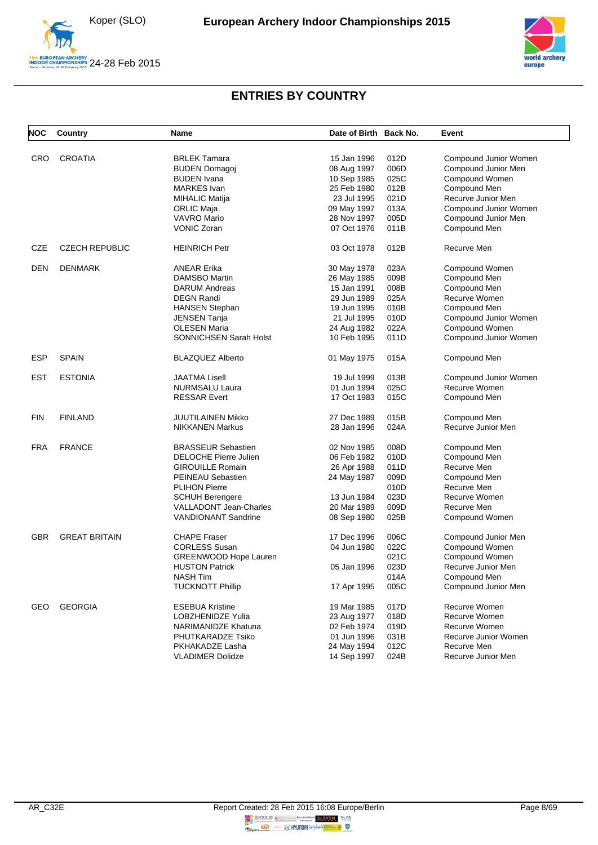



| <b>NOC</b> | Country               | Name                          | Date of Birth Back No. |      | Event                 |
|------------|-----------------------|-------------------------------|------------------------|------|-----------------------|
| <b>CRO</b> | <b>CROATIA</b>        | <b>BRLEK Tamara</b>           | 15 Jan 1996            | 012D | Compound Junior Women |
|            |                       | <b>BUDEN Domagoj</b>          | 08 Aug 1997            | 006D | Compound Junior Men   |
|            |                       | <b>BUDEN</b> Ivana            | 10 Sep 1985            | 025C | Compound Women        |
|            |                       | <b>MARKES</b> Ivan            | 25 Feb 1980            | 012B | Compound Men          |
|            |                       | <b>MIHALIC Matija</b>         | 23 Jul 1995            | 021D | Recurve Junior Men    |
|            |                       | ORLIC Maja                    | 09 May 1997            | 013A | Compound Junior Women |
|            |                       | <b>VAVRO Mario</b>            | 28 Nov 1997            | 005D | Compound Junior Men   |
|            |                       | <b>VONIC Zoran</b>            | 07 Oct 1976            | 011B | Compound Men          |
|            |                       |                               |                        |      |                       |
| CZE        | <b>CZECH REPUBLIC</b> | <b>HEINRICH Petr</b>          | 03 Oct 1978            | 012B | Recurve Men           |
| <b>DEN</b> | <b>DENMARK</b>        | <b>ANEAR Erika</b>            | 30 May 1978            | 023A | Compound Women        |
|            |                       | DAMSBO Martin                 | 26 May 1985            | 009B | Compound Men          |
|            |                       | DARUM Andreas                 | 15 Jan 1991            | 008B | Compound Men          |
|            |                       | <b>DEGN Randi</b>             | 29 Jun 1989            | 025A | Recurve Women         |
|            |                       | <b>HANSEN Stephan</b>         | 19 Jun 1995            | 010B | Compound Men          |
|            |                       | JENSEN Tanja                  | 21 Jul 1995            | 010D | Compound Junior Women |
|            |                       | <b>OLESEN Maria</b>           | 24 Aug 1982            | 022A | Compound Women        |
|            |                       | SONNICHSEN Sarah Holst        | 10 Feb 1995            | 011D | Compound Junior Women |
| <b>ESP</b> | <b>SPAIN</b>          | <b>BLAZQUEZ Alberto</b>       | 01 May 1975            | 015A | Compound Men          |
| <b>EST</b> | <b>ESTONIA</b>        | <b>JAATMA Lisell</b>          | 19 Jul 1999            | 013B | Compound Junior Women |
|            |                       | NURMSALU Laura                | 01 Jun 1994            | 025C | Recurve Women         |
|            |                       | <b>RESSAR Evert</b>           | 17 Oct 1983            | 015C | Compound Men          |
| <b>FIN</b> | <b>FINLAND</b>        | JUUTILAINEN Mikko             | 27 Dec 1989            | 015B | Compound Men          |
|            |                       | <b>NIKKANEN Markus</b>        | 28 Jan 1996            | 024A | Recurve Junior Men    |
| <b>FRA</b> | <b>FRANCE</b>         | <b>BRASSEUR Sebastien</b>     | 02 Nov 1985            | 008D | Compound Men          |
|            |                       | DELOCHE Pierre Julien         | 06 Feb 1982            | 010D | Compound Men          |
|            |                       | <b>GIROUILLE Romain</b>       | 26 Apr 1988            | 011D | Recurve Men           |
|            |                       | PEINEAU Sebastien             | 24 May 1987            | 009D | Compound Men          |
|            |                       | <b>PLIHON Pierre</b>          |                        | 010D | Recurve Men           |
|            |                       | <b>SCHUH Berengere</b>        | 13 Jun 1984            | 023D | Recurve Women         |
|            |                       | <b>VALLADONT Jean-Charles</b> | 20 Mar 1989            | 009D | Recurve Men           |
|            |                       | <b>VANDIONANT Sandrine</b>    | 08 Sep 1980            | 025B | Compound Women        |
|            |                       |                               |                        |      |                       |
| <b>GBR</b> | <b>GREAT BRITAIN</b>  | <b>CHAPE Fraser</b>           | 17 Dec 1996            | 006C | Compound Junior Men   |
|            |                       | <b>CORLESS Susan</b>          | 04 Jun 1980            | 022C | Compound Women        |
|            |                       | GREENWOOD Hope Lauren         |                        | 021C | Compound Women        |
|            |                       | <b>HUSTON Patrick</b>         | 05 Jan 1996            | 023D | Recurve Junior Men    |
|            |                       | NASH Tim                      |                        | 014A | Compound Men          |
|            |                       | <b>TUCKNOTT Phillip</b>       | 17 Apr 1995            | 005C | Compound Junior Men   |
| <b>GEO</b> | <b>GEORGIA</b>        | <b>ESEBUA Kristine</b>        | 19 Mar 1985            | 017D | Recurve Women         |
|            |                       | LOBZHENIDZE Yulia             | 23 Aug 1977            | 018D | Recurve Women         |
|            |                       | NARIMANIDZE Khatuna           | 02 Feb 1974            | 019D | Recurve Women         |
|            |                       | PHUTKARADZE Tsiko             | 01 Jun 1996            | 031B | Recurve Junior Women  |
|            |                       | PKHAKADZE Lasha               | 24 May 1994            | 012C | Recurve Men           |
|            |                       | <b>VLADIMER Dolidze</b>       | 14 Sep 1997            | 024B | Recurve Junior Men    |
|            |                       |                               |                        |      |                       |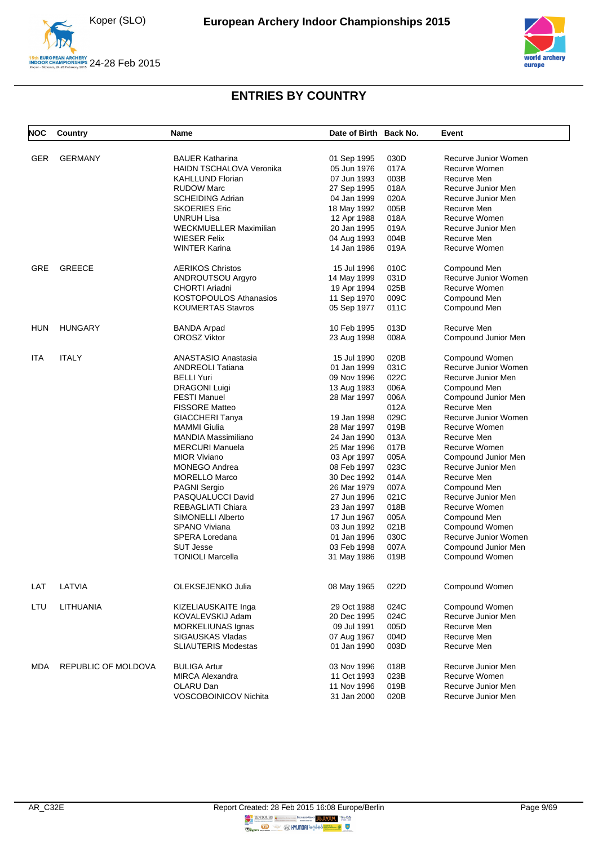



| <b>NOC</b> | Country                    | Name                                | Date of Birth Back No.     |              | Event                               |
|------------|----------------------------|-------------------------------------|----------------------------|--------------|-------------------------------------|
| <b>GER</b> | <b>GERMANY</b>             | <b>BAUER Katharina</b>              | 01 Sep 1995                | 030D         | Recurve Junior Women                |
|            |                            | HAIDN TSCHALOVA Veronika            | 05 Jun 1976                | 017A         | Recurve Women                       |
|            |                            | <b>KAHLLUND Florian</b>             | 07 Jun 1993                | 003B         | Recurve Men                         |
|            |                            | <b>RUDOW Marc</b>                   | 27 Sep 1995                | 018A         | Recurve Junior Men                  |
|            |                            | <b>SCHEIDING Adrian</b>             | 04 Jan 1999                | 020A         | Recurve Junior Men                  |
|            |                            | <b>SKOERIES Eric</b>                | 18 May 1992                | 005B         | Recurve Men                         |
|            |                            | <b>UNRUH Lisa</b>                   | 12 Apr 1988                | 018A         | <b>Recurve Women</b>                |
|            |                            | <b>WECKMUELLER Maximilian</b>       | 20 Jan 1995                | 019A         | Recurve Junior Men                  |
|            |                            | <b>WIESER Felix</b>                 | 04 Aug 1993                | 004B         | Recurve Men                         |
|            |                            | <b>WINTER Karina</b>                | 14 Jan 1986                | 019A         | <b>Recurve Women</b>                |
| <b>GRE</b> | <b>GREECE</b>              | <b>AERIKOS Christos</b>             | 15 Jul 1996                | 010C         | Compound Men                        |
|            |                            | ANDROUTSOU Argyro                   | 14 May 1999                | 031D         | Recurve Junior Women                |
|            |                            | CHORTI Ariadni                      | 19 Apr 1994                | 025B         | Recurve Women                       |
|            |                            | KOSTOPOULOS Athanasios              | 11 Sep 1970                | 009C         | Compound Men                        |
|            |                            | <b>KOUMERTAS Stavros</b>            | 05 Sep 1977                | 011C         | Compound Men                        |
| <b>HUN</b> | <b>HUNGARY</b>             | <b>BANDA Arpad</b>                  | 10 Feb 1995                | 013D         | Recurve Men                         |
|            |                            | <b>OROSZ Viktor</b>                 | 23 Aug 1998                | 008A         | Compound Junior Men                 |
|            |                            |                                     |                            |              |                                     |
| ITA        | <b>ITALY</b>               | ANASTASIO Anastasia                 | 15 Jul 1990                | 020B         | Compound Women                      |
|            |                            | <b>ANDREOLI Tatiana</b>             | 01 Jan 1999                | 031C         | Recurve Junior Women                |
|            |                            | <b>BELLI Yuri</b>                   | 09 Nov 1996                | 022C         | Recurve Junior Men                  |
|            |                            | <b>DRAGONI Luigi</b>                | 13 Aug 1983                | 006A         | Compound Men                        |
|            |                            | <b>FESTI Manuel</b>                 | 28 Mar 1997                | 006A         | Compound Junior Men                 |
|            |                            | <b>FISSORE Matteo</b>               |                            | 012A         | Recurve Men                         |
|            |                            | GIACCHERI Tanya                     | 19 Jan 1998                | 029C         | Recurve Junior Women                |
|            |                            | <b>MAMMI</b> Giulia                 | 28 Mar 1997                | 019B         | Recurve Women                       |
|            |                            | <b>MANDIA Massimiliano</b>          | 24 Jan 1990                | 013A         | Recurve Men                         |
|            |                            | <b>MERCURI Manuela</b>              | 25 Mar 1996                | 017B         | Recurve Women                       |
|            |                            | <b>MIOR Viviano</b>                 | 03 Apr 1997                | 005A         | Compound Junior Men                 |
|            |                            | <b>MONEGO Andrea</b>                | 08 Feb 1997                | 023C         | Recurve Junior Men                  |
|            |                            | <b>MORELLO Marco</b>                | 30 Dec 1992                | 014A         | Recurve Men                         |
|            |                            | <b>PAGNI Sergio</b>                 | 26 Mar 1979                | 007A         | Compound Men                        |
|            |                            | PASQUALUCCI David                   | 27 Jun 1996                | 021C         | Recurve Junior Men                  |
|            |                            | REBAGLIATI Chiara                   | 23 Jan 1997                | 018B         | Recurve Women                       |
|            |                            | SIMONELLI Alberto                   | 17 Jun 1967                | 005A         | Compound Men                        |
|            |                            | <b>SPANO Viviana</b>                | 03 Jun 1992                | 021B         | Compound Women                      |
|            |                            | SPERA Loredana                      | 01 Jan 1996                | 030C         | Recurve Junior Women                |
|            |                            | <b>SUT Jesse</b>                    | 03 Feb 1998                | 007A         | Compound Junior Men                 |
|            |                            | <b>TONIOLI Marcella</b>             | 31 May 1986                | 019B         | Compound Women                      |
|            |                            |                                     |                            |              |                                     |
| LAT        | LATVIA                     | OLEKSEJENKO Julia                   | 08 May 1965                | 022D         | Compound Women                      |
| LTU        | LITHUANIA                  | KIZELIAUSKAITE Inga                 | 29 Oct 1988                | 024C         | Compound Women                      |
|            |                            | KOVALEVSKIJ Adam                    | 20 Dec 1995                | 024C         | Recurve Junior Men                  |
|            |                            | MORKELIUNAS Ignas                   | 09 Jul 1991                | 005D         | Recurve Men                         |
|            |                            | SIGAUSKAS Vladas                    | 07 Aug 1967                | 004D         | Recurve Men                         |
|            |                            | <b>SLIAUTERIS Modestas</b>          | 01 Jan 1990                | 003D         | Recurve Men                         |
|            | <b>REPUBLIC OF MOLDOVA</b> |                                     |                            |              |                                     |
| <b>MDA</b> |                            | <b>BULIGA Artur</b>                 | 03 Nov 1996<br>11 Oct 1993 | 018B         | Recurve Junior Men                  |
|            |                            | <b>MIRCA Alexandra</b><br>OLARU Dan | 11 Nov 1996                | 023B<br>019B | Recurve Women<br>Recurve Junior Men |
|            |                            |                                     |                            |              | Recurve Junior Men                  |
|            |                            | VOSCOBOINICOV Nichita               | 31 Jan 2000                | 020B         |                                     |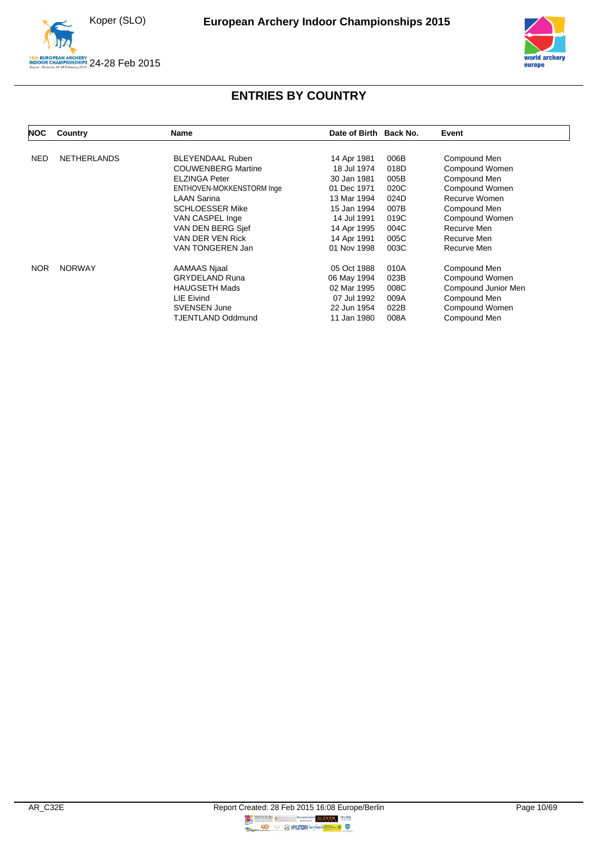

A<mark>n Archery</mark><br>MPIONSHIPS 24-28 Feb 2015



| <b>NOC</b> | Country            | Name                      | Date of Birth Back No. |      | Event               |
|------------|--------------------|---------------------------|------------------------|------|---------------------|
|            |                    |                           |                        |      |                     |
| <b>NED</b> | <b>NETHERLANDS</b> | <b>BLEYENDAAL Ruben</b>   | 14 Apr 1981            | 006B | Compound Men        |
|            |                    | <b>COUWENBERG Martine</b> | 18 Jul 1974            | 018D | Compound Women      |
|            |                    | <b>ELZINGA Peter</b>      | 30 Jan 1981            | 005B | Compound Men        |
|            |                    | ENTHOVEN-MOKKENSTORM Inge | 01 Dec 1971            | 020C | Compound Women      |
|            |                    | <b>LAAN Sarina</b>        | 13 Mar 1994            | 024D | Recurve Women       |
|            |                    | <b>SCHLOESSER Mike</b>    | 15 Jan 1994            | 007B | Compound Men        |
|            |                    | VAN CASPEL Inge           | 14 Jul 1991            | 019C | Compound Women      |
|            |                    | VAN DEN BERG Sief         | 14 Apr 1995            | 004C | Recurve Men         |
|            |                    | VAN DER VEN Rick          | 14 Apr 1991            | 005C | Recurve Men         |
|            |                    | VAN TONGEREN Jan          | 01 Nov 1998            | 003C | Recurve Men         |
| <b>NOR</b> | <b>NORWAY</b>      | AAMAAS Njaal              | 05 Oct 1988            | 010A | Compound Men        |
|            |                    | <b>GRYDELAND Runa</b>     | 06 May 1994            | 023B | Compound Women      |
|            |                    | <b>HAUGSETH Mads</b>      | 02 Mar 1995            | 008C | Compound Junior Men |
|            |                    | LIE Eivind                | 07 Jul 1992            | 009A | Compound Men        |
|            |                    | <b>SVENSEN June</b>       | 22 Jun 1954            | 022B | Compound Women      |
|            |                    | TJENTLAND Oddmund         | 11 Jan 1980            | 008A | Compound Men        |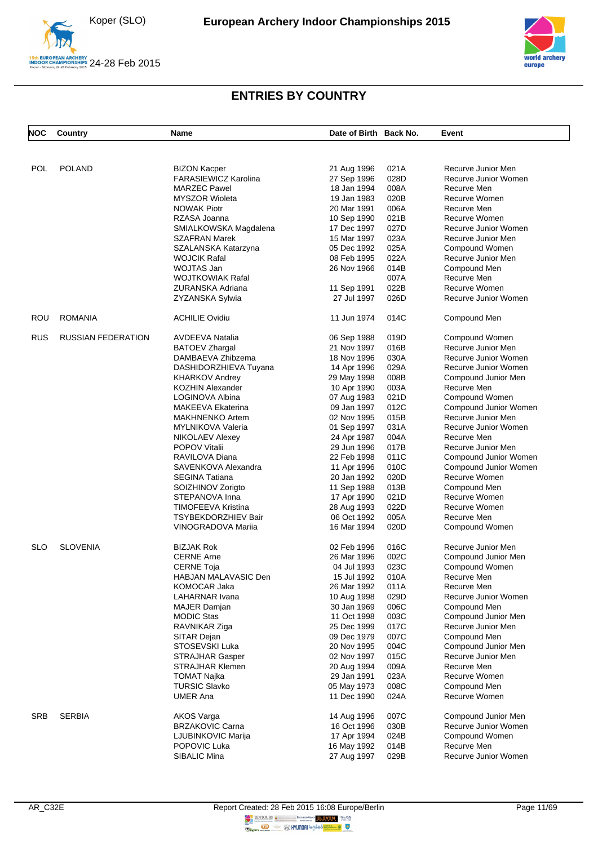





| <b>POL</b><br><b>POLAND</b><br>021A<br>Recurve Junior Men<br><b>BIZON Kacper</b><br>21 Aug 1996<br><b>FARASIEWICZ Karolina</b><br>27 Sep 1996<br>028D<br>Recurve Junior Women<br><b>MARZEC Pawel</b><br>008A<br>Recurve Men<br>18 Jan 1994<br><b>MYSZOR Wioleta</b><br>020B<br>Recurve Women<br>19 Jan 1983<br><b>NOWAK Piotr</b><br>20 Mar 1991<br>006A<br>Recurve Men<br>021B<br>RZASA Joanna<br>Recurve Women<br>10 Sep 1990<br>027D<br>SMIALKOWSKA Magdalena<br>Recurve Junior Women<br>17 Dec 1997<br>023A<br>SZAFRAN Marek<br>15 Mar 1997<br>Recurve Junior Men<br>025A<br>SZALANSKA Katarzyna<br>05 Dec 1992<br>Compound Women<br><b>WOJCIK Rafal</b><br>08 Feb 1995<br>022A<br>Recurve Junior Men<br>WOJTAS Jan<br>014B<br>26 Nov 1966<br>Compound Men<br><b>WOJTKOWIAK Rafal</b><br>007A<br>Recurve Men<br>ZURANSKA Adriana<br>022B<br>Recurve Women<br>11 Sep 1991<br>026D<br>27 Jul 1997<br>Recurve Junior Women<br>ZYZANSKA Sylwia<br><b>ROMANIA</b><br><b>ACHILIE Ovidiu</b><br>014C<br>ROU<br>11 Jun 1974<br>Compound Men<br><b>RUS</b><br><b>RUSSIAN FEDERATION</b><br><b>AVDEEVA Natalia</b><br>019D<br>06 Sep 1988<br>Compound Women<br>016B<br>21 Nov 1997<br>Recurve Junior Men<br>BATOEV Zhargal<br>030A<br>DAMBAEVA Zhibzema<br>18 Nov 1996<br>Recurve Junior Women<br>029A<br>DASHIDORZHIEVA Tuyana<br>14 Apr 1996<br>Recurve Junior Women<br>008B<br><b>KHARKOV Andrey</b><br>29 May 1998<br>Compound Junior Men<br><b>KOZHIN Alexander</b><br>003A<br>Recurve Men<br>10 Apr 1990<br>021D<br>LOGINOVA Albina<br>07 Aug 1983<br>Compound Women<br>012C<br><b>MAKEEVA Ekaterina</b><br>09 Jan 1997<br>Compound Junior Women<br>015B<br>Recurve Junior Men<br><b>MAKHNENKO Artem</b><br>02 Nov 1995<br>031A<br>Recurve Junior Women<br>MYLNIKOVA Valeria<br>01 Sep 1997<br>004A<br>Recurve Men<br><b>NIKOLAEV Alexey</b><br>24 Apr 1987<br>017B<br><b>POPOV Vitalii</b><br>Recurve Junior Men<br>29 Jun 1996<br>RAVILOVA Diana<br>22 Feb 1998<br>011C<br>Compound Junior Women<br>SAVENKOVA Alexandra<br>010C<br>11 Apr 1996<br>Compound Junior Women<br>020D<br><b>SEGINA Tatiana</b><br>Recurve Women<br>20 Jan 1992<br>013B<br>SOIZHINOV Zorigto<br>11 Sep 1988<br>Compound Men<br>021D<br>Recurve Women<br>STEPANOVA Inna<br>17 Apr 1990<br>022D<br>TIMOFEEVA Kristina<br>Recurve Women<br>28 Aug 1993<br>005A<br>TSYBEKDORZHIEV Bair<br>06 Oct 1992<br>Recurve Men<br>020D<br>VINOGRADOVA Mariia<br>16 Mar 1994<br>Compound Women<br><b>SLOVENIA</b><br>016C<br>Recurve Junior Men<br><b>SLO</b><br><b>BIZJAK Rok</b><br>02 Feb 1996<br>002C<br><b>CERNE Arne</b><br>26 Mar 1996<br>Compound Junior Men<br>023C<br>CERNE Toja<br>04 Jul 1993<br>Compound Women<br>HABJAN MALAVASIC Den<br>010A<br>15 Jul 1992<br>Recurve Men<br>KOMOCAR Jaka<br>011A<br>26 Mar 1992<br>Recurve Men<br>LAHARNAR Ivana<br>10 Aug 1998<br>029D<br>Recurve Junior Women<br>006C<br>30 Jan 1969<br><b>MAJER Damjan</b><br>Compound Men<br><b>MODIC Stas</b><br>11 Oct 1998<br>003C<br>Compound Junior Men<br>017C<br>Recurve Junior Men<br>RAVNIKAR Ziga<br>25 Dec 1999<br>SITAR Dejan<br>09 Dec 1979<br>007C<br>Compound Men<br>STOSEVSKI Luka<br>20 Nov 1995<br>004C<br>Compound Junior Men<br>015C<br>Recurve Junior Men<br><b>STRAJHAR Gasper</b><br>02 Nov 1997<br>STRAJHAR Klemen<br>009A<br>Recurve Men<br>20 Aug 1994<br><b>TOMAT Najka</b><br>29 Jan 1991<br>023A<br>Recurve Women<br><b>TURSIC Slavko</b><br>008C<br>Compound Men<br>05 May 1973<br><b>UMER Ana</b><br>11 Dec 1990<br>024A<br>Recurve Women<br><b>SERBIA</b><br><b>SRB</b><br>007C<br>Compound Junior Men<br>AKOS Varga<br>14 Aug 1996<br><b>BRZAKOVIC Carna</b><br>16 Oct 1996<br>030B<br>Recurve Junior Women<br>LJUBINKOVIC Marija<br>024B<br>Compound Women<br>17 Apr 1994<br>POPOVIC Luka<br>16 May 1992<br>014B<br>Recurve Men<br>SIBALIC Mina<br>27 Aug 1997<br>029B<br>Recurve Junior Women | <b>NOC</b> | Country | Name | Date of Birth Back No. | Event |
|-----------------------------------------------------------------------------------------------------------------------------------------------------------------------------------------------------------------------------------------------------------------------------------------------------------------------------------------------------------------------------------------------------------------------------------------------------------------------------------------------------------------------------------------------------------------------------------------------------------------------------------------------------------------------------------------------------------------------------------------------------------------------------------------------------------------------------------------------------------------------------------------------------------------------------------------------------------------------------------------------------------------------------------------------------------------------------------------------------------------------------------------------------------------------------------------------------------------------------------------------------------------------------------------------------------------------------------------------------------------------------------------------------------------------------------------------------------------------------------------------------------------------------------------------------------------------------------------------------------------------------------------------------------------------------------------------------------------------------------------------------------------------------------------------------------------------------------------------------------------------------------------------------------------------------------------------------------------------------------------------------------------------------------------------------------------------------------------------------------------------------------------------------------------------------------------------------------------------------------------------------------------------------------------------------------------------------------------------------------------------------------------------------------------------------------------------------------------------------------------------------------------------------------------------------------------------------------------------------------------------------------------------------------------------------------------------------------------------------------------------------------------------------------------------------------------------------------------------------------------------------------------------------------------------------------------------------------------------------------------------------------------------------------------------------------------------------------------------------------------------------------------------------------------------------------------------------------------------------------------------------------------------------------------------------------------------------------------------------------------------------------------------------------------------------------------------------------------------------------------------------------------------------------------------------------------------------------------------------------------------------------------------------------------------------------------------------------------------------------------------------------------------------------------------------------------------------------------------------------------------------------|------------|---------|------|------------------------|-------|
|                                                                                                                                                                                                                                                                                                                                                                                                                                                                                                                                                                                                                                                                                                                                                                                                                                                                                                                                                                                                                                                                                                                                                                                                                                                                                                                                                                                                                                                                                                                                                                                                                                                                                                                                                                                                                                                                                                                                                                                                                                                                                                                                                                                                                                                                                                                                                                                                                                                                                                                                                                                                                                                                                                                                                                                                                                                                                                                                                                                                                                                                                                                                                                                                                                                                                                                                                                                                                                                                                                                                                                                                                                                                                                                                                                                                                                                                                   |            |         |      |                        |       |
|                                                                                                                                                                                                                                                                                                                                                                                                                                                                                                                                                                                                                                                                                                                                                                                                                                                                                                                                                                                                                                                                                                                                                                                                                                                                                                                                                                                                                                                                                                                                                                                                                                                                                                                                                                                                                                                                                                                                                                                                                                                                                                                                                                                                                                                                                                                                                                                                                                                                                                                                                                                                                                                                                                                                                                                                                                                                                                                                                                                                                                                                                                                                                                                                                                                                                                                                                                                                                                                                                                                                                                                                                                                                                                                                                                                                                                                                                   |            |         |      |                        |       |
|                                                                                                                                                                                                                                                                                                                                                                                                                                                                                                                                                                                                                                                                                                                                                                                                                                                                                                                                                                                                                                                                                                                                                                                                                                                                                                                                                                                                                                                                                                                                                                                                                                                                                                                                                                                                                                                                                                                                                                                                                                                                                                                                                                                                                                                                                                                                                                                                                                                                                                                                                                                                                                                                                                                                                                                                                                                                                                                                                                                                                                                                                                                                                                                                                                                                                                                                                                                                                                                                                                                                                                                                                                                                                                                                                                                                                                                                                   |            |         |      |                        |       |
|                                                                                                                                                                                                                                                                                                                                                                                                                                                                                                                                                                                                                                                                                                                                                                                                                                                                                                                                                                                                                                                                                                                                                                                                                                                                                                                                                                                                                                                                                                                                                                                                                                                                                                                                                                                                                                                                                                                                                                                                                                                                                                                                                                                                                                                                                                                                                                                                                                                                                                                                                                                                                                                                                                                                                                                                                                                                                                                                                                                                                                                                                                                                                                                                                                                                                                                                                                                                                                                                                                                                                                                                                                                                                                                                                                                                                                                                                   |            |         |      |                        |       |
|                                                                                                                                                                                                                                                                                                                                                                                                                                                                                                                                                                                                                                                                                                                                                                                                                                                                                                                                                                                                                                                                                                                                                                                                                                                                                                                                                                                                                                                                                                                                                                                                                                                                                                                                                                                                                                                                                                                                                                                                                                                                                                                                                                                                                                                                                                                                                                                                                                                                                                                                                                                                                                                                                                                                                                                                                                                                                                                                                                                                                                                                                                                                                                                                                                                                                                                                                                                                                                                                                                                                                                                                                                                                                                                                                                                                                                                                                   |            |         |      |                        |       |
|                                                                                                                                                                                                                                                                                                                                                                                                                                                                                                                                                                                                                                                                                                                                                                                                                                                                                                                                                                                                                                                                                                                                                                                                                                                                                                                                                                                                                                                                                                                                                                                                                                                                                                                                                                                                                                                                                                                                                                                                                                                                                                                                                                                                                                                                                                                                                                                                                                                                                                                                                                                                                                                                                                                                                                                                                                                                                                                                                                                                                                                                                                                                                                                                                                                                                                                                                                                                                                                                                                                                                                                                                                                                                                                                                                                                                                                                                   |            |         |      |                        |       |
|                                                                                                                                                                                                                                                                                                                                                                                                                                                                                                                                                                                                                                                                                                                                                                                                                                                                                                                                                                                                                                                                                                                                                                                                                                                                                                                                                                                                                                                                                                                                                                                                                                                                                                                                                                                                                                                                                                                                                                                                                                                                                                                                                                                                                                                                                                                                                                                                                                                                                                                                                                                                                                                                                                                                                                                                                                                                                                                                                                                                                                                                                                                                                                                                                                                                                                                                                                                                                                                                                                                                                                                                                                                                                                                                                                                                                                                                                   |            |         |      |                        |       |
|                                                                                                                                                                                                                                                                                                                                                                                                                                                                                                                                                                                                                                                                                                                                                                                                                                                                                                                                                                                                                                                                                                                                                                                                                                                                                                                                                                                                                                                                                                                                                                                                                                                                                                                                                                                                                                                                                                                                                                                                                                                                                                                                                                                                                                                                                                                                                                                                                                                                                                                                                                                                                                                                                                                                                                                                                                                                                                                                                                                                                                                                                                                                                                                                                                                                                                                                                                                                                                                                                                                                                                                                                                                                                                                                                                                                                                                                                   |            |         |      |                        |       |
|                                                                                                                                                                                                                                                                                                                                                                                                                                                                                                                                                                                                                                                                                                                                                                                                                                                                                                                                                                                                                                                                                                                                                                                                                                                                                                                                                                                                                                                                                                                                                                                                                                                                                                                                                                                                                                                                                                                                                                                                                                                                                                                                                                                                                                                                                                                                                                                                                                                                                                                                                                                                                                                                                                                                                                                                                                                                                                                                                                                                                                                                                                                                                                                                                                                                                                                                                                                                                                                                                                                                                                                                                                                                                                                                                                                                                                                                                   |            |         |      |                        |       |
|                                                                                                                                                                                                                                                                                                                                                                                                                                                                                                                                                                                                                                                                                                                                                                                                                                                                                                                                                                                                                                                                                                                                                                                                                                                                                                                                                                                                                                                                                                                                                                                                                                                                                                                                                                                                                                                                                                                                                                                                                                                                                                                                                                                                                                                                                                                                                                                                                                                                                                                                                                                                                                                                                                                                                                                                                                                                                                                                                                                                                                                                                                                                                                                                                                                                                                                                                                                                                                                                                                                                                                                                                                                                                                                                                                                                                                                                                   |            |         |      |                        |       |
|                                                                                                                                                                                                                                                                                                                                                                                                                                                                                                                                                                                                                                                                                                                                                                                                                                                                                                                                                                                                                                                                                                                                                                                                                                                                                                                                                                                                                                                                                                                                                                                                                                                                                                                                                                                                                                                                                                                                                                                                                                                                                                                                                                                                                                                                                                                                                                                                                                                                                                                                                                                                                                                                                                                                                                                                                                                                                                                                                                                                                                                                                                                                                                                                                                                                                                                                                                                                                                                                                                                                                                                                                                                                                                                                                                                                                                                                                   |            |         |      |                        |       |
|                                                                                                                                                                                                                                                                                                                                                                                                                                                                                                                                                                                                                                                                                                                                                                                                                                                                                                                                                                                                                                                                                                                                                                                                                                                                                                                                                                                                                                                                                                                                                                                                                                                                                                                                                                                                                                                                                                                                                                                                                                                                                                                                                                                                                                                                                                                                                                                                                                                                                                                                                                                                                                                                                                                                                                                                                                                                                                                                                                                                                                                                                                                                                                                                                                                                                                                                                                                                                                                                                                                                                                                                                                                                                                                                                                                                                                                                                   |            |         |      |                        |       |
|                                                                                                                                                                                                                                                                                                                                                                                                                                                                                                                                                                                                                                                                                                                                                                                                                                                                                                                                                                                                                                                                                                                                                                                                                                                                                                                                                                                                                                                                                                                                                                                                                                                                                                                                                                                                                                                                                                                                                                                                                                                                                                                                                                                                                                                                                                                                                                                                                                                                                                                                                                                                                                                                                                                                                                                                                                                                                                                                                                                                                                                                                                                                                                                                                                                                                                                                                                                                                                                                                                                                                                                                                                                                                                                                                                                                                                                                                   |            |         |      |                        |       |
|                                                                                                                                                                                                                                                                                                                                                                                                                                                                                                                                                                                                                                                                                                                                                                                                                                                                                                                                                                                                                                                                                                                                                                                                                                                                                                                                                                                                                                                                                                                                                                                                                                                                                                                                                                                                                                                                                                                                                                                                                                                                                                                                                                                                                                                                                                                                                                                                                                                                                                                                                                                                                                                                                                                                                                                                                                                                                                                                                                                                                                                                                                                                                                                                                                                                                                                                                                                                                                                                                                                                                                                                                                                                                                                                                                                                                                                                                   |            |         |      |                        |       |
|                                                                                                                                                                                                                                                                                                                                                                                                                                                                                                                                                                                                                                                                                                                                                                                                                                                                                                                                                                                                                                                                                                                                                                                                                                                                                                                                                                                                                                                                                                                                                                                                                                                                                                                                                                                                                                                                                                                                                                                                                                                                                                                                                                                                                                                                                                                                                                                                                                                                                                                                                                                                                                                                                                                                                                                                                                                                                                                                                                                                                                                                                                                                                                                                                                                                                                                                                                                                                                                                                                                                                                                                                                                                                                                                                                                                                                                                                   |            |         |      |                        |       |
|                                                                                                                                                                                                                                                                                                                                                                                                                                                                                                                                                                                                                                                                                                                                                                                                                                                                                                                                                                                                                                                                                                                                                                                                                                                                                                                                                                                                                                                                                                                                                                                                                                                                                                                                                                                                                                                                                                                                                                                                                                                                                                                                                                                                                                                                                                                                                                                                                                                                                                                                                                                                                                                                                                                                                                                                                                                                                                                                                                                                                                                                                                                                                                                                                                                                                                                                                                                                                                                                                                                                                                                                                                                                                                                                                                                                                                                                                   |            |         |      |                        |       |
|                                                                                                                                                                                                                                                                                                                                                                                                                                                                                                                                                                                                                                                                                                                                                                                                                                                                                                                                                                                                                                                                                                                                                                                                                                                                                                                                                                                                                                                                                                                                                                                                                                                                                                                                                                                                                                                                                                                                                                                                                                                                                                                                                                                                                                                                                                                                                                                                                                                                                                                                                                                                                                                                                                                                                                                                                                                                                                                                                                                                                                                                                                                                                                                                                                                                                                                                                                                                                                                                                                                                                                                                                                                                                                                                                                                                                                                                                   |            |         |      |                        |       |
|                                                                                                                                                                                                                                                                                                                                                                                                                                                                                                                                                                                                                                                                                                                                                                                                                                                                                                                                                                                                                                                                                                                                                                                                                                                                                                                                                                                                                                                                                                                                                                                                                                                                                                                                                                                                                                                                                                                                                                                                                                                                                                                                                                                                                                                                                                                                                                                                                                                                                                                                                                                                                                                                                                                                                                                                                                                                                                                                                                                                                                                                                                                                                                                                                                                                                                                                                                                                                                                                                                                                                                                                                                                                                                                                                                                                                                                                                   |            |         |      |                        |       |
|                                                                                                                                                                                                                                                                                                                                                                                                                                                                                                                                                                                                                                                                                                                                                                                                                                                                                                                                                                                                                                                                                                                                                                                                                                                                                                                                                                                                                                                                                                                                                                                                                                                                                                                                                                                                                                                                                                                                                                                                                                                                                                                                                                                                                                                                                                                                                                                                                                                                                                                                                                                                                                                                                                                                                                                                                                                                                                                                                                                                                                                                                                                                                                                                                                                                                                                                                                                                                                                                                                                                                                                                                                                                                                                                                                                                                                                                                   |            |         |      |                        |       |
|                                                                                                                                                                                                                                                                                                                                                                                                                                                                                                                                                                                                                                                                                                                                                                                                                                                                                                                                                                                                                                                                                                                                                                                                                                                                                                                                                                                                                                                                                                                                                                                                                                                                                                                                                                                                                                                                                                                                                                                                                                                                                                                                                                                                                                                                                                                                                                                                                                                                                                                                                                                                                                                                                                                                                                                                                                                                                                                                                                                                                                                                                                                                                                                                                                                                                                                                                                                                                                                                                                                                                                                                                                                                                                                                                                                                                                                                                   |            |         |      |                        |       |
|                                                                                                                                                                                                                                                                                                                                                                                                                                                                                                                                                                                                                                                                                                                                                                                                                                                                                                                                                                                                                                                                                                                                                                                                                                                                                                                                                                                                                                                                                                                                                                                                                                                                                                                                                                                                                                                                                                                                                                                                                                                                                                                                                                                                                                                                                                                                                                                                                                                                                                                                                                                                                                                                                                                                                                                                                                                                                                                                                                                                                                                                                                                                                                                                                                                                                                                                                                                                                                                                                                                                                                                                                                                                                                                                                                                                                                                                                   |            |         |      |                        |       |
|                                                                                                                                                                                                                                                                                                                                                                                                                                                                                                                                                                                                                                                                                                                                                                                                                                                                                                                                                                                                                                                                                                                                                                                                                                                                                                                                                                                                                                                                                                                                                                                                                                                                                                                                                                                                                                                                                                                                                                                                                                                                                                                                                                                                                                                                                                                                                                                                                                                                                                                                                                                                                                                                                                                                                                                                                                                                                                                                                                                                                                                                                                                                                                                                                                                                                                                                                                                                                                                                                                                                                                                                                                                                                                                                                                                                                                                                                   |            |         |      |                        |       |
|                                                                                                                                                                                                                                                                                                                                                                                                                                                                                                                                                                                                                                                                                                                                                                                                                                                                                                                                                                                                                                                                                                                                                                                                                                                                                                                                                                                                                                                                                                                                                                                                                                                                                                                                                                                                                                                                                                                                                                                                                                                                                                                                                                                                                                                                                                                                                                                                                                                                                                                                                                                                                                                                                                                                                                                                                                                                                                                                                                                                                                                                                                                                                                                                                                                                                                                                                                                                                                                                                                                                                                                                                                                                                                                                                                                                                                                                                   |            |         |      |                        |       |
|                                                                                                                                                                                                                                                                                                                                                                                                                                                                                                                                                                                                                                                                                                                                                                                                                                                                                                                                                                                                                                                                                                                                                                                                                                                                                                                                                                                                                                                                                                                                                                                                                                                                                                                                                                                                                                                                                                                                                                                                                                                                                                                                                                                                                                                                                                                                                                                                                                                                                                                                                                                                                                                                                                                                                                                                                                                                                                                                                                                                                                                                                                                                                                                                                                                                                                                                                                                                                                                                                                                                                                                                                                                                                                                                                                                                                                                                                   |            |         |      |                        |       |
|                                                                                                                                                                                                                                                                                                                                                                                                                                                                                                                                                                                                                                                                                                                                                                                                                                                                                                                                                                                                                                                                                                                                                                                                                                                                                                                                                                                                                                                                                                                                                                                                                                                                                                                                                                                                                                                                                                                                                                                                                                                                                                                                                                                                                                                                                                                                                                                                                                                                                                                                                                                                                                                                                                                                                                                                                                                                                                                                                                                                                                                                                                                                                                                                                                                                                                                                                                                                                                                                                                                                                                                                                                                                                                                                                                                                                                                                                   |            |         |      |                        |       |
|                                                                                                                                                                                                                                                                                                                                                                                                                                                                                                                                                                                                                                                                                                                                                                                                                                                                                                                                                                                                                                                                                                                                                                                                                                                                                                                                                                                                                                                                                                                                                                                                                                                                                                                                                                                                                                                                                                                                                                                                                                                                                                                                                                                                                                                                                                                                                                                                                                                                                                                                                                                                                                                                                                                                                                                                                                                                                                                                                                                                                                                                                                                                                                                                                                                                                                                                                                                                                                                                                                                                                                                                                                                                                                                                                                                                                                                                                   |            |         |      |                        |       |
|                                                                                                                                                                                                                                                                                                                                                                                                                                                                                                                                                                                                                                                                                                                                                                                                                                                                                                                                                                                                                                                                                                                                                                                                                                                                                                                                                                                                                                                                                                                                                                                                                                                                                                                                                                                                                                                                                                                                                                                                                                                                                                                                                                                                                                                                                                                                                                                                                                                                                                                                                                                                                                                                                                                                                                                                                                                                                                                                                                                                                                                                                                                                                                                                                                                                                                                                                                                                                                                                                                                                                                                                                                                                                                                                                                                                                                                                                   |            |         |      |                        |       |
|                                                                                                                                                                                                                                                                                                                                                                                                                                                                                                                                                                                                                                                                                                                                                                                                                                                                                                                                                                                                                                                                                                                                                                                                                                                                                                                                                                                                                                                                                                                                                                                                                                                                                                                                                                                                                                                                                                                                                                                                                                                                                                                                                                                                                                                                                                                                                                                                                                                                                                                                                                                                                                                                                                                                                                                                                                                                                                                                                                                                                                                                                                                                                                                                                                                                                                                                                                                                                                                                                                                                                                                                                                                                                                                                                                                                                                                                                   |            |         |      |                        |       |
|                                                                                                                                                                                                                                                                                                                                                                                                                                                                                                                                                                                                                                                                                                                                                                                                                                                                                                                                                                                                                                                                                                                                                                                                                                                                                                                                                                                                                                                                                                                                                                                                                                                                                                                                                                                                                                                                                                                                                                                                                                                                                                                                                                                                                                                                                                                                                                                                                                                                                                                                                                                                                                                                                                                                                                                                                                                                                                                                                                                                                                                                                                                                                                                                                                                                                                                                                                                                                                                                                                                                                                                                                                                                                                                                                                                                                                                                                   |            |         |      |                        |       |
|                                                                                                                                                                                                                                                                                                                                                                                                                                                                                                                                                                                                                                                                                                                                                                                                                                                                                                                                                                                                                                                                                                                                                                                                                                                                                                                                                                                                                                                                                                                                                                                                                                                                                                                                                                                                                                                                                                                                                                                                                                                                                                                                                                                                                                                                                                                                                                                                                                                                                                                                                                                                                                                                                                                                                                                                                                                                                                                                                                                                                                                                                                                                                                                                                                                                                                                                                                                                                                                                                                                                                                                                                                                                                                                                                                                                                                                                                   |            |         |      |                        |       |
|                                                                                                                                                                                                                                                                                                                                                                                                                                                                                                                                                                                                                                                                                                                                                                                                                                                                                                                                                                                                                                                                                                                                                                                                                                                                                                                                                                                                                                                                                                                                                                                                                                                                                                                                                                                                                                                                                                                                                                                                                                                                                                                                                                                                                                                                                                                                                                                                                                                                                                                                                                                                                                                                                                                                                                                                                                                                                                                                                                                                                                                                                                                                                                                                                                                                                                                                                                                                                                                                                                                                                                                                                                                                                                                                                                                                                                                                                   |            |         |      |                        |       |
|                                                                                                                                                                                                                                                                                                                                                                                                                                                                                                                                                                                                                                                                                                                                                                                                                                                                                                                                                                                                                                                                                                                                                                                                                                                                                                                                                                                                                                                                                                                                                                                                                                                                                                                                                                                                                                                                                                                                                                                                                                                                                                                                                                                                                                                                                                                                                                                                                                                                                                                                                                                                                                                                                                                                                                                                                                                                                                                                                                                                                                                                                                                                                                                                                                                                                                                                                                                                                                                                                                                                                                                                                                                                                                                                                                                                                                                                                   |            |         |      |                        |       |
|                                                                                                                                                                                                                                                                                                                                                                                                                                                                                                                                                                                                                                                                                                                                                                                                                                                                                                                                                                                                                                                                                                                                                                                                                                                                                                                                                                                                                                                                                                                                                                                                                                                                                                                                                                                                                                                                                                                                                                                                                                                                                                                                                                                                                                                                                                                                                                                                                                                                                                                                                                                                                                                                                                                                                                                                                                                                                                                                                                                                                                                                                                                                                                                                                                                                                                                                                                                                                                                                                                                                                                                                                                                                                                                                                                                                                                                                                   |            |         |      |                        |       |
|                                                                                                                                                                                                                                                                                                                                                                                                                                                                                                                                                                                                                                                                                                                                                                                                                                                                                                                                                                                                                                                                                                                                                                                                                                                                                                                                                                                                                                                                                                                                                                                                                                                                                                                                                                                                                                                                                                                                                                                                                                                                                                                                                                                                                                                                                                                                                                                                                                                                                                                                                                                                                                                                                                                                                                                                                                                                                                                                                                                                                                                                                                                                                                                                                                                                                                                                                                                                                                                                                                                                                                                                                                                                                                                                                                                                                                                                                   |            |         |      |                        |       |
|                                                                                                                                                                                                                                                                                                                                                                                                                                                                                                                                                                                                                                                                                                                                                                                                                                                                                                                                                                                                                                                                                                                                                                                                                                                                                                                                                                                                                                                                                                                                                                                                                                                                                                                                                                                                                                                                                                                                                                                                                                                                                                                                                                                                                                                                                                                                                                                                                                                                                                                                                                                                                                                                                                                                                                                                                                                                                                                                                                                                                                                                                                                                                                                                                                                                                                                                                                                                                                                                                                                                                                                                                                                                                                                                                                                                                                                                                   |            |         |      |                        |       |
|                                                                                                                                                                                                                                                                                                                                                                                                                                                                                                                                                                                                                                                                                                                                                                                                                                                                                                                                                                                                                                                                                                                                                                                                                                                                                                                                                                                                                                                                                                                                                                                                                                                                                                                                                                                                                                                                                                                                                                                                                                                                                                                                                                                                                                                                                                                                                                                                                                                                                                                                                                                                                                                                                                                                                                                                                                                                                                                                                                                                                                                                                                                                                                                                                                                                                                                                                                                                                                                                                                                                                                                                                                                                                                                                                                                                                                                                                   |            |         |      |                        |       |
|                                                                                                                                                                                                                                                                                                                                                                                                                                                                                                                                                                                                                                                                                                                                                                                                                                                                                                                                                                                                                                                                                                                                                                                                                                                                                                                                                                                                                                                                                                                                                                                                                                                                                                                                                                                                                                                                                                                                                                                                                                                                                                                                                                                                                                                                                                                                                                                                                                                                                                                                                                                                                                                                                                                                                                                                                                                                                                                                                                                                                                                                                                                                                                                                                                                                                                                                                                                                                                                                                                                                                                                                                                                                                                                                                                                                                                                                                   |            |         |      |                        |       |
|                                                                                                                                                                                                                                                                                                                                                                                                                                                                                                                                                                                                                                                                                                                                                                                                                                                                                                                                                                                                                                                                                                                                                                                                                                                                                                                                                                                                                                                                                                                                                                                                                                                                                                                                                                                                                                                                                                                                                                                                                                                                                                                                                                                                                                                                                                                                                                                                                                                                                                                                                                                                                                                                                                                                                                                                                                                                                                                                                                                                                                                                                                                                                                                                                                                                                                                                                                                                                                                                                                                                                                                                                                                                                                                                                                                                                                                                                   |            |         |      |                        |       |
|                                                                                                                                                                                                                                                                                                                                                                                                                                                                                                                                                                                                                                                                                                                                                                                                                                                                                                                                                                                                                                                                                                                                                                                                                                                                                                                                                                                                                                                                                                                                                                                                                                                                                                                                                                                                                                                                                                                                                                                                                                                                                                                                                                                                                                                                                                                                                                                                                                                                                                                                                                                                                                                                                                                                                                                                                                                                                                                                                                                                                                                                                                                                                                                                                                                                                                                                                                                                                                                                                                                                                                                                                                                                                                                                                                                                                                                                                   |            |         |      |                        |       |
|                                                                                                                                                                                                                                                                                                                                                                                                                                                                                                                                                                                                                                                                                                                                                                                                                                                                                                                                                                                                                                                                                                                                                                                                                                                                                                                                                                                                                                                                                                                                                                                                                                                                                                                                                                                                                                                                                                                                                                                                                                                                                                                                                                                                                                                                                                                                                                                                                                                                                                                                                                                                                                                                                                                                                                                                                                                                                                                                                                                                                                                                                                                                                                                                                                                                                                                                                                                                                                                                                                                                                                                                                                                                                                                                                                                                                                                                                   |            |         |      |                        |       |
|                                                                                                                                                                                                                                                                                                                                                                                                                                                                                                                                                                                                                                                                                                                                                                                                                                                                                                                                                                                                                                                                                                                                                                                                                                                                                                                                                                                                                                                                                                                                                                                                                                                                                                                                                                                                                                                                                                                                                                                                                                                                                                                                                                                                                                                                                                                                                                                                                                                                                                                                                                                                                                                                                                                                                                                                                                                                                                                                                                                                                                                                                                                                                                                                                                                                                                                                                                                                                                                                                                                                                                                                                                                                                                                                                                                                                                                                                   |            |         |      |                        |       |
|                                                                                                                                                                                                                                                                                                                                                                                                                                                                                                                                                                                                                                                                                                                                                                                                                                                                                                                                                                                                                                                                                                                                                                                                                                                                                                                                                                                                                                                                                                                                                                                                                                                                                                                                                                                                                                                                                                                                                                                                                                                                                                                                                                                                                                                                                                                                                                                                                                                                                                                                                                                                                                                                                                                                                                                                                                                                                                                                                                                                                                                                                                                                                                                                                                                                                                                                                                                                                                                                                                                                                                                                                                                                                                                                                                                                                                                                                   |            |         |      |                        |       |
|                                                                                                                                                                                                                                                                                                                                                                                                                                                                                                                                                                                                                                                                                                                                                                                                                                                                                                                                                                                                                                                                                                                                                                                                                                                                                                                                                                                                                                                                                                                                                                                                                                                                                                                                                                                                                                                                                                                                                                                                                                                                                                                                                                                                                                                                                                                                                                                                                                                                                                                                                                                                                                                                                                                                                                                                                                                                                                                                                                                                                                                                                                                                                                                                                                                                                                                                                                                                                                                                                                                                                                                                                                                                                                                                                                                                                                                                                   |            |         |      |                        |       |
|                                                                                                                                                                                                                                                                                                                                                                                                                                                                                                                                                                                                                                                                                                                                                                                                                                                                                                                                                                                                                                                                                                                                                                                                                                                                                                                                                                                                                                                                                                                                                                                                                                                                                                                                                                                                                                                                                                                                                                                                                                                                                                                                                                                                                                                                                                                                                                                                                                                                                                                                                                                                                                                                                                                                                                                                                                                                                                                                                                                                                                                                                                                                                                                                                                                                                                                                                                                                                                                                                                                                                                                                                                                                                                                                                                                                                                                                                   |            |         |      |                        |       |
|                                                                                                                                                                                                                                                                                                                                                                                                                                                                                                                                                                                                                                                                                                                                                                                                                                                                                                                                                                                                                                                                                                                                                                                                                                                                                                                                                                                                                                                                                                                                                                                                                                                                                                                                                                                                                                                                                                                                                                                                                                                                                                                                                                                                                                                                                                                                                                                                                                                                                                                                                                                                                                                                                                                                                                                                                                                                                                                                                                                                                                                                                                                                                                                                                                                                                                                                                                                                                                                                                                                                                                                                                                                                                                                                                                                                                                                                                   |            |         |      |                        |       |
|                                                                                                                                                                                                                                                                                                                                                                                                                                                                                                                                                                                                                                                                                                                                                                                                                                                                                                                                                                                                                                                                                                                                                                                                                                                                                                                                                                                                                                                                                                                                                                                                                                                                                                                                                                                                                                                                                                                                                                                                                                                                                                                                                                                                                                                                                                                                                                                                                                                                                                                                                                                                                                                                                                                                                                                                                                                                                                                                                                                                                                                                                                                                                                                                                                                                                                                                                                                                                                                                                                                                                                                                                                                                                                                                                                                                                                                                                   |            |         |      |                        |       |
|                                                                                                                                                                                                                                                                                                                                                                                                                                                                                                                                                                                                                                                                                                                                                                                                                                                                                                                                                                                                                                                                                                                                                                                                                                                                                                                                                                                                                                                                                                                                                                                                                                                                                                                                                                                                                                                                                                                                                                                                                                                                                                                                                                                                                                                                                                                                                                                                                                                                                                                                                                                                                                                                                                                                                                                                                                                                                                                                                                                                                                                                                                                                                                                                                                                                                                                                                                                                                                                                                                                                                                                                                                                                                                                                                                                                                                                                                   |            |         |      |                        |       |
|                                                                                                                                                                                                                                                                                                                                                                                                                                                                                                                                                                                                                                                                                                                                                                                                                                                                                                                                                                                                                                                                                                                                                                                                                                                                                                                                                                                                                                                                                                                                                                                                                                                                                                                                                                                                                                                                                                                                                                                                                                                                                                                                                                                                                                                                                                                                                                                                                                                                                                                                                                                                                                                                                                                                                                                                                                                                                                                                                                                                                                                                                                                                                                                                                                                                                                                                                                                                                                                                                                                                                                                                                                                                                                                                                                                                                                                                                   |            |         |      |                        |       |
|                                                                                                                                                                                                                                                                                                                                                                                                                                                                                                                                                                                                                                                                                                                                                                                                                                                                                                                                                                                                                                                                                                                                                                                                                                                                                                                                                                                                                                                                                                                                                                                                                                                                                                                                                                                                                                                                                                                                                                                                                                                                                                                                                                                                                                                                                                                                                                                                                                                                                                                                                                                                                                                                                                                                                                                                                                                                                                                                                                                                                                                                                                                                                                                                                                                                                                                                                                                                                                                                                                                                                                                                                                                                                                                                                                                                                                                                                   |            |         |      |                        |       |
|                                                                                                                                                                                                                                                                                                                                                                                                                                                                                                                                                                                                                                                                                                                                                                                                                                                                                                                                                                                                                                                                                                                                                                                                                                                                                                                                                                                                                                                                                                                                                                                                                                                                                                                                                                                                                                                                                                                                                                                                                                                                                                                                                                                                                                                                                                                                                                                                                                                                                                                                                                                                                                                                                                                                                                                                                                                                                                                                                                                                                                                                                                                                                                                                                                                                                                                                                                                                                                                                                                                                                                                                                                                                                                                                                                                                                                                                                   |            |         |      |                        |       |
|                                                                                                                                                                                                                                                                                                                                                                                                                                                                                                                                                                                                                                                                                                                                                                                                                                                                                                                                                                                                                                                                                                                                                                                                                                                                                                                                                                                                                                                                                                                                                                                                                                                                                                                                                                                                                                                                                                                                                                                                                                                                                                                                                                                                                                                                                                                                                                                                                                                                                                                                                                                                                                                                                                                                                                                                                                                                                                                                                                                                                                                                                                                                                                                                                                                                                                                                                                                                                                                                                                                                                                                                                                                                                                                                                                                                                                                                                   |            |         |      |                        |       |
|                                                                                                                                                                                                                                                                                                                                                                                                                                                                                                                                                                                                                                                                                                                                                                                                                                                                                                                                                                                                                                                                                                                                                                                                                                                                                                                                                                                                                                                                                                                                                                                                                                                                                                                                                                                                                                                                                                                                                                                                                                                                                                                                                                                                                                                                                                                                                                                                                                                                                                                                                                                                                                                                                                                                                                                                                                                                                                                                                                                                                                                                                                                                                                                                                                                                                                                                                                                                                                                                                                                                                                                                                                                                                                                                                                                                                                                                                   |            |         |      |                        |       |
|                                                                                                                                                                                                                                                                                                                                                                                                                                                                                                                                                                                                                                                                                                                                                                                                                                                                                                                                                                                                                                                                                                                                                                                                                                                                                                                                                                                                                                                                                                                                                                                                                                                                                                                                                                                                                                                                                                                                                                                                                                                                                                                                                                                                                                                                                                                                                                                                                                                                                                                                                                                                                                                                                                                                                                                                                                                                                                                                                                                                                                                                                                                                                                                                                                                                                                                                                                                                                                                                                                                                                                                                                                                                                                                                                                                                                                                                                   |            |         |      |                        |       |
|                                                                                                                                                                                                                                                                                                                                                                                                                                                                                                                                                                                                                                                                                                                                                                                                                                                                                                                                                                                                                                                                                                                                                                                                                                                                                                                                                                                                                                                                                                                                                                                                                                                                                                                                                                                                                                                                                                                                                                                                                                                                                                                                                                                                                                                                                                                                                                                                                                                                                                                                                                                                                                                                                                                                                                                                                                                                                                                                                                                                                                                                                                                                                                                                                                                                                                                                                                                                                                                                                                                                                                                                                                                                                                                                                                                                                                                                                   |            |         |      |                        |       |
|                                                                                                                                                                                                                                                                                                                                                                                                                                                                                                                                                                                                                                                                                                                                                                                                                                                                                                                                                                                                                                                                                                                                                                                                                                                                                                                                                                                                                                                                                                                                                                                                                                                                                                                                                                                                                                                                                                                                                                                                                                                                                                                                                                                                                                                                                                                                                                                                                                                                                                                                                                                                                                                                                                                                                                                                                                                                                                                                                                                                                                                                                                                                                                                                                                                                                                                                                                                                                                                                                                                                                                                                                                                                                                                                                                                                                                                                                   |            |         |      |                        |       |
|                                                                                                                                                                                                                                                                                                                                                                                                                                                                                                                                                                                                                                                                                                                                                                                                                                                                                                                                                                                                                                                                                                                                                                                                                                                                                                                                                                                                                                                                                                                                                                                                                                                                                                                                                                                                                                                                                                                                                                                                                                                                                                                                                                                                                                                                                                                                                                                                                                                                                                                                                                                                                                                                                                                                                                                                                                                                                                                                                                                                                                                                                                                                                                                                                                                                                                                                                                                                                                                                                                                                                                                                                                                                                                                                                                                                                                                                                   |            |         |      |                        |       |
|                                                                                                                                                                                                                                                                                                                                                                                                                                                                                                                                                                                                                                                                                                                                                                                                                                                                                                                                                                                                                                                                                                                                                                                                                                                                                                                                                                                                                                                                                                                                                                                                                                                                                                                                                                                                                                                                                                                                                                                                                                                                                                                                                                                                                                                                                                                                                                                                                                                                                                                                                                                                                                                                                                                                                                                                                                                                                                                                                                                                                                                                                                                                                                                                                                                                                                                                                                                                                                                                                                                                                                                                                                                                                                                                                                                                                                                                                   |            |         |      |                        |       |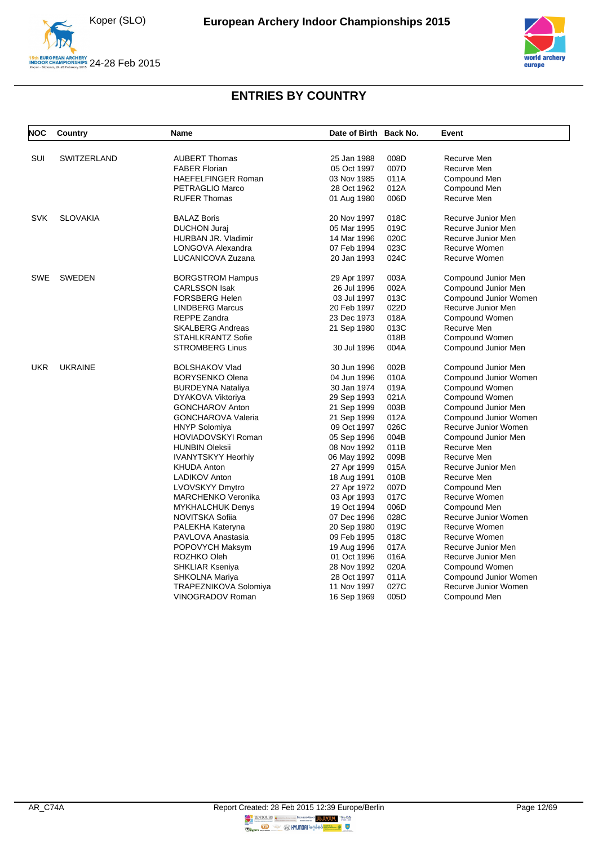



| <b>NOC</b> | Country         | Name                                | Date of Birth Back No.     |              | Event                             |
|------------|-----------------|-------------------------------------|----------------------------|--------------|-----------------------------------|
| SUI        | SWITZERLAND     | <b>AUBERT Thomas</b>                | 25 Jan 1988                | 008D         | Recurve Men                       |
|            |                 | <b>FABER Florian</b>                | 05 Oct 1997                | 007D         | Recurve Men                       |
|            |                 | <b>HAEFELFINGER Roman</b>           | 03 Nov 1985                | 011A         | Compound Men                      |
|            |                 | PETRAGLIO Marco                     | 28 Oct 1962                | 012A         | Compound Men                      |
|            |                 | <b>RUFER Thomas</b>                 | 01 Aug 1980                | 006D         | Recurve Men                       |
| <b>SVK</b> | <b>SLOVAKIA</b> | <b>BALAZ Boris</b>                  | 20 Nov 1997                | 018C         | Recurve Junior Men                |
|            |                 | <b>DUCHON Juraj</b>                 | 05 Mar 1995                | 019C         | Recurve Junior Men                |
|            |                 | HURBAN JR. Vladimir                 | 14 Mar 1996                | 020C         | Recurve Junior Men                |
|            |                 | LONGOVA Alexandra                   | 07 Feb 1994                | 023C         | Recurve Women                     |
|            |                 | LUCANICOVA Zuzana                   | 20 Jan 1993                | 024C         | Recurve Women                     |
| <b>SWE</b> | <b>SWEDEN</b>   | <b>BORGSTROM Hampus</b>             | 29 Apr 1997                | 003A         | Compound Junior Men               |
|            |                 | <b>CARLSSON Isak</b>                | 26 Jul 1996                | 002A         | Compound Junior Men               |
|            |                 | <b>FORSBERG Helen</b>               | 03 Jul 1997                | 013C         | Compound Junior Women             |
|            |                 | <b>LINDBERG Marcus</b>              | 20 Feb 1997                | 022D         | Recurve Junior Men                |
|            |                 | <b>REPPE Zandra</b>                 | 23 Dec 1973                | 018A         | Compound Women                    |
|            |                 | <b>SKALBERG Andreas</b>             | 21 Sep 1980                | 013C         | Recurve Men                       |
|            |                 | STAHLKRANTZ Sofie                   |                            | 018B         | Compound Women                    |
|            |                 | <b>STROMBERG Linus</b>              | 30 Jul 1996                | 004A         | Compound Junior Men               |
| <b>UKR</b> | <b>UKRAINE</b>  | <b>BOLSHAKOV Vlad</b>               | 30 Jun 1996                | 002B         | Compound Junior Men               |
|            |                 | <b>BORYSENKO Olena</b>              | 04 Jun 1996                | 010A         | Compound Junior Women             |
|            |                 | <b>BURDEYNA Nataliya</b>            | 30 Jan 1974                | 019A         | Compound Women                    |
|            |                 | DYAKOVA Viktoriya                   | 29 Sep 1993                | 021A         | Compound Women                    |
|            |                 | <b>GONCHAROV Anton</b>              | 21 Sep 1999                | 003B         | Compound Junior Men               |
|            |                 | <b>GONCHAROVA Valeria</b>           | 21 Sep 1999                | 012A         | Compound Junior Women             |
|            |                 | <b>HNYP Solomiya</b>                | 09 Oct 1997                | 026C         | Recurve Junior Women              |
|            |                 | HOVIADOVSKYI Roman                  | 05 Sep 1996                | 004B         | Compound Junior Men               |
|            |                 | <b>HUNBIN Oleksii</b>               | 08 Nov 1992                | 011B         | Recurve Men                       |
|            |                 | <b>IVANYTSKYY Heorhiy</b>           | 06 May 1992                | 009B         | Recurve Men                       |
|            |                 | <b>KHUDA Anton</b><br>LADIKOV Anton | 27 Apr 1999                | 015A<br>010B | Recurve Junior Men<br>Recurve Men |
|            |                 | <b>LVOVSKYY Dmytro</b>              | 18 Aug 1991                | 007D         | Compound Men                      |
|            |                 | MARCHENKO Veronika                  | 27 Apr 1972<br>03 Apr 1993 | 017C         | Recurve Women                     |
|            |                 | <b>MYKHALCHUK Denys</b>             | 19 Oct 1994                | 006D         | Compound Men                      |
|            |                 | NOVITSKA Sofiia                     | 07 Dec 1996                | 028C         | Recurve Junior Women              |
|            |                 | PALEKHA Kateryna                    | 20 Sep 1980                | 019C         | Recurve Women                     |
|            |                 | PAVLOVA Anastasia                   | 09 Feb 1995                | 018C         | Recurve Women                     |
|            |                 | POPOVYCH Maksym                     | 19 Aug 1996                | 017A         | Recurve Junior Men                |
|            |                 | ROZHKO Oleh                         | 01 Oct 1996                | 016A         | Recurve Junior Men                |
|            |                 | SHKLIAR Kseniya                     | 28 Nov 1992                | 020A         | Compound Women                    |
|            |                 | SHKOLNA Mariya                      | 28 Oct 1997                | 011A         | Compound Junior Women             |
|            |                 | <b>TRAPEZNIKOVA Solomiya</b>        | 11 Nov 1997                | 027C         | Recurve Junior Women              |
|            |                 | VINOGRADOV Roman                    | 16 Sep 1969                | 005D         | Compound Men                      |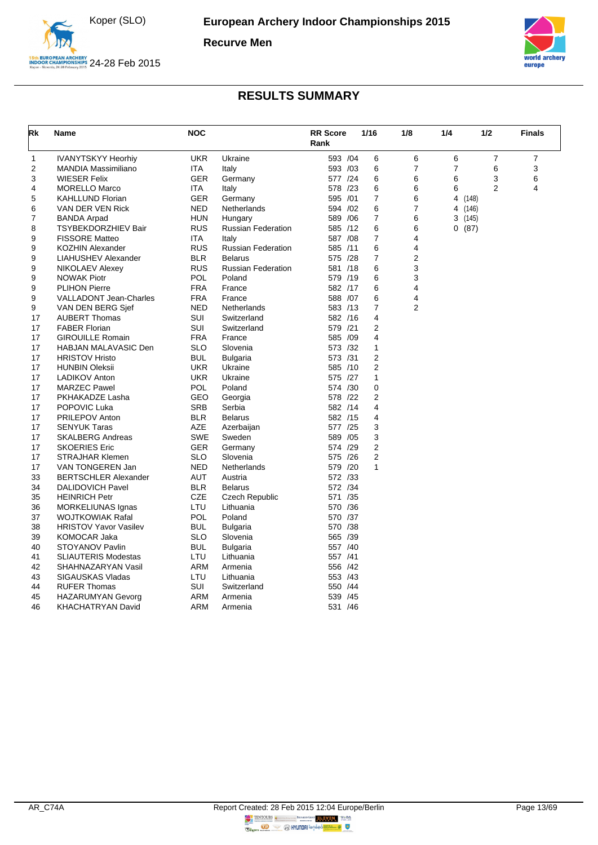

**Recurve Men**



<span id="page-13-0"></span>

| Rk | Name                          | <b>NOC</b> | <b>RR Score</b><br>Rank   |          | 1/16 | 1/8                 | 1/4 |         | 1/2            | <b>Finals</b> |
|----|-------------------------------|------------|---------------------------|----------|------|---------------------|-----|---------|----------------|---------------|
| 1  | <b>IVANYTSKYY Heorhiy</b>     | <b>UKR</b> | Ukraine                   | 593 /04  |      | 6<br>6              | 6   |         | $\overline{7}$ | 7             |
| 2  | <b>MANDIA Massimiliano</b>    | <b>ITA</b> | Italy                     | 593 /03  |      | 6<br>7              | 7   |         | 6              | 3             |
| 3  | <b>WIESER Felix</b>           | <b>GER</b> | Germany                   | 577 /24  |      | 6<br>6              | 6   |         | 3              | 6             |
| 4  | <b>MORELLO Marco</b>          | ITA        | Italy                     | 578 /23  |      | 6<br>6              | 6   |         | $\overline{2}$ | 4             |
| 5  | <b>KAHLLUND Florian</b>       | <b>GER</b> | Germany                   | 595 /01  |      | $\overline{7}$<br>6 | 4   | (148)   |                |               |
| 6  | VAN DER VEN Rick              | <b>NED</b> | Netherlands               | 594 /02  |      | 7<br>6              |     | 4 (146) |                |               |
| 7  | <b>BANDA Arpad</b>            | HUN        | Hungary                   | 589 / 06 |      | 7<br>6              |     | 3(145)  |                |               |
| 8  | <b>TSYBEKDORZHIEV Bair</b>    | <b>RUS</b> | <b>Russian Federation</b> | 585 /12  |      | 6<br>6              |     | 0(87)   |                |               |
| 9  | <b>FISSORE Matteo</b>         | <b>ITA</b> | Italy                     | 587 /08  |      | $\overline{7}$<br>4 |     |         |                |               |
| 9  | <b>KOZHIN Alexander</b>       | <b>RUS</b> | <b>Russian Federation</b> | 585 /11  |      | 6<br>4              |     |         |                |               |
| 9  | LIAHUSHEV Alexander           | <b>BLR</b> | <b>Belarus</b>            | 575 /28  |      | $\overline{7}$<br>2 |     |         |                |               |
| 9  | NIKOLAEV Alexey               | <b>RUS</b> | <b>Russian Federation</b> | 581 /18  |      | 3<br>6              |     |         |                |               |
| 9  | <b>NOWAK Piotr</b>            | POL        | Poland                    | 579 /19  |      | 3<br>6              |     |         |                |               |
| 9  | <b>PLIHON Pierre</b>          | <b>FRA</b> | France                    | 582 /17  |      | 6<br>4              |     |         |                |               |
| 9  | <b>VALLADONT Jean-Charles</b> | <b>FRA</b> | France                    | 588 /07  |      | 6<br>4              |     |         |                |               |
| 9  | VAN DEN BERG Sjef             | <b>NED</b> | <b>Netherlands</b>        | 583 /13  |      | $\overline{7}$<br>2 |     |         |                |               |
| 17 | <b>AUBERT Thomas</b>          | <b>SUI</b> | Switzerland               | 582 /16  |      | $\overline{4}$      |     |         |                |               |
| 17 | <b>FABER Florian</b>          | <b>SUI</b> | Switzerland               | 579 /21  |      | $\overline{2}$      |     |         |                |               |
| 17 | <b>GIROUILLE Romain</b>       | <b>FRA</b> | France                    | 585 /09  |      | $\overline{4}$      |     |         |                |               |
| 17 | <b>HABJAN MALAVASIC Den</b>   | <b>SLO</b> | Slovenia                  | 573 /32  |      | $\mathbf{1}$        |     |         |                |               |
| 17 | <b>HRISTOV Hristo</b>         | <b>BUL</b> | <b>Bulgaria</b>           | 573 /31  |      | 2                   |     |         |                |               |
| 17 | <b>HUNBIN Oleksii</b>         | <b>UKR</b> | Ukraine                   | 585 /10  |      | 2                   |     |         |                |               |
| 17 | <b>LADIKOV Anton</b>          | <b>UKR</b> | Ukraine                   | 575 /27  |      | $\mathbf{1}$        |     |         |                |               |
| 17 | <b>MARZEC Pawel</b>           | <b>POL</b> | Poland                    | 574 /30  |      | 0                   |     |         |                |               |
| 17 | PKHAKADZE Lasha               | <b>GEO</b> | Georgia                   | 578 /22  |      | $\overline{2}$      |     |         |                |               |
| 17 | POPOVIC Luka                  | <b>SRB</b> | Serbia                    | 582 /14  |      | 4                   |     |         |                |               |
| 17 | <b>PRILEPOV Anton</b>         | <b>BLR</b> | <b>Belarus</b>            | 582 /15  |      | 4                   |     |         |                |               |
| 17 | <b>SENYUK Taras</b>           | <b>AZE</b> | Azerbaijan                | 577 /25  |      | 3                   |     |         |                |               |
| 17 | <b>SKALBERG Andreas</b>       | SWE        | Sweden                    | 589 /05  |      | 3                   |     |         |                |               |
| 17 | <b>SKOERIES Eric</b>          | <b>GER</b> | Germany                   | 574 /29  |      | 2                   |     |         |                |               |
| 17 | <b>STRAJHAR Klemen</b>        | <b>SLO</b> | Slovenia                  | 575 /26  |      | 2                   |     |         |                |               |
| 17 | VAN TONGEREN Jan              | <b>NED</b> | Netherlands               | 579 /20  |      | 1                   |     |         |                |               |
| 33 | <b>BERTSCHLER Alexander</b>   | AUT        | Austria                   | 572 /33  |      |                     |     |         |                |               |
| 34 | <b>DALIDOVICH Pavel</b>       | <b>BLR</b> | <b>Belarus</b>            | 572 /34  |      |                     |     |         |                |               |
| 35 | <b>HEINRICH Petr</b>          | <b>CZE</b> | Czech Republic            | 571 /35  |      |                     |     |         |                |               |
| 36 | MORKELIUNAS Ignas             | LTU        | Lithuania                 | 570 /36  |      |                     |     |         |                |               |
| 37 | <b>WOJTKOWIAK Rafal</b>       | <b>POL</b> | Poland                    | 570 /37  |      |                     |     |         |                |               |
| 38 | <b>HRISTOV Yavor Vasilev</b>  | <b>BUL</b> | <b>Bulgaria</b>           | 570 /38  |      |                     |     |         |                |               |
| 39 | <b>KOMOCAR Jaka</b>           | <b>SLO</b> | Slovenia                  | 565 /39  |      |                     |     |         |                |               |
| 40 | STOYANOV Pavlin               | <b>BUL</b> | <b>Bulgaria</b>           | 557 /40  |      |                     |     |         |                |               |
| 41 | <b>SLIAUTERIS Modestas</b>    | LTU        | Lithuania                 | 557 /41  |      |                     |     |         |                |               |
| 42 | SHAHNAZARYAN Vasil            | <b>ARM</b> | Armenia                   | 556 /42  |      |                     |     |         |                |               |
| 43 | SIGAUSKAS Vladas              | LTU        | Lithuania                 | 553 /43  |      |                     |     |         |                |               |
| 44 | <b>RUFER Thomas</b>           | SUI        | Switzerland               | 550 /44  |      |                     |     |         |                |               |
| 45 | <b>HAZARUMYAN Gevorg</b>      | ARM        | Armenia                   | 539 /45  |      |                     |     |         |                |               |
| 46 | <b>KHACHATRYAN David</b>      | ARM        | Armenia                   | 531 /46  |      |                     |     |         |                |               |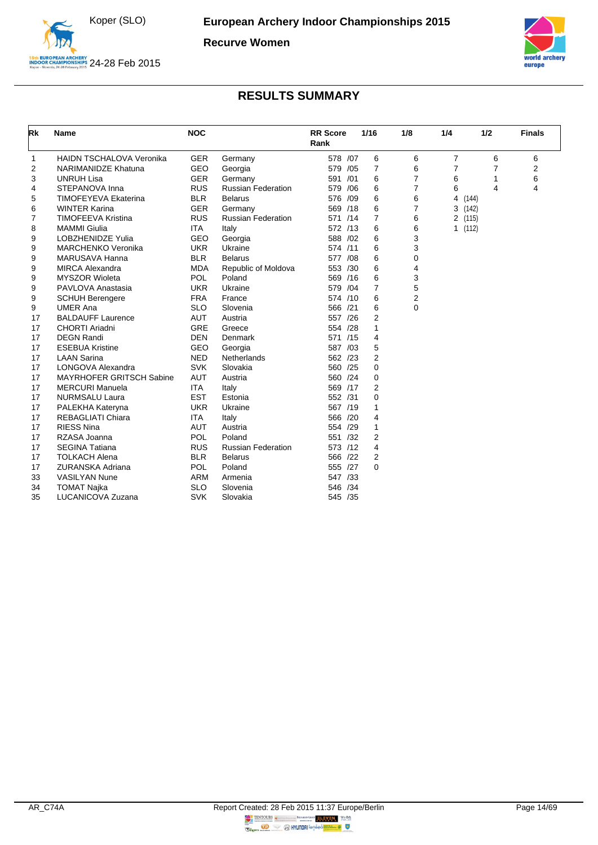

**Recurve Women**



<span id="page-14-0"></span>

| Rk             | <b>Name</b>                     | <b>NOC</b> |                           | <b>RR Score</b><br>Rank |     | 1/16           | 1/8            | 1/4            | 1/2   | <b>Finals</b>  |
|----------------|---------------------------------|------------|---------------------------|-------------------------|-----|----------------|----------------|----------------|-------|----------------|
| 1              | <b>HAIDN TSCHALOVA Veronika</b> | <b>GER</b> | Germany                   | 578 /07                 |     | 6              | 6              | $\overline{7}$ | 6     | 6              |
| $\overline{2}$ | NARIMANIDZE Khatuna             | <b>GEO</b> | Georgia                   | 579                     | /05 | $\overline{7}$ | 6              | $\overline{7}$ | 7     | $\overline{2}$ |
| 3              | <b>UNRUH Lisa</b>               | <b>GER</b> | Germany                   | 591                     | /01 | 6              | $\overline{7}$ | 6              | 1     | 6              |
| 4              | STEPANOVA Inna                  | <b>RUS</b> | <b>Russian Federation</b> | 579                     | /06 | 6              | $\overline{7}$ | 6              | 4     | 4              |
| 5              | <b>TIMOFEYEVA Ekaterina</b>     | <b>BLR</b> | <b>Belarus</b>            | 576 /09                 |     | 6              | 6              | 4              | (144) |                |
| 6              | <b>WINTER Karina</b>            | <b>GER</b> | Germany                   | 569 /18                 |     | 6              | 7              | 3(142)         |       |                |
| 7              | <b>TIMOFEEVA Kristina</b>       | <b>RUS</b> | Russian Federation        | 571 /14                 |     | $\overline{7}$ | 6              | 2 (115)        |       |                |
| 8              | <b>MAMMI Giulia</b>             | <b>ITA</b> | Italy                     | 572 /13                 |     | 6              | 6              | 1(112)         |       |                |
| 9              | <b>LOBZHENIDZE Yulia</b>        | <b>GEO</b> | Georgia                   | 588 /02                 |     | 6              | 3              |                |       |                |
| 9              | <b>MARCHENKO Veronika</b>       | <b>UKR</b> | Ukraine                   | 574 /11                 |     | 6              | 3              |                |       |                |
| 9              | MARUSAVA Hanna                  | <b>BLR</b> | <b>Belarus</b>            | 577                     | /08 | 6              | 0              |                |       |                |
| 9              | <b>MIRCA Alexandra</b>          | <b>MDA</b> | Republic of Moldova       | 553 /30                 |     | 6              | 4              |                |       |                |
| 9              | <b>MYSZOR Wioleta</b>           | POL        | Poland                    | 569 /16                 |     | 6              | 3              |                |       |                |
| 9              | PAVLOVA Anastasia               | <b>UKR</b> | Ukraine                   | 579 /04                 |     | 7              | 5              |                |       |                |
| 9              | <b>SCHUH Berengere</b>          | <b>FRA</b> | France                    | 574 /10                 |     | 6              | 2              |                |       |                |
| 9              | <b>UMER Ana</b>                 | <b>SLO</b> | Slovenia                  | 566 /21                 |     | 6              | 0              |                |       |                |
| 17             | <b>BALDAUFF Laurence</b>        | <b>AUT</b> | Austria                   | 557 /26                 |     | 2              |                |                |       |                |
| 17             | <b>CHORTI Ariadni</b>           | <b>GRE</b> | Greece                    | 554 /28                 |     | 1              |                |                |       |                |
| 17             | <b>DEGN Randi</b>               | <b>DEN</b> | Denmark                   | 571 /15                 |     | 4              |                |                |       |                |
| 17             | <b>ESEBUA Kristine</b>          | <b>GEO</b> | Georgia                   | 587 /03                 |     | 5              |                |                |       |                |
| 17             | <b>LAAN Sarina</b>              | <b>NED</b> | Netherlands               | 562 /23                 |     | $\overline{2}$ |                |                |       |                |
| 17             | LONGOVA Alexandra               | <b>SVK</b> | Slovakia                  | 560 /25                 |     | $\Omega$       |                |                |       |                |
| 17             | <b>MAYRHOFER GRITSCH Sabine</b> | <b>AUT</b> | Austria                   | 560 /24                 |     | 0              |                |                |       |                |
| 17             | <b>MERCURI Manuela</b>          | <b>ITA</b> | Italy                     | 569 /17                 |     | $\overline{2}$ |                |                |       |                |
| 17             | <b>NURMSALU Laura</b>           | <b>EST</b> | Estonia                   | 552 /31                 |     | 0              |                |                |       |                |
| 17             | PALEKHA Kateryna                | <b>UKR</b> | Ukraine                   | 567 /19                 |     | 1              |                |                |       |                |
| 17             | <b>REBAGLIATI Chiara</b>        | <b>ITA</b> | Italy                     | 566 /20                 |     | 4              |                |                |       |                |
| 17             | <b>RIESS Nina</b>               | <b>AUT</b> | Austria                   | 554 /29                 |     | 1              |                |                |       |                |
| 17             | RZASA Joanna                    | POL        | Poland                    | 551 /32                 |     | $\overline{2}$ |                |                |       |                |
| 17             | <b>SEGINA Tatiana</b>           | <b>RUS</b> | <b>Russian Federation</b> | 573 /12                 |     | 4              |                |                |       |                |
| 17             | <b>TOLKACH Alena</b>            | <b>BLR</b> | <b>Belarus</b>            | 566 /22                 |     | $\overline{2}$ |                |                |       |                |
| 17             | <b>ZURANSKA Adriana</b>         | <b>POL</b> | Poland                    | 555 /27                 |     | 0              |                |                |       |                |
| 33             | <b>VASILYAN Nune</b>            | <b>ARM</b> | Armenia                   | 547 /33                 |     |                |                |                |       |                |
| 34             | <b>TOMAT Najka</b>              | <b>SLO</b> | Slovenia                  | 546                     | /34 |                |                |                |       |                |
| 35             | LUCANICOVA Zuzana               | <b>SVK</b> | Slovakia                  | 545 /35                 |     |                |                |                |       |                |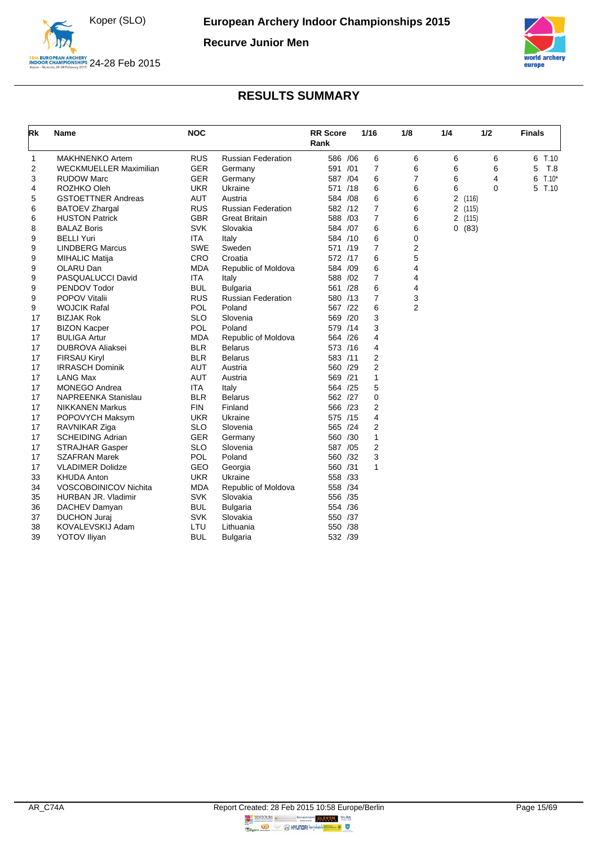

**Recurve Junior Men**



<span id="page-15-0"></span>

| Rk | Name                          | <b>NOC</b> |                           | <b>RR</b> Score<br>Rank | 1/16           | 1/8            | 1/4 | 1/2      | <b>Finals</b> |
|----|-------------------------------|------------|---------------------------|-------------------------|----------------|----------------|-----|----------|---------------|
| 1  | <b>MAKHNENKO Artem</b>        | <b>RUS</b> | <b>Russian Federation</b> | 586 / 06                | 6              | 6              | 6   | 6        | 6 T.10        |
| 2  | <b>WECKMUELLER Maximilian</b> | <b>GER</b> | Germany                   | 591 /01                 | $\overline{7}$ | 6              | 6   | 6        | T.8<br>5      |
| 3  | <b>RUDOW Marc</b>             | <b>GER</b> | Germany                   | 587 /04                 | 6              | 7              | 6   | 4        | $T.10*$<br>6  |
| 4  | ROZHKO Oleh                   | <b>UKR</b> | Ukraine                   | 571 /18                 | 6              | 6              | 6   | $\Omega$ | T.10<br>5     |
| 5  | <b>GSTOETTNER Andreas</b>     | <b>AUT</b> | Austria                   | 584 /08                 | 6              | 6              |     | 2(116)   |               |
| 6  | <b>BATOEV Zhargal</b>         | <b>RUS</b> | <b>Russian Federation</b> | 582 /12                 | $\overline{7}$ | 6              |     | 2(115)   |               |
| 6  | <b>HUSTON Patrick</b>         | <b>GBR</b> | <b>Great Britain</b>      | 588 /03                 | $\overline{7}$ | 6              |     | 2 (115)  |               |
| 8  | <b>BALAZ Boris</b>            | <b>SVK</b> | Slovakia                  | 584 /07                 | 6              | 6              |     | 0(83)    |               |
| 9  | <b>BELLI Yuri</b>             | <b>ITA</b> | Italy                     | 584 /10                 | 6              | 0              |     |          |               |
| 9  | <b>LINDBERG Marcus</b>        | <b>SWE</b> | Sweden                    | 571 /19                 | $\overline{7}$ | 2              |     |          |               |
| 9  | <b>MIHALIC Matija</b>         | CRO        | Croatia                   | 572 /17                 | 6              | 5              |     |          |               |
| 9  | OLARU Dan                     | <b>MDA</b> | Republic of Moldova       | 584 /09                 | 6              | 4              |     |          |               |
| 9  | PASQUALUCCI David             | <b>ITA</b> | Italy                     | 588 /02                 | $\overline{7}$ | 4              |     |          |               |
| 9  | PENDOV Todor                  | <b>BUL</b> | <b>Bulgaria</b>           | 561 /28                 | 6              | 4              |     |          |               |
| 9  | <b>POPOV Vitalii</b>          | <b>RUS</b> | <b>Russian Federation</b> | 580 /13                 | $\overline{7}$ | 3              |     |          |               |
| 9  | <b>WOJCIK Rafal</b>           | POL        | Poland                    | 567 /22                 | 6              | $\overline{2}$ |     |          |               |
| 17 | <b>BIZJAK Rok</b>             | <b>SLO</b> | Slovenia                  | 569 /20                 | 3              |                |     |          |               |
| 17 | <b>BIZON Kacper</b>           | POL        | Poland                    | 579 /14                 | 3              |                |     |          |               |
| 17 | <b>BULIGA Artur</b>           | <b>MDA</b> | Republic of Moldova       | 564 /26                 | 4              |                |     |          |               |
| 17 | <b>DUBROVA Aliaksei</b>       | <b>BLR</b> | <b>Belarus</b>            | 573 /16                 | 4              |                |     |          |               |
| 17 | <b>FIRSAU Kiryl</b>           | <b>BLR</b> | <b>Belarus</b>            | 583 /11                 | $\overline{2}$ |                |     |          |               |
| 17 | <b>IRRASCH Dominik</b>        | <b>AUT</b> | Austria                   | 560 /29                 | $\overline{2}$ |                |     |          |               |
| 17 | <b>LANG Max</b>               | <b>AUT</b> | Austria                   | 569 /21                 | 1              |                |     |          |               |
| 17 | <b>MONEGO Andrea</b>          | <b>ITA</b> | Italy                     | 564 /25                 | 5              |                |     |          |               |
| 17 | NAPREENKA Stanislau           | <b>BLR</b> | <b>Belarus</b>            | 562 /27                 | 0              |                |     |          |               |
| 17 | <b>NIKKANEN Markus</b>        | <b>FIN</b> | Finland                   | 566 /23                 | 2              |                |     |          |               |
| 17 | POPOVYCH Maksym               | <b>UKR</b> | Ukraine                   | 575 /15                 | 4              |                |     |          |               |
| 17 | RAVNIKAR Ziga                 | <b>SLO</b> | Slovenia                  | 565 /24                 | 2              |                |     |          |               |
| 17 | <b>SCHEIDING Adrian</b>       | <b>GER</b> | Germany                   | 560 /30                 | $\mathbf{1}$   |                |     |          |               |
| 17 | <b>STRAJHAR Gasper</b>        | <b>SLO</b> | Slovenia                  | 587 /05                 | $\overline{2}$ |                |     |          |               |
| 17 | <b>SZAFRAN Marek</b>          | POL        | Poland                    | 560 /32                 | 3              |                |     |          |               |
| 17 | <b>VLADIMER Dolidze</b>       | <b>GEO</b> | Georgia                   | 560 /31                 | $\mathbf{1}$   |                |     |          |               |
| 33 | <b>KHUDA Anton</b>            | <b>UKR</b> | Ukraine                   | 558 /33                 |                |                |     |          |               |
| 34 | VOSCOBOINICOV Nichita         | <b>MDA</b> | Republic of Moldova       | 558 /34                 |                |                |     |          |               |
| 35 | HURBAN JR. Vladimir           | <b>SVK</b> | Slovakia                  | 556 /35                 |                |                |     |          |               |
| 36 | DACHEV Damyan                 | <b>BUL</b> | <b>Bulgaria</b>           | 554 /36                 |                |                |     |          |               |
| 37 | <b>DUCHON Juraj</b>           | <b>SVK</b> | Slovakia                  | 550 /37                 |                |                |     |          |               |
| 38 | KOVALEVSKIJ Adam              | LTU        | Lithuania                 | 550 /38                 |                |                |     |          |               |
| 39 | <b>YOTOV Iliyan</b>           | <b>BUL</b> | <b>Bulgaria</b>           | 532 /39                 |                |                |     |          |               |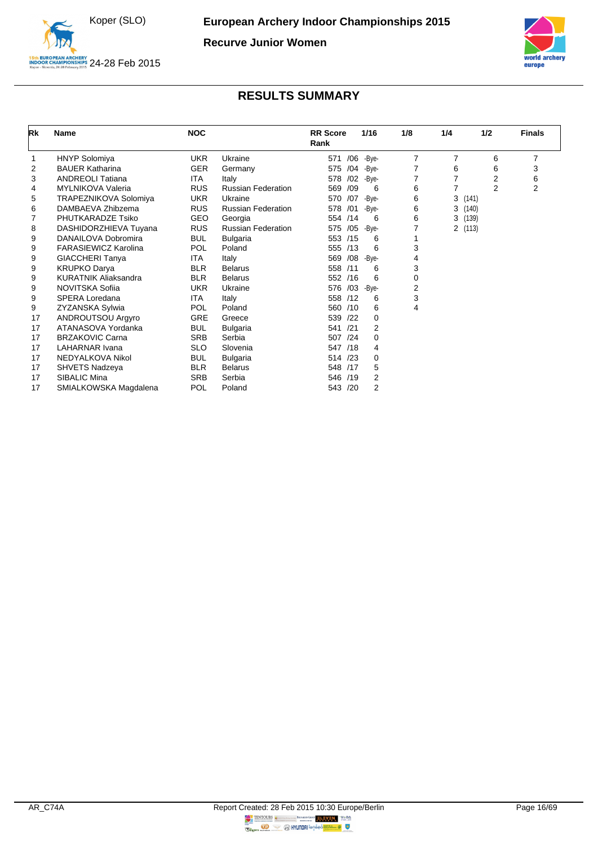

**Recurve Junior Women**



<span id="page-16-0"></span>

| Rk | <b>Name</b>                 | <b>NOC</b> |                           | <b>RR</b> Score<br>Rank |     | 1/16     | 1/8            | 1/4            | 1/2            | <b>Finals</b>  |
|----|-----------------------------|------------|---------------------------|-------------------------|-----|----------|----------------|----------------|----------------|----------------|
|    | <b>HNYP Solomiya</b>        | <b>UKR</b> | Ukraine                   | 571                     | /06 | -Bye-    | $\overline{7}$ | 7              | 6              | 7              |
| 2  | <b>BAUER Katharina</b>      | <b>GER</b> | Germany                   | 575                     | /04 | -Bye-    | 7              | 6              | 6              | 3              |
| 3  | <b>ANDREOLI Tatiana</b>     | <b>ITA</b> | Italy                     | 578                     | /02 | -Bye-    | 7              | 7              | 2              | 6              |
| 4  | MYLNIKOVA Valeria           | <b>RUS</b> | <b>Russian Federation</b> | 569 /09                 |     | 6        | 6              | 7              | $\overline{2}$ | $\overline{2}$ |
| 5  | TRAPEZNIKOVA Solomiya       | <b>UKR</b> | Ukraine                   | 570                     | /07 | -Bye-    | 6              | 3              | (141)          |                |
| 6  | DAMBAEVA Zhibzema           | <b>RUS</b> | <b>Russian Federation</b> | 578                     | /01 | -Bye-    | 6              | 3              | (140)          |                |
| 7  | PHUTKARADZE Tsiko           | <b>GEO</b> | Georgia                   | 554 /14                 |     | 6        | 6              | 3              | (139)          |                |
| 8  | DASHIDORZHIEVA Tuyana       | <b>RUS</b> | <b>Russian Federation</b> | 575 /05 -Bye-           |     |          |                | $\overline{2}$ | (113)          |                |
| 9  | DANAILOVA Dobromira         | <b>BUL</b> | <b>Bulgaria</b>           | 553 /15                 |     | 6        |                |                |                |                |
| 9  | <b>FARASIEWICZ Karolina</b> | POL        | Poland                    | 555 /13                 |     | 6        | 3              |                |                |                |
| 9  | <b>GIACCHERI Tanya</b>      | <b>ITA</b> | Italy                     | 569                     | /08 | -Bye-    | 4              |                |                |                |
| 9  | <b>KRUPKO Darya</b>         | <b>BLR</b> | <b>Belarus</b>            | 558 /11                 |     | 6        | 3              |                |                |                |
| 9  | <b>KURATNIK Aliaksandra</b> | <b>BLR</b> | <b>Belarus</b>            | 552 /16                 |     | 6        | 0              |                |                |                |
| 9  | NOVITSKA Sofiia             | <b>UKR</b> | Ukraine                   | 576                     | /03 | -Bye-    | 2              |                |                |                |
| 9  | SPERA Loredana              | <b>ITA</b> | Italy                     | 558 /12                 |     | 6        | 3              |                |                |                |
| 9  | ZYZANSKA Sylwia             | <b>POL</b> | Poland                    | 560 /10                 |     | 6        | 4              |                |                |                |
| 17 | <b>ANDROUTSOU Argyro</b>    | GRE        | Greece                    | 539                     | /22 | $\Omega$ |                |                |                |                |
| 17 | ATANASOVA Yordanka          | <b>BUL</b> | <b>Bulgaria</b>           | 541                     | /21 | 2        |                |                |                |                |
| 17 | <b>BRZAKOVIC Carna</b>      | <b>SRB</b> | Serbia                    | 507 /24                 |     | 0        |                |                |                |                |
| 17 | <b>LAHARNAR</b> Ivana       | <b>SLO</b> | Slovenia                  | 547 /18                 |     | 4        |                |                |                |                |
| 17 | NEDYALKOVA Nikol            | <b>BUL</b> | <b>Bulgaria</b>           | 514 /23                 |     | 0        |                |                |                |                |
| 17 | SHVETS Nadzeya              | <b>BLR</b> | <b>Belarus</b>            | 548 /17                 |     | 5        |                |                |                |                |
| 17 | SIBALIC Mina                | <b>SRB</b> | Serbia                    | 546 /19                 |     | 2        |                |                |                |                |
| 17 | SMIALKOWSKA Magdalena       | POL        | Poland                    | 543 /20                 |     | 2        |                |                |                |                |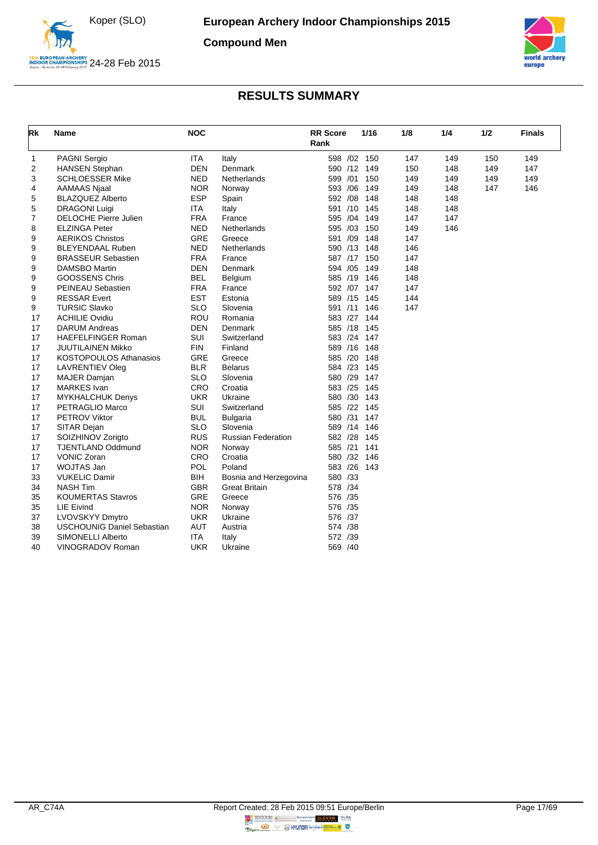

**Compound Men**



<span id="page-17-0"></span>

| Rk             | Name                              | <b>NOC</b> |                           | <b>RR</b> Score<br>Rank |     | 1/16 | 1/8 | 1/4 | 1/2 | <b>Finals</b> |
|----------------|-----------------------------------|------------|---------------------------|-------------------------|-----|------|-----|-----|-----|---------------|
| 1              | <b>PAGNI Sergio</b>               | <b>ITA</b> | Italy                     | 598 /02 150             |     |      | 147 | 149 | 150 | 149           |
| $\overline{2}$ | <b>HANSEN Stephan</b>             | <b>DEN</b> | Denmark                   | 590 /12 149             |     |      | 150 | 148 | 149 | 147           |
| 3              | <b>SCHLOESSER Mike</b>            | <b>NED</b> | Netherlands               | 599 /01                 |     | 150  | 149 | 149 | 149 | 149           |
| 4              | AAMAAS Njaal                      | <b>NOR</b> | Norway                    | 593 /06                 |     | 149  | 149 | 148 | 147 | 146           |
| 5              | <b>BLAZQUEZ Alberto</b>           | <b>ESP</b> | Spain                     | 592 /08                 |     | 148  | 148 | 148 |     |               |
| 5              | <b>DRAGONI Luigi</b>              | <b>ITA</b> | Italy                     | 591 /10                 |     | 145  | 148 | 148 |     |               |
| 7              | <b>DELOCHE Pierre Julien</b>      | <b>FRA</b> | France                    | 595 /04                 |     | 149  | 147 | 147 |     |               |
| 8              | <b>ELZINGA Peter</b>              | <b>NED</b> | Netherlands               | 595 /03                 |     | 150  | 149 | 146 |     |               |
| 9              | <b>AERIKOS Christos</b>           | GRE        | Greece                    | 591                     | /09 | 148  | 147 |     |     |               |
| 9              | <b>BLEYENDAAL Ruben</b>           | <b>NED</b> | Netherlands               | 590 /13                 |     | 148  | 146 |     |     |               |
| 9              | <b>BRASSEUR Sebastien</b>         | <b>FRA</b> | France                    | 587 /17                 |     | 150  | 147 |     |     |               |
| 9              | <b>DAMSBO Martin</b>              | <b>DEN</b> | Denmark                   | 594 /05                 |     | 149  | 148 |     |     |               |
| 9              | <b>GOOSSENS Chris</b>             | <b>BEL</b> | Belgium                   | 585 /19                 |     | 146  | 148 |     |     |               |
| 9              | PEINEAU Sebastien                 | <b>FRA</b> | France                    | 592 /07 147             |     |      | 147 |     |     |               |
| 9              | <b>RESSAR Evert</b>               | <b>EST</b> | Estonia                   | 589 /15                 |     | 145  | 144 |     |     |               |
| 9              | <b>TURSIC Slavko</b>              | <b>SLO</b> | Slovenia                  | 591 /11 146             |     |      | 147 |     |     |               |
| 17             | <b>ACHILIE Ovidiu</b>             | <b>ROU</b> | Romania                   | 583 /27                 |     | 144  |     |     |     |               |
| 17             | <b>DARUM Andreas</b>              | <b>DEN</b> | Denmark                   | 585 /18                 |     | 145  |     |     |     |               |
| 17             | <b>HAEFELFINGER Roman</b>         | <b>SUI</b> | Switzerland               | 583 /24 147             |     |      |     |     |     |               |
| 17             | JUUTILAINEN Mikko                 | <b>FIN</b> | Finland                   | 589 /16 148             |     |      |     |     |     |               |
| 17             | <b>KOSTOPOULOS Athanasios</b>     | GRE        | Greece                    | 585 /20 148             |     |      |     |     |     |               |
| 17             | <b>LAVRENTIEV Oleg</b>            | <b>BLR</b> | <b>Belarus</b>            | 584 /23                 |     | 145  |     |     |     |               |
| 17             | <b>MAJER Damjan</b>               | <b>SLO</b> | Slovenia                  | 580 /29                 |     | 147  |     |     |     |               |
| 17             | <b>MARKES</b> Ivan                | CRO        | Croatia                   | 583 /25 145             |     |      |     |     |     |               |
| 17             | <b>MYKHALCHUK Denys</b>           | <b>UKR</b> | Ukraine                   | 580 /30 143             |     |      |     |     |     |               |
| 17             | PETRAGLIO Marco                   | SUI        | Switzerland               | 585 /22                 |     | 145  |     |     |     |               |
| 17             | PETROV Viktor                     | <b>BUL</b> | <b>Bulgaria</b>           | 580 /31                 |     | 147  |     |     |     |               |
| 17             | SITAR Dejan                       | <b>SLO</b> | Slovenia                  | 589 /14                 |     | 146  |     |     |     |               |
| 17             | SOIZHINOV Zorigto                 | <b>RUS</b> | <b>Russian Federation</b> | 582 /28                 |     | 145  |     |     |     |               |
| 17             | <b>TJENTLAND Oddmund</b>          | <b>NOR</b> | Norway                    | 585 /21                 |     | 141  |     |     |     |               |
| 17             | <b>VONIC Zoran</b>                | CRO        | Croatia                   | 580 /32 146             |     |      |     |     |     |               |
| 17             | WOJTAS Jan                        | <b>POL</b> | Poland                    | 583 /26 143             |     |      |     |     |     |               |
| 33             | <b>VUKELIC Damir</b>              | <b>BIH</b> | Bosnia and Herzegovina    | 580 /33                 |     |      |     |     |     |               |
| 34             | <b>NASH Tim</b>                   | <b>GBR</b> | <b>Great Britain</b>      | 578 /34                 |     |      |     |     |     |               |
| 35             | <b>KOUMERTAS Stavros</b>          | GRE        | Greece                    | 576 /35                 |     |      |     |     |     |               |
| 35             | <b>LIE Eivind</b>                 | <b>NOR</b> | Norway                    | 576 /35                 |     |      |     |     |     |               |
| 37             | LVOVSKYY Dmytro                   | <b>UKR</b> | Ukraine                   | 576 /37                 |     |      |     |     |     |               |
| 38             | <b>USCHOUNIG Daniel Sebastian</b> | <b>AUT</b> | Austria                   | 574 /38                 |     |      |     |     |     |               |
| 39             | SIMONELLI Alberto                 | <b>ITA</b> | Italy                     | 572 /39                 |     |      |     |     |     |               |
| 40             | VINOGRADOV Roman                  | <b>UKR</b> | Ukraine                   | 569 /40                 |     |      |     |     |     |               |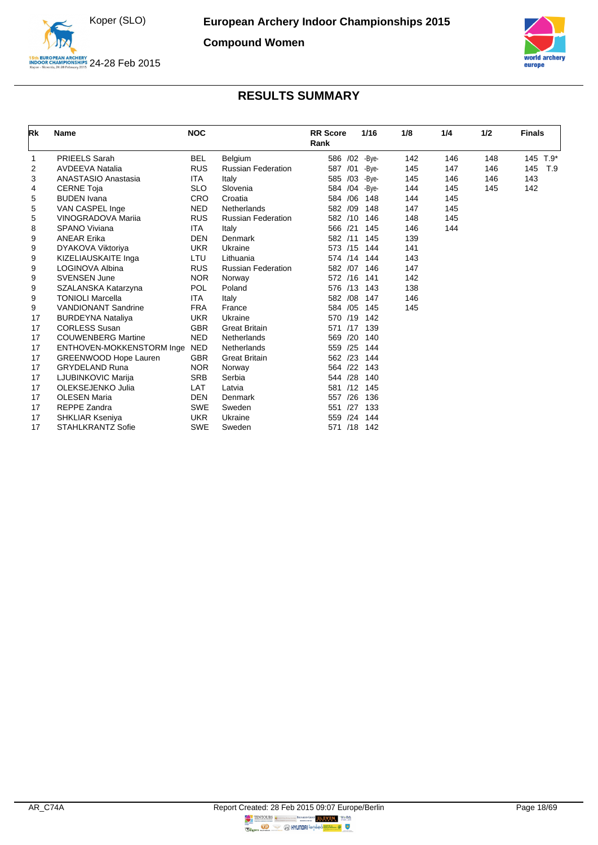

**Compound Women**



<span id="page-18-0"></span>

| Rk | <b>Name</b>                  | <b>NOC</b> |                           | <b>RR</b> Score<br>Rank | 1/16  | 1/8 | 1/4 | 1/2 | <b>Finals</b> |        |
|----|------------------------------|------------|---------------------------|-------------------------|-------|-----|-----|-----|---------------|--------|
| 1  | <b>PRIEELS Sarah</b>         | <b>BEL</b> | Belgium                   | 586 /02                 | -Bye- | 142 | 146 | 148 | 145           | $T.9*$ |
| 2  | <b>AVDEEVA Natalia</b>       | <b>RUS</b> | <b>Russian Federation</b> | 587<br>/01              | -Bye- | 145 | 147 | 146 | 145           | T.9    |
| 3  | <b>ANASTASIO Anastasia</b>   | <b>ITA</b> | Italy                     | 585 /03                 | -Bye- | 145 | 146 | 146 | 143           |        |
| 4  | <b>CERNE Toja</b>            | <b>SLO</b> | Slovenia                  | 584 /04                 | -Bye- | 144 | 145 | 145 | 142           |        |
| 5  | <b>BUDEN</b> Ivana           | <b>CRO</b> | Croatia                   | /06<br>584              | 148   | 144 | 145 |     |               |        |
| 5  | VAN CASPEL Inge              | <b>NED</b> | Netherlands               | 582<br>/09              | 148   | 147 | 145 |     |               |        |
| 5  | <b>VINOGRADOVA Marija</b>    | <b>RUS</b> | <b>Russian Federation</b> | 582<br>/10              | 146   | 148 | 145 |     |               |        |
| 8  | SPANO Viviana                | <b>ITA</b> | Italy                     | 566 /21                 | 145   | 146 | 144 |     |               |        |
| 9  | <b>ANEAR Erika</b>           | <b>DEN</b> | Denmark                   | 582 /11                 | 145   | 139 |     |     |               |        |
| 9  | DYAKOVA Viktoriya            | <b>UKR</b> | Ukraine                   | 573<br>/15              | 144   | 141 |     |     |               |        |
| 9  | KIZELIAUSKAITE Inga          | LTU        | Lithuania                 | 574 /14                 | 144   | 143 |     |     |               |        |
| 9  | LOGINOVA Albina              | <b>RUS</b> | <b>Russian Federation</b> | 582 /07                 | 146   | 147 |     |     |               |        |
| 9  | <b>SVENSEN June</b>          | <b>NOR</b> | Norway                    | 572 /16                 | 141   | 142 |     |     |               |        |
| 9  | SZALANSKA Katarzyna          | <b>POL</b> | Poland                    | 576 /13                 | 143   | 138 |     |     |               |        |
| 9  | <b>TONIOLI Marcella</b>      | <b>ITA</b> | Italy                     | /08<br>582              | 147   | 146 |     |     |               |        |
| 9  | <b>VANDIONANT Sandrine</b>   | <b>FRA</b> | France                    | /05<br>584              | 145   | 145 |     |     |               |        |
| 17 | <b>BURDEYNA Nataliya</b>     | <b>UKR</b> | Ukraine                   | /19<br>570              | 142   |     |     |     |               |        |
| 17 | <b>CORLESS Susan</b>         | <b>GBR</b> | <b>Great Britain</b>      | /17<br>571              | 139   |     |     |     |               |        |
| 17 | <b>COUWENBERG Martine</b>    | <b>NED</b> | Netherlands               | /20<br>569              | 140   |     |     |     |               |        |
| 17 | ENTHOVEN-MOKKENSTORM Inge    | <b>NED</b> | Netherlands               | /25<br>559              | 144   |     |     |     |               |        |
| 17 | <b>GREENWOOD Hope Lauren</b> | <b>GBR</b> | <b>Great Britain</b>      | /23<br>562              | 144   |     |     |     |               |        |
| 17 | <b>GRYDELAND Runa</b>        | <b>NOR</b> | Norway                    | /22<br>564              | 143   |     |     |     |               |        |
| 17 | LJUBINKOVIC Marija           | <b>SRB</b> | Serbia                    | /28<br>544              | 140   |     |     |     |               |        |
| 17 | OLEKSEJENKO Julia            | LAT        | Latvia                    | /12<br>581              | 145   |     |     |     |               |        |
| 17 | <b>OLESEN Maria</b>          | <b>DEN</b> | Denmark                   | /26<br>557              | 136   |     |     |     |               |        |
| 17 | <b>REPPE Zandra</b>          | <b>SWE</b> | Sweden                    | /27<br>551              | 133   |     |     |     |               |        |
| 17 | <b>SHKLIAR Kseniya</b>       | <b>UKR</b> | Ukraine                   | /24<br>559              | 144   |     |     |     |               |        |
| 17 | <b>STAHLKRANTZ Sofie</b>     | <b>SWE</b> | Sweden                    | /18<br>571              | 142   |     |     |     |               |        |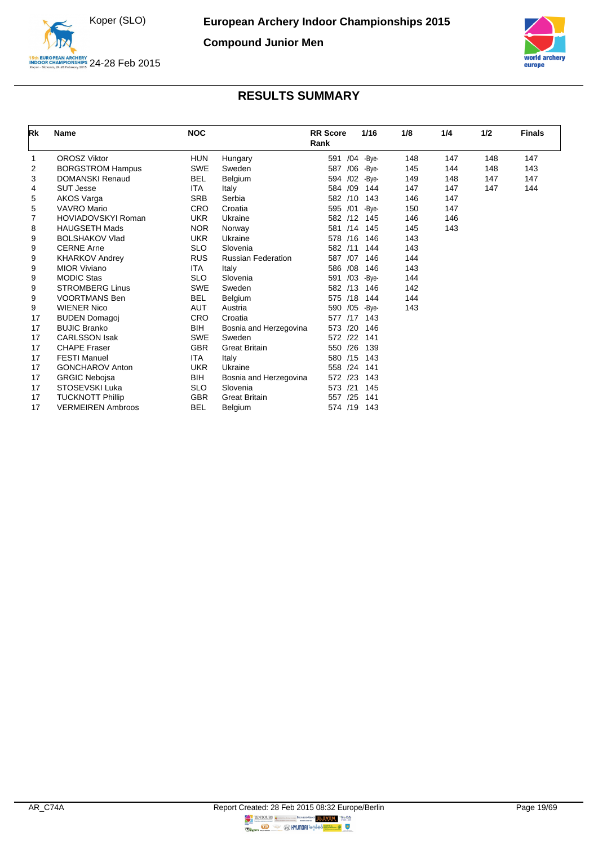

**Compound Junior Men**



<span id="page-19-0"></span>

| Rk | <b>Name</b>              | <b>NOC</b> |                           | <b>RR</b> Score<br>Rank | 1/16       | 1/8 | 1/4 | 1/2 | <b>Finals</b> |
|----|--------------------------|------------|---------------------------|-------------------------|------------|-----|-----|-----|---------------|
| 1  | <b>OROSZ Viktor</b>      | <b>HUN</b> | Hungary                   | 591                     | /04 - Bye- | 148 | 147 | 148 | 147           |
| 2  | <b>BORGSTROM Hampus</b>  | <b>SWE</b> | Sweden                    | 587                     | /06 - Bye- | 145 | 144 | 148 | 143           |
| 3  | <b>DOMANSKI Renaud</b>   | <b>BEL</b> | Belgium                   | /02<br>594              | -Bye-      | 149 | 148 | 147 | 147           |
| 4  | <b>SUT Jesse</b>         | <b>ITA</b> | Italy                     | /09<br>584              | 144        | 147 | 147 | 147 | 144           |
| 5  | <b>AKOS Varga</b>        | <b>SRB</b> | Serbia                    | 582 /10                 | 143        | 146 | 147 |     |               |
| 5  | <b>VAVRO Mario</b>       | CRO        | Croatia                   | /01<br>595              | -Bye-      | 150 | 147 |     |               |
|    | HOVIADOVSKYI Roman       | <b>UKR</b> | Ukraine                   | 582 /12                 | 145        | 146 | 146 |     |               |
| 8  | <b>HAUGSETH Mads</b>     | <b>NOR</b> | Norway                    | /14<br>581              | 145        | 145 | 143 |     |               |
| 9  | <b>BOLSHAKOV Vlad</b>    | <b>UKR</b> | Ukraine                   | 578 /16                 | 146        | 143 |     |     |               |
| 9  | <b>CERNE Arne</b>        | <b>SLO</b> | Slovenia                  | 582<br>/11              | 144        | 143 |     |     |               |
| 9  | <b>KHARKOV Andrey</b>    | <b>RUS</b> | <b>Russian Federation</b> | /07<br>587              | 146        | 144 |     |     |               |
| 9  | <b>MIOR Viviano</b>      | <b>ITA</b> | Italy                     | /08<br>586              | 146        | 143 |     |     |               |
| 9  | <b>MODIC Stas</b>        | <b>SLO</b> | Slovenia                  | /03<br>591              | -Bye-      | 144 |     |     |               |
| 9  | <b>STROMBERG Linus</b>   | <b>SWE</b> | Sweden                    | 582 /13                 | 146        | 142 |     |     |               |
| 9  | <b>VOORTMANS Ben</b>     | <b>BEL</b> | Belgium                   | /18<br>575              | 144        | 144 |     |     |               |
| 9  | <b>WIENER Nico</b>       | <b>AUT</b> | Austria                   | 590 /05                 | -Bye-      | 143 |     |     |               |
| 17 | <b>BUDEN Domagoj</b>     | CRO        | Croatia                   | /17<br>577              | 143        |     |     |     |               |
| 17 | <b>BUJIC Branko</b>      | BIH        | Bosnia and Herzegovina    | /20<br>573              | 146        |     |     |     |               |
| 17 | <b>CARLSSON Isak</b>     | <b>SWE</b> | Sweden                    | 122<br>572              | 141        |     |     |     |               |
| 17 | <b>CHAPE Fraser</b>      | <b>GBR</b> | <b>Great Britain</b>      | 550 /26                 | 139        |     |     |     |               |
| 17 | <b>FESTI Manuel</b>      | <b>ITA</b> | Italy                     | 580 /15                 | 143        |     |     |     |               |
| 17 | <b>GONCHAROV Anton</b>   | <b>UKR</b> | Ukraine                   | /24<br>558              | 141        |     |     |     |               |
| 17 | <b>GRGIC Nebojsa</b>     | BIH        | Bosnia and Herzegovina    | 572 /23                 | 143        |     |     |     |               |
| 17 | STOSEVSKI Luka           | <b>SLO</b> | Slovenia                  | 573<br>/21              | 145        |     |     |     |               |
| 17 | <b>TUCKNOTT Phillip</b>  | <b>GBR</b> | <b>Great Britain</b>      | /25<br>557              | 141        |     |     |     |               |
| 17 | <b>VERMEIREN Ambroos</b> | <b>BEL</b> | Belgium                   | 574 /19 143             |            |     |     |     |               |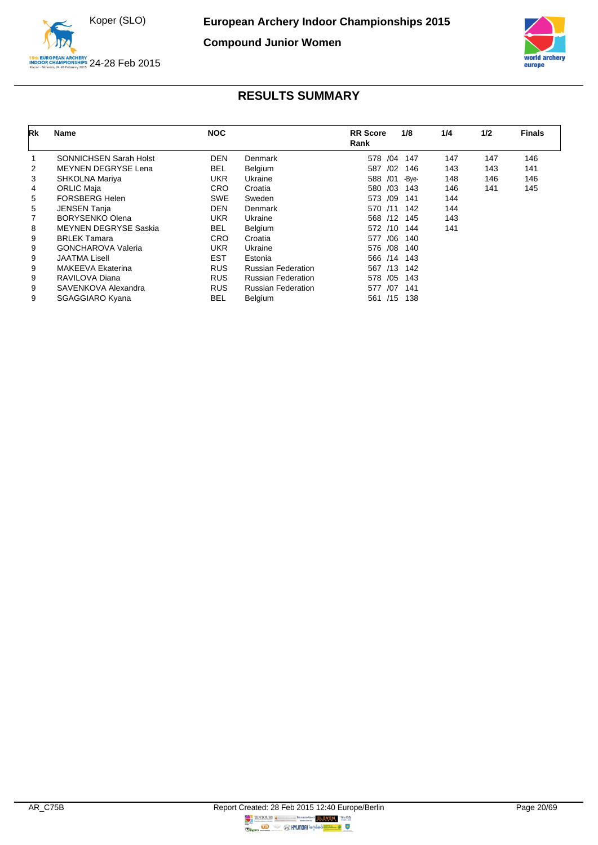

**Compound Junior Women**



<span id="page-20-0"></span>

| Rk             | <b>Name</b>                  | <b>NOC</b> |                           | <b>RR</b> Score<br>Rank | 1/8   | 1/4 | 1/2 | <b>Finals</b> |
|----------------|------------------------------|------------|---------------------------|-------------------------|-------|-----|-----|---------------|
| 1              | SONNICHSEN Sarah Holst       | DEN        | <b>Denmark</b>            | 578<br>/04              | 147   | 147 | 147 | 146           |
| $\overline{2}$ | <b>MEYNEN DEGRYSE Lena</b>   | <b>BEL</b> | Belgium                   | /02<br>587              | 146   | 143 | 143 | 141           |
| 3              | SHKOLNA Mariya               | <b>UKR</b> | Ukraine                   | /01<br>588              | -Bye- | 148 | 146 | 146           |
| 4              | <b>ORLIC Maja</b>            | <b>CRO</b> | Croatia                   | /03<br>580              | 143   | 146 | 141 | 145           |
| 5              | <b>FORSBERG Helen</b>        | <b>SWE</b> | Sweden                    | /09<br>573              | 141   | 144 |     |               |
| 5              | <b>JENSEN Tanja</b>          | <b>DEN</b> | Denmark                   | 570<br>/11              | 142   | 144 |     |               |
|                | <b>BORYSENKO Olena</b>       | <b>UKR</b> | Ukraine                   | 568<br>/12              | 145   | 143 |     |               |
| 8              | <b>MEYNEN DEGRYSE Saskia</b> | <b>BEL</b> | Belgium                   | 572<br>/10              | 144   | 141 |     |               |
| 9              | <b>BRLEK Tamara</b>          | <b>CRO</b> | Croatia                   | /06<br>577              | 140   |     |     |               |
| 9              | <b>GONCHAROVA Valeria</b>    | <b>UKR</b> | Ukraine                   | /08<br>576              | 140   |     |     |               |
| 9              | JAATMA Lisell                | EST        | Estonia                   | 566<br>/14              | 143   |     |     |               |
| 9              | <b>MAKEEVA Ekaterina</b>     | <b>RUS</b> | <b>Russian Federation</b> | /13<br>567              | 142   |     |     |               |
| 9              | RAVILOVA Diana               | <b>RUS</b> | <b>Russian Federation</b> | /05<br>578              | 143   |     |     |               |
| 9              | SAVENKOVA Alexandra          | <b>RUS</b> | <b>Russian Federation</b> | /07<br>577              | 141   |     |     |               |
| 9              | <b>SGAGGIARO Kyana</b>       | <b>BEL</b> | Belgium                   | /15<br>561              | 138   |     |     |               |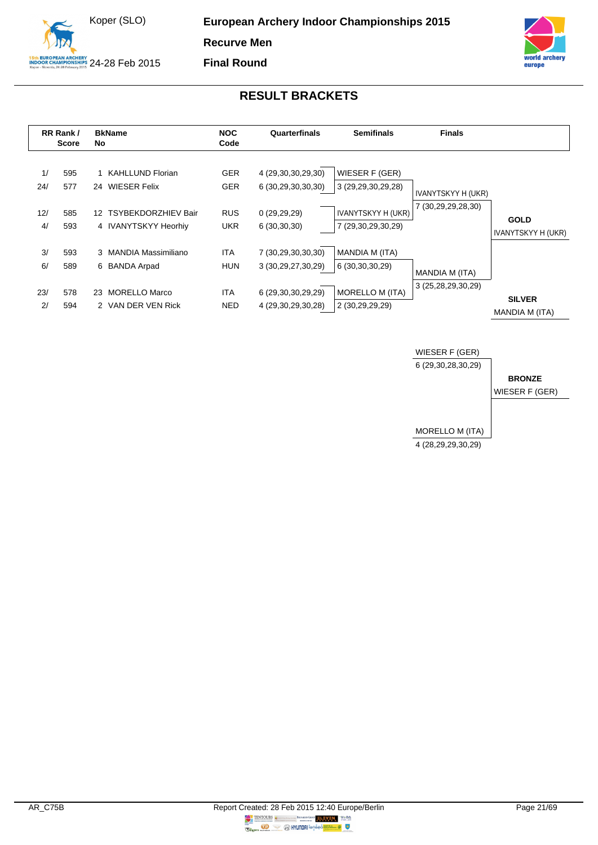



<span id="page-21-0"></span>

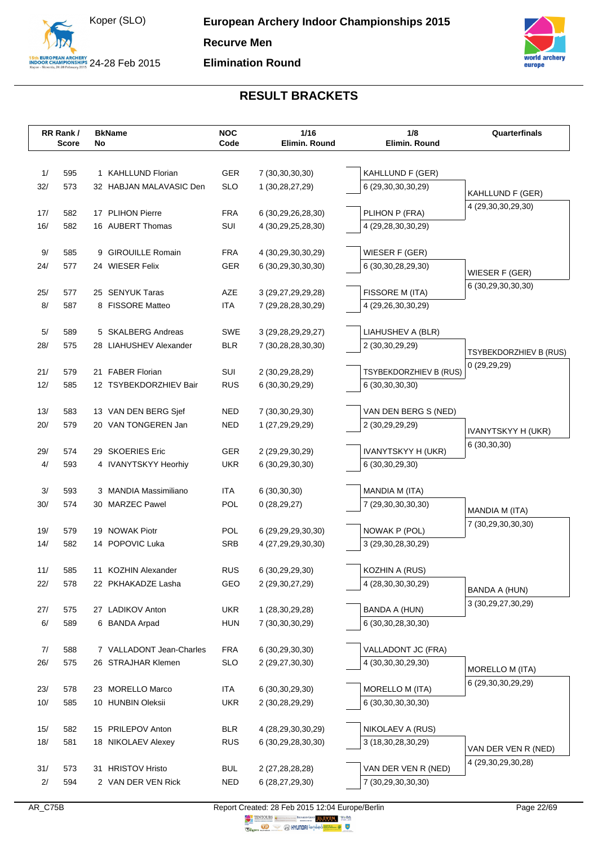



|            | RR Rank/     | <b>BkName</b>                              | <b>NOC</b>        | 1/16                                         | 1/8                                       | Quarterfinals                 |
|------------|--------------|--------------------------------------------|-------------------|----------------------------------------------|-------------------------------------------|-------------------------------|
|            | <b>Score</b> | No                                         | Code              | Elimin. Round                                | Elimin. Round                             |                               |
|            |              |                                            |                   |                                              |                                           |                               |
| 1/         | 595          | 1 KAHLLUND Florian                         | GER               | 7 (30, 30, 30, 30)                           | KAHLLUND F (GER)                          |                               |
| 32/        | 573          | 32 HABJAN MALAVASIC Den                    | <b>SLO</b>        | 1 (30,28,27,29)                              | 6 (29,30,30,30,29)                        | KAHLLUND F (GER)              |
|            |              | 17 PLIHON Pierre                           |                   |                                              |                                           | 4 (29,30,30,29,30)            |
| 17/<br>16/ | 582<br>582   | 16 AUBERT Thomas                           | <b>FRA</b><br>SUI | 6 (30, 29, 26, 28, 30)<br>4 (30,29,25,28,30) | PLIHON P (FRA)<br>4 (29,28,30,30,29)      |                               |
|            |              |                                            |                   |                                              |                                           |                               |
| 9/         | 585          | 9 GIROUILLE Romain                         | <b>FRA</b>        | 4 (30,29,30,30,29)                           | WIESER F (GER)                            |                               |
| 24/        | 577          | 24 WIESER Felix                            | <b>GER</b>        | 6 (30,29,30,30,30)                           | 6 (30, 30, 28, 29, 30)                    |                               |
|            |              |                                            |                   |                                              |                                           | WIESER F (GER)                |
| 25/        | 577          | 25 SENYUK Taras                            | AZE               | 3 (29, 27, 29, 29, 28)                       | FISSORE M (ITA)                           | 6 (30,29,30,30,30)            |
| 8/         | 587          | 8 FISSORE Matteo                           | <b>ITA</b>        | 7 (29,28,28,30,29)                           | 4 (29,26,30,30,29)                        |                               |
|            |              |                                            |                   |                                              |                                           |                               |
| 5/         | 589          | 5 SKALBERG Andreas                         | SWE               | 3 (29, 28, 29, 29, 27)                       | LIAHUSHEV A (BLR)                         |                               |
| 28/        | 575          | 28 LIAHUSHEV Alexander                     | <b>BLR</b>        | 7 (30,28,28,30,30)                           | 2 (30,30,29,29)                           | <b>TSYBEKDORZHIEV B (RUS)</b> |
|            |              |                                            |                   |                                              |                                           | 0(29,29,29)                   |
| 21/<br>12/ | 579<br>585   | 21 FABER Florian<br>12 TSYBEKDORZHIEV Bair | SUI<br><b>RUS</b> | 2 (30,29,28,29)                              | TSYBEKDORZHIEV B (RUS)<br>6 (30,30,30,30) |                               |
|            |              |                                            |                   | 6 (30, 30, 29, 29)                           |                                           |                               |
| 13/        | 583          | 13 VAN DEN BERG Sjef                       | <b>NED</b>        | 7 (30, 30, 29, 30)                           | VAN DEN BERG S (NED)                      |                               |
| 20/        | 579          | 20 VAN TONGEREN Jan                        | NED               | 1 (27,29,29,29)                              | 2 (30,29,29,29)                           |                               |
|            |              |                                            |                   |                                              |                                           | IVANYTSKYY H (UKR)            |
| 29/        | 574          | 29 SKOERIES Eric                           | GER               | 2 (29,29,30,29)                              | IVANYTSKYY H (UKR)                        | 6 (30,30,30)                  |
| 4/         | 593          | 4 IVANYTSKYY Heorhiy                       | <b>UKR</b>        | 6 (30,29,30,30)                              | 6 (30, 30, 29, 30)                        |                               |
|            |              |                                            |                   |                                              |                                           |                               |
| 3/         | 593          | 3 MANDIA Massimiliano                      | <b>ITA</b>        | 6(30,30,30)                                  | MANDIA M (ITA)                            |                               |
| 30/        | 574          | 30 MARZEC Pawel                            | POL               | 0(28, 29, 27)                                | 7 (29,30,30,30,30)                        | MANDIA M (ITA)                |
|            |              |                                            |                   |                                              |                                           | 7 (30,29,30,30,30)            |
| 19/<br>14/ | 579<br>582   | 19 NOWAK Piotr<br>14 POPOVIC Luka          | <b>POL</b><br>SRB | 6 (29,29,29,30,30)                           | NOWAK P (POL)                             |                               |
|            |              |                                            |                   | 4 (27,29,29,30,30)                           | 3 (29,30,28,30,29)                        |                               |
| $11/$      | 585          | 11 KOZHIN Alexander                        | <b>RUS</b>        | 6 (30,29,29,30)                              | KOZHIN A (RUS)                            |                               |
| 22/        | 578          | 22 PKHAKADZE Lasha                         | GEO               | 2 (29,30,27,29)                              | 4 (28,30,30,30,29)                        |                               |
|            |              |                                            |                   |                                              |                                           | <b>BANDA A (HUN)</b>          |
| 27/        | 575          | 27 LADIKOV Anton                           | <b>UKR</b>        | 1 (28,30,29,28)                              | <b>BANDA A (HUN)</b>                      | 3 (30,29,27,30,29)            |
| 6/         | 589          | 6 BANDA Arpad                              | <b>HUN</b>        | 7 (30,30,30,29)                              | 6 (30, 30, 28, 30, 30)                    |                               |
|            |              |                                            |                   |                                              |                                           |                               |
| 7/         | 588          | 7 VALLADONT Jean-Charles                   | <b>FRA</b>        | 6 (30,29,30,30)                              | VALLADONT JC (FRA)                        |                               |
| 26/        | 575          | 26 STRAJHAR Klemen                         | <b>SLO</b>        | 2 (29,27,30,30)                              | 4 (30,30,30,29,30)                        | MORELLO M (ITA)               |
|            |              |                                            |                   |                                              |                                           | 6 (29,30,30,29,29)            |
| 23/        | 578          | 23 MORELLO Marco                           | <b>ITA</b>        | 6 (30, 30, 29, 30)                           | MORELLO M (ITA)                           |                               |
| 10/        | 585          | 10 HUNBIN Oleksii                          | <b>UKR</b>        | 2 (30,28,29,29)                              | 6 (30, 30, 30, 30, 30)                    |                               |
| 15/        | 582          | 15 PRILEPOV Anton                          | <b>BLR</b>        | 4 (28,29,30,30,29)                           | NIKOLAEV A (RUS)                          |                               |
| 18/        | 581          | <b>NIKOLAEV Alexey</b><br>18               | <b>RUS</b>        | 6 (30,29,28,30,30)                           | 3 (18,30,28,30,29)                        |                               |
|            |              |                                            |                   |                                              |                                           | VAN DER VEN R (NED)           |
| 31/        | 573          | <b>HRISTOV Hristo</b><br>31                | <b>BUL</b>        | 2 (27,28,28,28)                              | VAN DER VEN R (NED)                       | 4 (29, 30, 29, 30, 28)        |
| 2/         | 594          | 2 VAN DER VEN Rick                         | <b>NED</b>        | 6 (28,27,29,30)                              | 7 (30,29,30,30,30)                        |                               |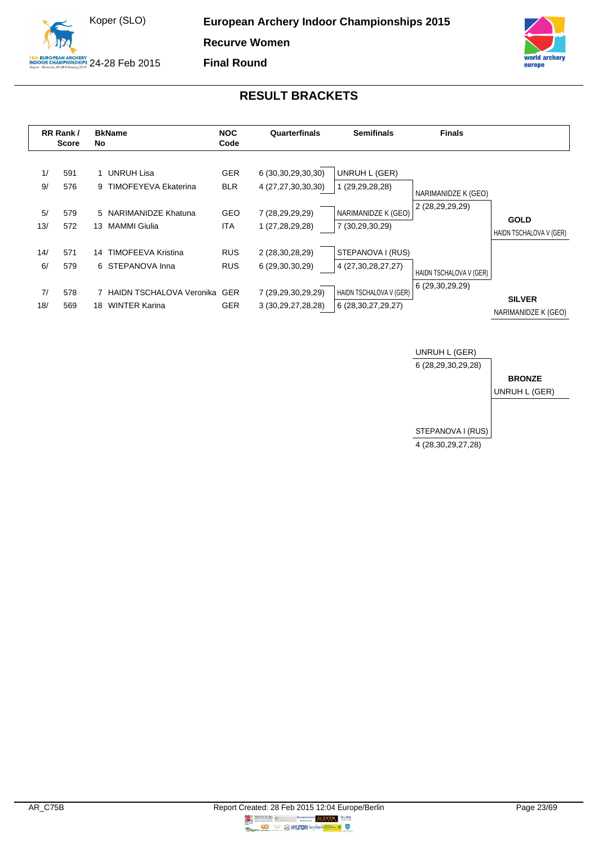



**Final Round**

<span id="page-23-0"></span>

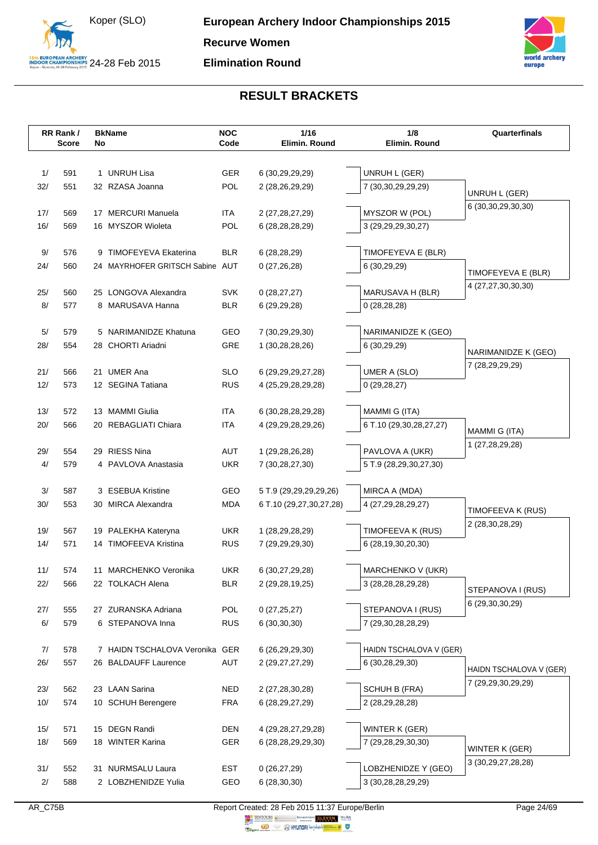



|     | RR Rank/     |    | <b>BkName</b>                   | <b>NOC</b> | 1/16                    | 1/8<br>Elimin. Round    | Quarterfinals           |
|-----|--------------|----|---------------------------------|------------|-------------------------|-------------------------|-------------------------|
|     | <b>Score</b> | No |                                 | Code       | Elimin. Round           |                         |                         |
|     |              |    |                                 |            |                         |                         |                         |
| 1/  | 591          |    | 1 UNRUH Lisa                    | <b>GER</b> | 6 (30,29,29,29)         | UNRUH L (GER)           |                         |
| 32/ | 551          |    | 32 RZASA Joanna                 | POL        | 2 (28,26,29,29)         | 7 (30,30,29,29,29)      | UNRUH L (GER)           |
| 17/ | 569          |    | 17 MERCURI Manuela              | <b>ITA</b> | 2 (27,28,27,29)         | MYSZOR W (POL)          | 6 (30, 30, 29, 30, 30)  |
| 16/ | 569          |    | 16 MYSZOR Wioleta               | POL        | 6 (28, 28, 28, 29)      | 3 (29,29,29,30,27)      |                         |
|     |              |    |                                 |            |                         |                         |                         |
| 9/  | 576          |    | 9 TIMOFEYEVA Ekaterina          | <b>BLR</b> | 6 (28,28,29)            | TIMOFEYEVA E (BLR)      |                         |
| 24/ | 560          |    | 24 MAYRHOFER GRITSCH Sabine AUT |            | 0(27,26,28)             | 6 (30,29,29)            |                         |
|     |              |    |                                 |            |                         |                         | TIMOFEYEVA E (BLR)      |
| 25/ | 560          |    | 25 LONGOVA Alexandra            | <b>SVK</b> | 0(28, 27, 27)           | MARUSAVA H (BLR)        | 4 (27,27,30,30,30)      |
| 8/  | 577          |    | 8 MARUSAVA Hanna                | <b>BLR</b> | 6(29,29,28)             | 0(28, 28, 28)           |                         |
|     |              |    |                                 |            |                         |                         |                         |
| 5/  | 579          |    | 5 NARIMANIDZE Khatuna           | GEO        | 7 (30,29,29,30)         | NARIMANIDZE K (GEO)     |                         |
| 28/ | 554          |    | 28 CHORTI Ariadni               | GRE        | 1 (30,28,28,26)         | 6 (30,29,29)            | NARIMANIDZE K (GEO)     |
|     |              |    |                                 |            |                         |                         | 7 (28,29,29,29)         |
| 21/ | 566          |    | 21 UMER Ana                     | <b>SLO</b> | 6 (29, 29, 29, 27, 28)  | <b>UMER A (SLO)</b>     |                         |
| 12/ | 573          |    | 12 SEGINA Tatiana               | <b>RUS</b> | 4 (25, 29, 28, 29, 28)  | 0(29, 28, 27)           |                         |
|     |              |    |                                 |            |                         |                         |                         |
| 13/ | 572          |    | 13 MAMMI Giulia                 | <b>ITA</b> | 6 (30,28,28,29,28)      | MAMMI G (ITA)           |                         |
| 20/ | 566          | 20 | REBAGLIATI Chiara               | <b>ITA</b> | 4 (29, 29, 28, 29, 26)  | 6 T.10 (29,30,28,27,27) | MAMMI G (ITA)           |
| 29/ | 554          |    | 29 RIESS Nina                   | AUT        | 1 (29,28,26,28)         | PAVLOVA A (UKR)         | 1 (27,28,29,28)         |
| 4/  | 579          |    | 4 PAVLOVA Anastasia             | <b>UKR</b> | 7 (30,28,27,30)         | 5 T.9 (28,29,30,27,30)  |                         |
|     |              |    |                                 |            |                         |                         |                         |
| 3/  | 587          | 3  | <b>ESEBUA Kristine</b>          | GEO        | 5 T.9 (29,29,29,29,26)  | MIRCA A (MDA)           |                         |
| 30/ | 553          |    | 30 MIRCA Alexandra              | <b>MDA</b> | 6 T.10 (29,27,30,27,28) | 4 (27,29,28,29,27)      |                         |
|     |              |    |                                 |            |                         |                         | TIMOFEEVA K (RUS)       |
| 19/ | 567          |    | 19 PALEKHA Kateryna             | <b>UKR</b> | 1 (28, 29, 28, 29)      | TIMOFEEVA K (RUS)       | 2 (28,30,28,29)         |
| 14/ | 571          |    | 14 TIMOFEEVA Kristina           | <b>RUS</b> | 7 (29,29,29,30)         | 6 (28,19,30,20,30)      |                         |
|     |              |    |                                 |            |                         |                         |                         |
| 11/ | 574          |    | 11 MARCHENKO Veronika           | <b>UKR</b> | 6 (30,27,29,28)         | MARCHENKO V (UKR)       |                         |
| 22/ | 566          |    | 22 TOLKACH Alena                | <b>BLR</b> | 2 (29, 28, 19, 25)      | 3 (28, 28, 28, 29, 28)  | STEPANOVA I (RUS)       |
|     |              |    |                                 |            |                         |                         | 6 (29,30,30,29)         |
| 27/ | 555          |    | 27 ZURANSKA Adriana             | <b>POL</b> | 0(27, 25, 27)           | STEPANOVA I (RUS)       |                         |
| 6/  | 579          |    | 6 STEPANOVA Inna                | <b>RUS</b> | 6(30,30,30)             | 7 (29,30,28,28,29)      |                         |
| 7/  | 578          |    | 7 HAIDN TSCHALOVA Veronika GER  |            | 6 (26,29,29,30)         | HAIDN TSCHALOVA V (GER) |                         |
| 26/ | 557          |    | 26 BALDAUFF Laurence            | AUT        | 2 (29,27,27,29)         | 6 (30,28,29,30)         |                         |
|     |              |    |                                 |            |                         |                         | HAIDN TSCHALOVA V (GER) |
| 23/ | 562          |    | 23 LAAN Sarina                  | <b>NED</b> | 2 (27,28,30,28)         | SCHUH B (FRA)           | 7 (29,29,30,29,29)      |
| 10/ | 574          |    | 10 SCHUH Berengere              | <b>FRA</b> | 6 (28, 29, 27, 29)      | 2 (28,29,28,28)         |                         |
|     |              |    |                                 |            |                         |                         |                         |
| 15/ | 571          |    | 15 DEGN Randi                   | <b>DEN</b> | 4 (29, 28, 27, 29, 28)  | WINTER K (GER)          |                         |
| 18/ | 569          |    | 18 WINTER Karina                | GER        | 6 (28,28,29,29,30)      | 7 (29,28,29,30,30)      |                         |
|     |              |    |                                 |            |                         |                         | WINTER K (GER)          |
| 31/ | 552          |    | 31 NURMSALU Laura               | <b>EST</b> | 0(26, 27, 29)           | LOBZHENIDZE Y (GEO)     | 3 (30, 29, 27, 28, 28)  |
| 2/  | 588          |    | 2 LOBZHENIDZE Yulia             | GEO        | 6(28, 30, 30)           | 3 (30,28,28,29,29)      |                         |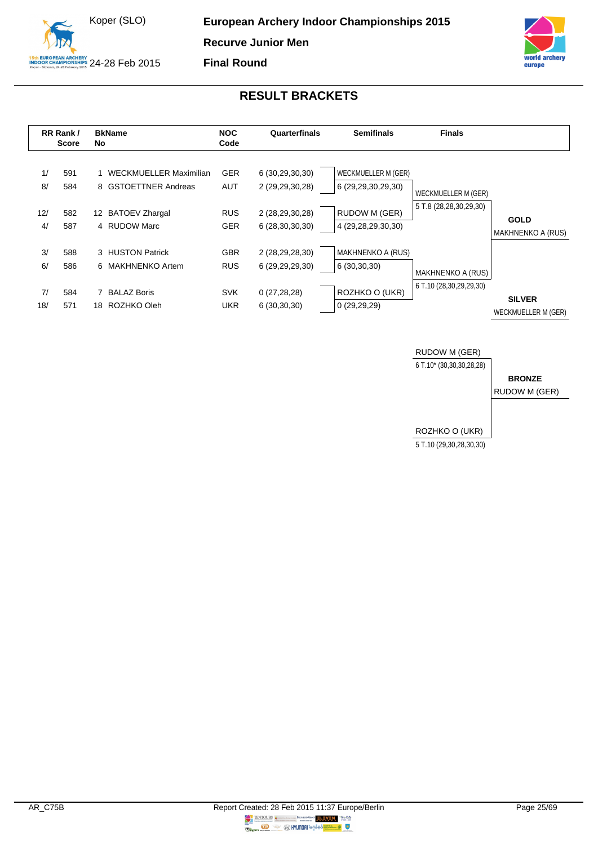



<span id="page-25-0"></span>

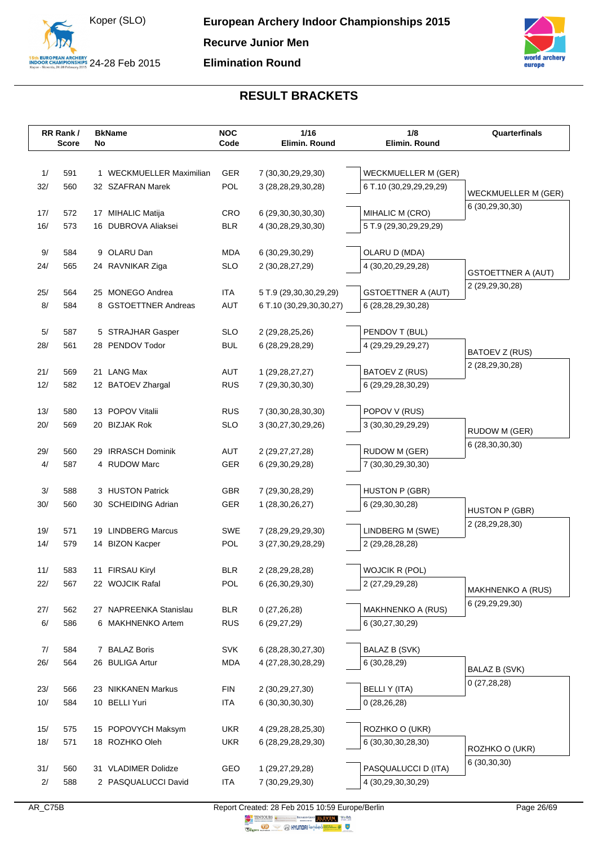



|            | RR Rank/     | <b>BkName</b>                            | <b>NOC</b>        | 1/16                    | 1/8                        | Quarterfinals              |
|------------|--------------|------------------------------------------|-------------------|-------------------------|----------------------------|----------------------------|
|            | <b>Score</b> | No                                       | Code              | Elimin. Round           | Elimin. Round              |                            |
|            |              |                                          |                   |                         |                            |                            |
| 1/         | 591          | 1 WECKMUELLER Maximilian                 | <b>GER</b>        | 7 (30, 30, 29, 29, 30)  | <b>WECKMUELLER M (GER)</b> |                            |
| 32/        | 560          | 32 SZAFRAN Marek                         | <b>POL</b>        | 3 (28, 28, 29, 30, 28)  | 6 T.10 (30,29,29,29,29)    | <b>WECKMUELLER M (GER)</b> |
|            |              |                                          |                   |                         |                            | 6 (30,29,30,30)            |
| 17/<br>16/ | 572<br>573   | 17 MIHALIC Matija<br>16 DUBROVA Aliaksei | CRO<br><b>BLR</b> | 6 (29, 30, 30, 30, 30)  | MIHALIC M (CRO)            |                            |
|            |              |                                          |                   | 4 (30,28,29,30,30)      | 5 T.9 (29,30,29,29,29)     |                            |
| 9/         | 584          | 9 OLARU Dan                              | <b>MDA</b>        | 6 (30,29,30,29)         | OLARU D (MDA)              |                            |
| 24/        | 565          | 24 RAVNIKAR Ziga                         | <b>SLO</b>        | 2 (30,28,27,29)         | 4 (30,20,29,29,28)         |                            |
|            |              |                                          |                   |                         |                            | <b>GSTOETTNER A (AUT)</b>  |
| 25/        | 564          | 25 MONEGO Andrea                         | <b>ITA</b>        | 5 T.9 (29,30,30,29,29)  | <b>GSTOETTNER A (AUT)</b>  | 2 (29, 29, 30, 28)         |
| 8/         | 584          | 8 GSTOETTNER Andreas                     | <b>AUT</b>        | 6 T.10 (30,29,30,30,27) | 6 (28,28,29,30,28)         |                            |
|            |              |                                          |                   |                         |                            |                            |
| $5/$       | 587          | 5 STRAJHAR Gasper                        | <b>SLO</b>        | 2 (29, 28, 25, 26)      | PENDOV T (BUL)             |                            |
| 28/        | 561          | 28 PENDOV Todor                          | <b>BUL</b>        | 6 (28, 29, 28, 29)      | 4 (29, 29, 29, 29, 27)     | BATOEV Z (RUS)             |
|            |              |                                          |                   |                         |                            | 2 (28,29,30,28)            |
| 21/        | 569          | 21 LANG Max                              | AUT               | 1 (29, 28, 27, 27)      | BATOEV Z (RUS)             |                            |
| 12/        | 582          | 12 BATOEV Zhargal                        | <b>RUS</b>        | 7 (29,30,30,30)         | 6 (29,29,28,30,29)         |                            |
| 13/        | 580          | 13 POPOV Vitalii                         | <b>RUS</b>        | 7 (30, 30, 28, 30, 30)  | POPOV V (RUS)              |                            |
| 20/        | 569          | 20 BIZJAK Rok                            | <b>SLO</b>        | 3 (30,27,30,29,26)      | 3 (30, 30, 29, 29, 29)     |                            |
|            |              |                                          |                   |                         |                            | RUDOW M (GER)              |
| 29/        | 560          | 29 IRRASCH Dominik                       | AUT               | 2 (29, 27, 27, 28)      | RUDOW M (GER)              | 6 (28,30,30,30)            |
| 4/         | 587          | 4 RUDOW Marc                             | GER               | 6 (29, 30, 29, 28)      | 7 (30,30,29,30,30)         |                            |
|            |              |                                          |                   |                         |                            |                            |
| $3/$       | 588          | 3 HUSTON Patrick                         | <b>GBR</b>        | 7 (29,30,28,29)         | <b>HUSTON P (GBR)</b>      |                            |
| 30/        | 560          | 30 SCHEIDING Adrian                      | GER               | 1 (28,30,26,27)         | 6 (29, 30, 30, 28)         | <b>HUSTON P (GBR)</b>      |
|            |              |                                          |                   |                         |                            | 2 (28,29,28,30)            |
| 19/        | 571          | 19 LINDBERG Marcus                       | SWE               | 7 (28,29,29,29,30)      | LINDBERG M (SWE)           |                            |
| 14/        | 579          | 14 BIZON Kacper                          | POL               | 3 (27, 30, 29, 28, 29)  | 2 (29,28,28,28)            |                            |
| 11/        | 583          | 11 FIRSAU Kiryl                          | <b>BLR</b>        | 2 (28, 29, 28, 28)      | <b>WOJCIK R (POL)</b>      |                            |
| 22/        | 567          | 22 WOJCIK Rafal                          | POL               | 6 (26, 30, 29, 30)      | 2 (27, 29, 29, 28)         |                            |
|            |              |                                          |                   |                         |                            | <b>MAKHNENKO A (RUS)</b>   |
| 27/        | 562          | 27 NAPREENKA Stanislau                   | <b>BLR</b>        | 0(27,26,28)             | MAKHNENKO A (RUS)          | 6 (29, 29, 29, 30)         |
| 6/         | 586          | 6 MAKHNENKO Artem                        | <b>RUS</b>        | 6(29, 27, 29)           | 6 (30,27,30,29)            |                            |
|            |              |                                          |                   |                         |                            |                            |
| 7/         | 584          | 7 BALAZ Boris                            | <b>SVK</b>        | 6 (28,28,30,27,30)      | <b>BALAZ B (SVK)</b>       |                            |
| 26/        | 564          | 26 BULIGA Artur                          | <b>MDA</b>        | 4 (27,28,30,28,29)      | 6 (30,28,29)               | BALAZ B (SVK)              |
|            |              |                                          |                   |                         |                            | 0(27, 28, 28)              |
| 23/        | 566          | 23 NIKKANEN Markus                       | <b>FIN</b>        | 2 (30,29,27,30)         | <b>BELLIY (ITA)</b>        |                            |
| 10/        | 584          | 10 BELLI Yuri                            | <b>ITA</b>        | 6 (30, 30, 30, 30)      | 0(28, 26, 28)              |                            |
|            |              |                                          |                   |                         |                            |                            |
| 15/        | 575          | 15 POPOVYCH Maksym                       | <b>UKR</b>        | 4 (29, 28, 28, 25, 30)  | ROZHKO O (UKR)             |                            |
| 18/        | 571          | 18 ROZHKO Oleh                           | <b>UKR</b>        | 6 (28,29,28,29,30)      | 6 (30, 30, 30, 28, 30)     | ROZHKO O (UKR)             |
| 31/        | 560          | 31 VLADIMER Dolidze                      | GEO               | 1 (29,27,29,28)         | PASQUALUCCI D (ITA)        | 6(30,30,30)                |
| 2/         | 588          | 2 PASQUALUCCI David                      | <b>ITA</b>        | 7 (30,29,29,30)         | 4 (30,29,30,30,29)         |                            |
|            |              |                                          |                   |                         |                            |                            |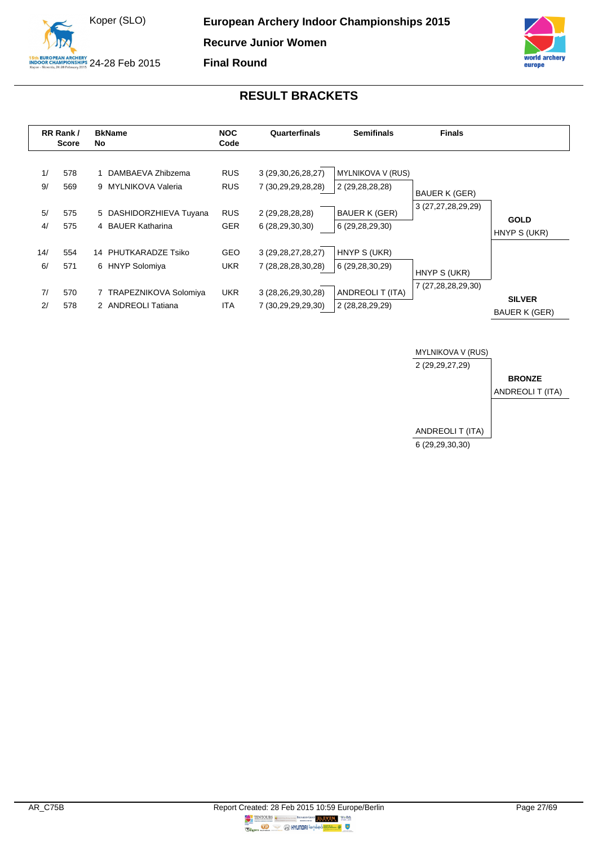



<span id="page-27-0"></span>

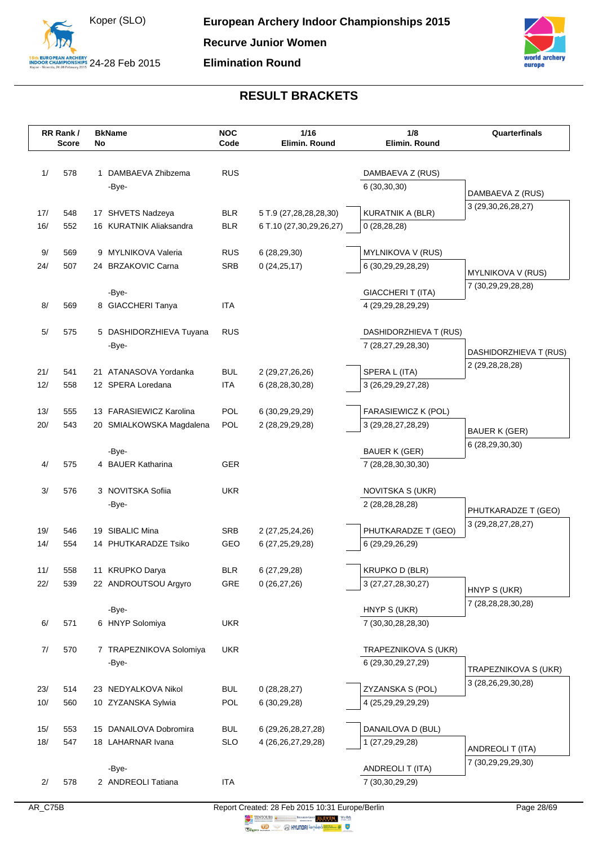



|     | RR Rank/<br><b>Score</b> | No | <b>BkName</b>                    | <b>NOC</b><br>Code       | 1/16<br>Elimin. Round   | 1/8<br>Elimin. Round                           | Quarterfinals                                 |
|-----|--------------------------|----|----------------------------------|--------------------------|-------------------------|------------------------------------------------|-----------------------------------------------|
|     |                          |    |                                  |                          |                         |                                                |                                               |
| 1/  | 578                      |    | 1 DAMBAEVA Zhibzema              | <b>RUS</b>               |                         | DAMBAEVA Z (RUS)                               |                                               |
|     |                          |    | -Bye-                            |                          |                         | 6(30,30,30)                                    |                                               |
|     |                          |    |                                  |                          |                         |                                                | DAMBAEVA Z (RUS)                              |
| 17/ | 548                      |    | 17 SHVETS Nadzeya                | <b>BLR</b>               | 5 T.9 (27,28,28,28,30)  | KURATNIK A (BLR)                               | 3 (29, 30, 26, 28, 27)                        |
| 16/ | 552                      |    | 16 KURATNIK Aliaksandra          | <b>BLR</b>               | 6 T.10 (27,30,29,26,27) | 0(28, 28, 28)                                  |                                               |
|     |                          |    |                                  |                          |                         |                                                |                                               |
| 9/  | 569                      |    | 9 MYLNIKOVA Valeria              | <b>RUS</b><br><b>SRB</b> | 6(28, 29, 30)           | MYLNIKOVA V (RUS)                              |                                               |
| 24/ | 507                      |    | 24 BRZAKOVIC Carna               |                          | 0(24,25,17)             | 6 (30,29,29,28,29)                             | MYLNIKOVA V (RUS)                             |
|     |                          |    | -Bye-                            |                          |                         | GIACCHERIT (ITA)                               | 7 (30,29,29,28,28)                            |
| 8/  | 569                      |    | 8 GIACCHERI Tanya                | <b>ITA</b>               |                         | 4 (29,29,28,29,29)                             |                                               |
|     |                          |    |                                  |                          |                         |                                                |                                               |
| 5/  | 575                      |    | 5 DASHIDORZHIEVA Tuyana          | <b>RUS</b>               |                         | DASHIDORZHIEVA T (RUS)                         |                                               |
|     |                          |    | -Bye-                            |                          |                         | 7 (28,27,29,28,30)                             | DASHIDORZHIEVA T (RUS)                        |
| 21/ | 541                      |    | 21 ATANASOVA Yordanka            | BUL                      | 2 (29,27,26,26)         | SPERA L (ITA)                                  | 2 (29, 28, 28, 28)                            |
| 12/ | 558                      |    | 12 SPERA Loredana                | <b>ITA</b>               | 6 (28, 28, 30, 28)      | 3 (26,29,29,27,28)                             |                                               |
|     |                          |    |                                  |                          |                         |                                                |                                               |
| 13/ | 555                      |    | 13 FARASIEWICZ Karolina          | POL                      | 6 (30,29,29,29)         | FARASIEWICZ K (POL)                            |                                               |
| 20/ | 543                      |    | 20 SMIALKOWSKA Magdalena         | POL                      | 2 (28,29,29,28)         | 3 (29, 28, 27, 28, 29)                         | <b>BAUER K (GER)</b>                          |
|     |                          |    |                                  |                          |                         |                                                | 6 (28,29,30,30)                               |
|     |                          |    | -Bye-<br>4 BAUER Katharina       | <b>GER</b>               |                         | <b>BAUER K (GER)</b>                           |                                               |
| 4/  | 575                      |    |                                  |                          |                         | 7 (28,28,30,30,30)                             |                                               |
| 3/  | 576                      |    | 3 NOVITSKA Sofiia                | <b>UKR</b>               |                         | NOVITSKA S (UKR)                               |                                               |
|     |                          |    | -Bye-                            |                          |                         | 2 (28,28,28,28)                                |                                               |
|     |                          |    |                                  |                          |                         |                                                | PHUTKARADZE T (GEO)<br>3 (29, 28, 27, 28, 27) |
| 19/ | 546                      |    | 19 SIBALIC Mina                  | <b>SRB</b>               | 2 (27, 25, 24, 26)      | PHUTKARADZE T (GEO)                            |                                               |
| 14/ | 554                      |    | 14 PHUTKARADZE Tsiko             | GEO                      | 6 (27, 25, 29, 28)      | 6 (29,29,26,29)                                |                                               |
| 11/ | 558                      |    | 11 KRUPKO Darya                  | <b>BLR</b>               | 6 (27,29,28)            | <b>KRUPKO D (BLR)</b>                          |                                               |
| 22/ | 539                      |    | 22 ANDROUTSOU Argyro             | GRE                      | 0(26, 27, 26)           | 3 (27, 27, 28, 30, 27)                         |                                               |
|     |                          |    |                                  |                          |                         |                                                | HNYP S (UKR)                                  |
|     |                          |    | -Bye-                            |                          |                         | HNYP S (UKR)                                   | 7 (28,28,28,30,28)                            |
| 6/  | 571                      |    | 6 HNYP Solomiya                  | <b>UKR</b>               |                         | 7 (30, 30, 28, 28, 30)                         |                                               |
|     |                          |    |                                  |                          |                         |                                                |                                               |
| 7/  | 570                      |    | 7 TRAPEZNIKOVA Solomiya<br>-Bye- | <b>UKR</b>               |                         | TRAPEZNIKOVA S (UKR)<br>6 (29, 30, 29, 27, 29) |                                               |
|     |                          |    |                                  |                          |                         |                                                | TRAPEZNIKOVA S (UKR)                          |
| 23/ | 514                      |    | 23 NEDYALKOVA Nikol              | <b>BUL</b>               | 0(28, 28, 27)           | ZYZANSKA S (POL)                               | 3 (28,26,29,30,28)                            |
| 10/ | 560                      |    | 10 ZYZANSKA Sylwia               | POL                      | 6(30,29,28)             | 4 (25,29,29,29,29)                             |                                               |
|     |                          |    |                                  |                          |                         |                                                |                                               |
| 15/ | 553                      |    | 15 DANAILOVA Dobromira           | <b>BUL</b>               | 6 (29, 26, 28, 27, 28)  | DANAILOVA D (BUL)                              |                                               |
| 18/ | 547                      |    | 18 LAHARNAR Ivana                | <b>SLO</b>               | 4 (26, 26, 27, 29, 28)  | 1 (27,29,29,28)                                | ANDREOLI T (ITA)                              |
|     |                          |    | -Bye-                            |                          |                         | ANDREOLI T (ITA)                               | 7 (30,29,29,29,30)                            |
| 2/  | 578                      |    | 2 ANDREOLI Tatiana               | <b>ITA</b>               |                         | 7 (30,30,29,29)                                |                                               |
|     |                          |    |                                  |                          |                         |                                                |                                               |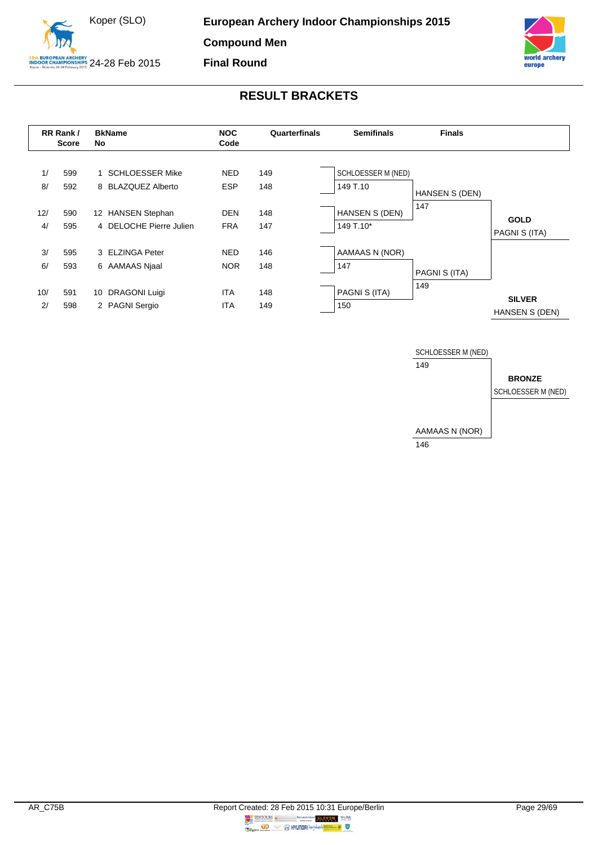



<span id="page-29-0"></span>

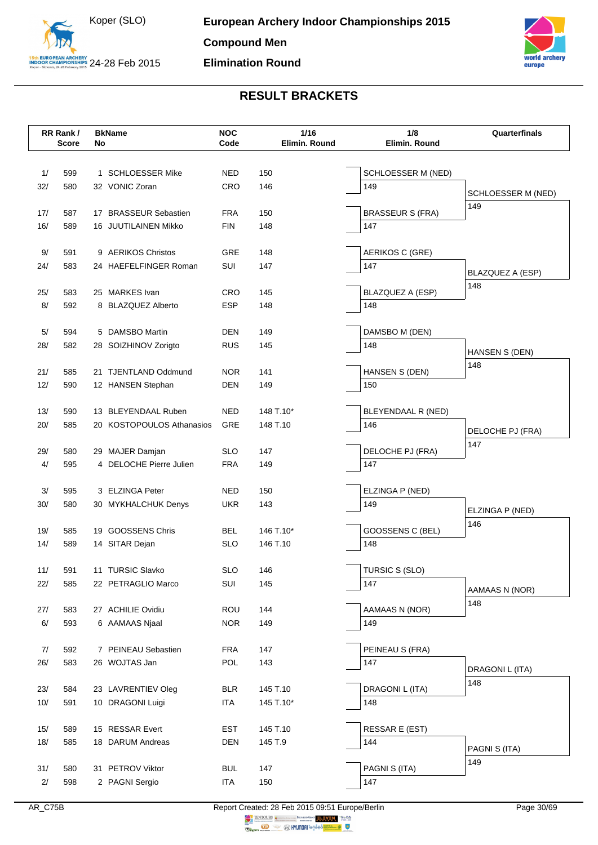



|           | RR Rank/     |    | <b>BkName</b>                              | <b>NOC</b>               | 1/16          | 1/8                     | Quarterfinals      |
|-----------|--------------|----|--------------------------------------------|--------------------------|---------------|-------------------------|--------------------|
|           | <b>Score</b> | No |                                            | Code                     | Elimin. Round | Elimin. Round           |                    |
|           |              |    |                                            |                          |               |                         |                    |
| 1/        | 599          |    | 1 SCHLOESSER Mike                          | <b>NED</b>               | 150           | SCHLOESSER M (NED)      |                    |
| 32/       | 580          |    | 32 VONIC Zoran                             | CRO                      | 146           | 149                     | SCHLOESSER M (NED) |
| 17/       | 587          |    | 17 BRASSEUR Sebastien                      | <b>FRA</b>               | 150           | <b>BRASSEUR S (FRA)</b> | 149                |
| 16/       | 589          |    | 16 JUUTILAINEN Mikko                       | <b>FIN</b>               | 148           | 147                     |                    |
|           |              |    |                                            |                          |               |                         |                    |
| 9/        | 591          |    | 9 AERIKOS Christos                         | GRE                      | 148           | AERIKOS C (GRE)         |                    |
| 24/       | 583          |    | 24 HAEFELFINGER Roman                      | SUI                      | 147           | 147                     | BLAZQUEZ A (ESP)   |
|           |              |    |                                            |                          |               |                         | 148                |
| 25/       | 583          |    | 25 MARKES Ivan                             | <b>CRO</b>               | 145           | BLAZQUEZ A (ESP)        |                    |
| 8/        | 592          |    | 8 BLAZQUEZ Alberto                         | ESP                      | 148           | 148                     |                    |
| 5/        | 594          |    | 5 DAMSBO Martin                            | <b>DEN</b>               | 149           | DAMSBO M (DEN)          |                    |
| 28/       | 582          |    | 28 SOIZHINOV Zorigto                       | <b>RUS</b>               | 145           | 148                     |                    |
|           |              |    |                                            |                          |               |                         | HANSEN S (DEN)     |
| 21/       | 585          |    | 21 TJENTLAND Oddmund                       | <b>NOR</b>               | 141           | HANSEN S (DEN)          | 148                |
| 12/       | 590          |    | 12 HANSEN Stephan                          | <b>DEN</b>               | 149           | 150                     |                    |
|           |              |    |                                            |                          |               |                         |                    |
| 13/       | 590          |    | 13 BLEYENDAAL Ruben                        | <b>NED</b>               | 148 T.10*     | BLEYENDAAL R (NED)      |                    |
| 20/       | 585          |    | 20 KOSTOPOULOS Athanasios                  | GRE                      | 148 T.10      | 146                     | DELOCHE PJ (FRA)   |
|           |              |    |                                            |                          |               |                         | 147                |
| 29/<br>4/ | 580<br>595   |    | 29 MAJER Damjan<br>4 DELOCHE Pierre Julien | <b>SLO</b><br><b>FRA</b> | 147<br>149    | DELOCHE PJ (FRA)<br>147 |                    |
|           |              |    |                                            |                          |               |                         |                    |
| 3/        | 595          |    | 3 ELZINGA Peter                            | <b>NED</b>               | 150           | ELZINGA P (NED)         |                    |
| 30/       | 580          |    | 30 MYKHALCHUK Denys                        | <b>UKR</b>               | 143           | 149                     |                    |
|           |              |    |                                            |                          |               |                         | ELZINGA P (NED)    |
| 19/       | 585          |    | 19 GOOSSENS Chris                          | BEL                      | 146 T.10*     | GOOSSENS C (BEL)        | 146                |
| 14/       | 589          |    | 14 SITAR Dejan                             | <b>SLO</b>               | 146 T.10      | 148                     |                    |
|           |              |    |                                            |                          |               |                         |                    |
| 11/       | 591          |    | 11 TURSIC Slavko                           | <b>SLO</b>               | 146           | TURSIC S (SLO)          |                    |
| 22/       | 585          |    | 22 PETRAGLIO Marco                         | SUI                      | 145           | 147                     | AAMAAS N (NOR)     |
| 27/       | 583          |    | 27 ACHILIE Ovidiu                          | <b>ROU</b>               | 144           | AAMAAS N (NOR)          | 148                |
| 6/        | 593          |    | 6 AAMAAS Njaal                             | <b>NOR</b>               | 149           | 149                     |                    |
|           |              |    |                                            |                          |               |                         |                    |
| 7/        | 592          |    | 7 PEINEAU Sebastien                        | <b>FRA</b>               | 147           | PEINEAU S (FRA)         |                    |
| 26/       | 583          |    | 26 WOJTAS Jan                              | POL                      | 143           | 147                     | DRAGONI L (ITA)    |
|           |              |    |                                            |                          |               |                         | 148                |
| 23/       | 584          |    | 23 LAVRENTIEV Oleg                         | <b>BLR</b>               | 145 T.10      | DRAGONI L (ITA)         |                    |
| 10/       | 591          |    | 10 DRAGONI Luigi                           | <b>ITA</b>               | 145 T.10*     | 148                     |                    |
| 15/       | 589          |    | 15 RESSAR Evert                            | <b>EST</b>               | 145 T.10      | RESSAR E (EST)          |                    |
| 18/       | 585          |    | 18 DARUM Andreas                           | <b>DEN</b>               | 145 T.9       | 144                     |                    |
|           |              |    |                                            |                          |               |                         | PAGNI S (ITA)      |
| 31/       | 580          |    | 31 PETROV Viktor                           | <b>BUL</b>               | 147           | PAGNI S (ITA)           | 149                |
| 2/        | 598          |    | 2 PAGNI Sergio                             | <b>ITA</b>               | 150           | 147                     |                    |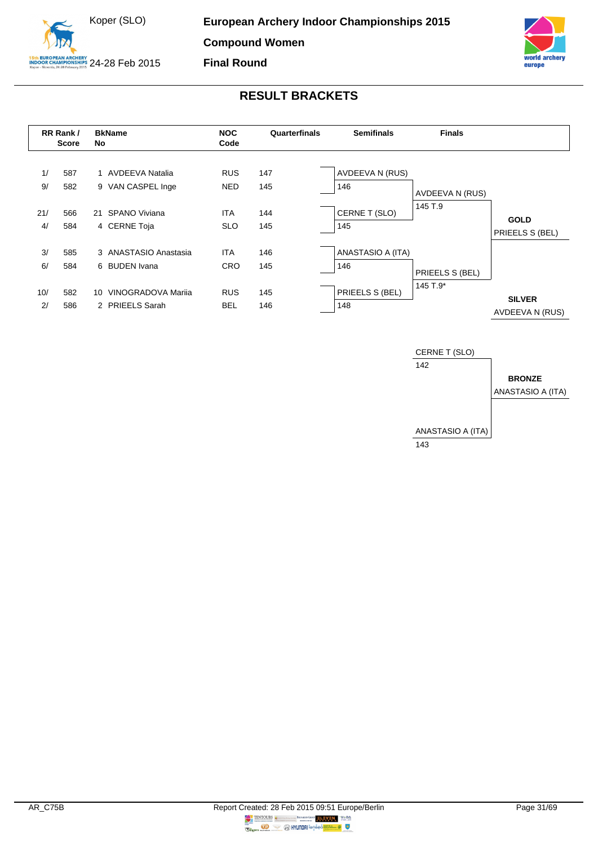



<span id="page-31-0"></span>

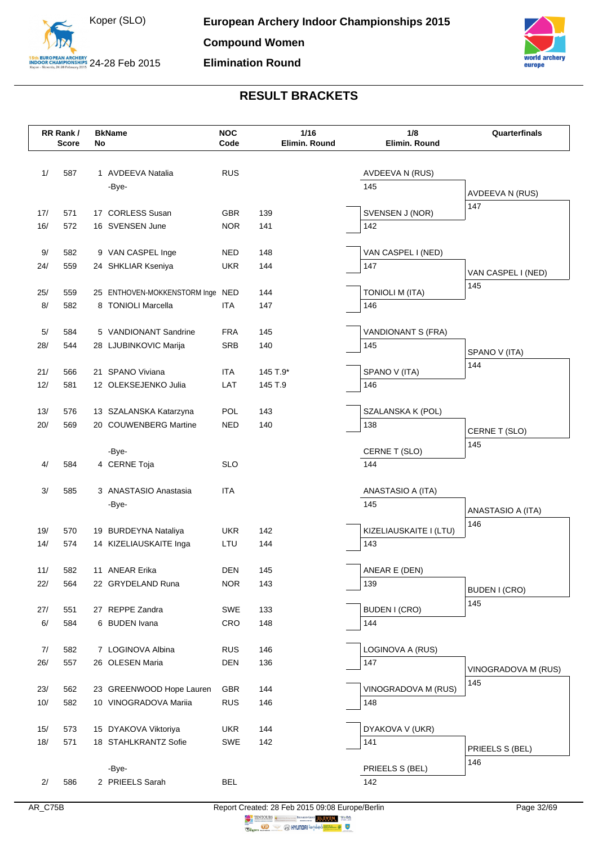



|            | RR Rank/<br><b>Score</b> | No | <b>BkName</b>                    | <b>NOC</b><br>Code | 1/16<br>Elimin. Round | 1/8<br>Elimin. Round          | Quarterfinals          |
|------------|--------------------------|----|----------------------------------|--------------------|-----------------------|-------------------------------|------------------------|
|            |                          |    |                                  |                    |                       |                               |                        |
| 1/         | 587                      |    | 1 AVDEEVA Natalia                | <b>RUS</b>         |                       | AVDEEVA N (RUS)               |                        |
|            |                          |    | -Bye-                            |                    |                       | 145                           |                        |
|            |                          |    |                                  |                    |                       |                               | AVDEEVA N (RUS)<br>147 |
| 17/        | 571                      |    | 17 CORLESS Susan                 | <b>GBR</b>         | 139                   | SVENSEN J (NOR)               |                        |
| 16/        | 572                      |    | 16 SVENSEN June                  | <b>NOR</b>         | 141                   | 142                           |                        |
| 9/         | 582                      |    | 9 VAN CASPEL Inge                | <b>NED</b>         | 148                   | VAN CASPEL I (NED)            |                        |
| 24/        | 559                      |    | 24 SHKLIAR Kseniya               | <b>UKR</b>         | 144                   | 147                           |                        |
|            |                          |    |                                  |                    |                       |                               | VAN CASPEL I (NED)     |
| 25/        | 559                      |    | 25 ENTHOVEN-MOKKENSTORM Inge NED |                    | 144                   | <b>TONIOLI M (ITA)</b>        | 145                    |
| 8/         | 582                      |    | 8 TONIOLI Marcella               | <b>ITA</b>         | 147                   | 146                           |                        |
|            |                          |    |                                  |                    |                       |                               |                        |
| 5/         | 584                      |    | 5 VANDIONANT Sandrine            | <b>FRA</b>         | 145                   | VANDIONANT S (FRA)<br>145     |                        |
| 28/        | 544                      |    | 28 LJUBINKOVIC Marija            | <b>SRB</b>         | 140                   |                               | SPANO V (ITA)          |
| 21/        | 566                      |    | 21 SPANO Viviana                 | <b>ITA</b>         | 145 T.9*              | SPANO V (ITA)                 | 144                    |
| 12/        | 581                      |    | 12 OLEKSEJENKO Julia             | LAT                | 145 T.9               | 146                           |                        |
|            |                          |    |                                  |                    |                       |                               |                        |
| 13/        | 576                      |    | 13 SZALANSKA Katarzyna           | POL                | 143                   | SZALANSKA K (POL)             |                        |
| 20/        | 569                      |    | 20 COUWENBERG Martine            | <b>NED</b>         | 140                   | 138                           | CERNE T (SLO)          |
|            |                          |    | -Bye-                            |                    |                       | CERNE T (SLO)                 | 145                    |
| 4/         | 584                      |    | 4 CERNE Toja                     | <b>SLO</b>         |                       | 144                           |                        |
|            |                          |    |                                  |                    |                       |                               |                        |
| 3/         | 585                      |    | 3 ANASTASIO Anastasia            | <b>ITA</b>         |                       | ANASTASIO A (ITA)             |                        |
|            |                          |    | -Bye-                            |                    |                       | 145                           | ANASTASIO A (ITA)      |
|            |                          |    |                                  |                    |                       |                               | 146                    |
| 19/<br>14/ | 570<br>574               |    | 19 BURDEYNA Nataliya             | <b>UKR</b><br>LTU  | 142<br>144            | KIZELIAUSKAITE I (LTU)<br>143 |                        |
|            |                          |    | 14 KIZELIAUSKAITE Inga           |                    |                       |                               |                        |
| 11/        | 582                      |    | 11 ANEAR Erika                   | <b>DEN</b>         | 145                   | ANEAR E (DEN)                 |                        |
| 22/        | 564                      |    | 22 GRYDELAND Runa                | <b>NOR</b>         | 143                   | 139                           |                        |
|            |                          |    |                                  |                    |                       |                               | BUDEN I (CRO)<br>145   |
| 27/        | 551                      |    | 27 REPPE Zandra                  | SWE                | 133                   | <b>BUDEN I (CRO)</b>          |                        |
| $6/$       | 584                      |    | 6 BUDEN Ivana                    | CRO                | 148                   | 144                           |                        |
| 7/         | 582                      |    | 7 LOGINOVA Albina                | <b>RUS</b>         | 146                   | LOGINOVA A (RUS)              |                        |
| 26/        | 557                      |    | 26 OLESEN Maria                  | <b>DEN</b>         | 136                   | 147                           |                        |
|            |                          |    |                                  |                    |                       |                               | VINOGRADOVA M (RUS)    |
| 23/        | 562                      |    | 23 GREENWOOD Hope Lauren         | <b>GBR</b>         | 144                   | VINOGRADOVA M (RUS)           | 145                    |
| 10/        | 582                      |    | 10 VINOGRADOVA Mariia            | <b>RUS</b>         | 146                   | 148                           |                        |
|            |                          |    |                                  |                    |                       |                               |                        |
| 15/        | 573                      |    | 15 DYAKOVA Viktoriya             | <b>UKR</b><br>SWE  | 144                   | DYAKOVA V (UKR)               |                        |
| 18/        | 571                      |    | 18 STAHLKRANTZ Sofie             |                    | 142                   | 141                           | PRIEELS S (BEL)        |
|            |                          |    | -Bye-                            |                    |                       | PRIEELS S (BEL)               | 146                    |
| 2/         | 586                      |    | 2 PRIEELS Sarah                  | <b>BEL</b>         |                       | 142                           |                        |
|            |                          |    |                                  |                    |                       |                               |                        |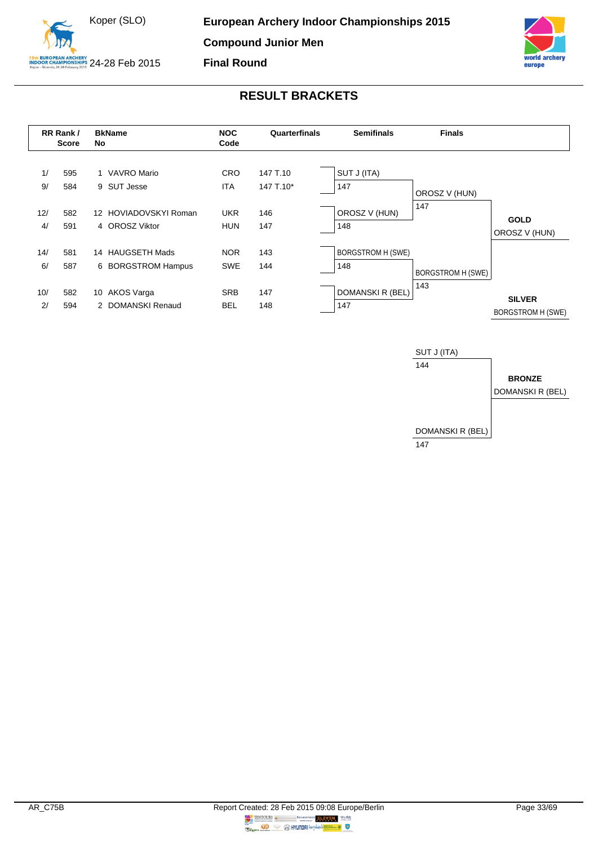



<span id="page-33-0"></span>

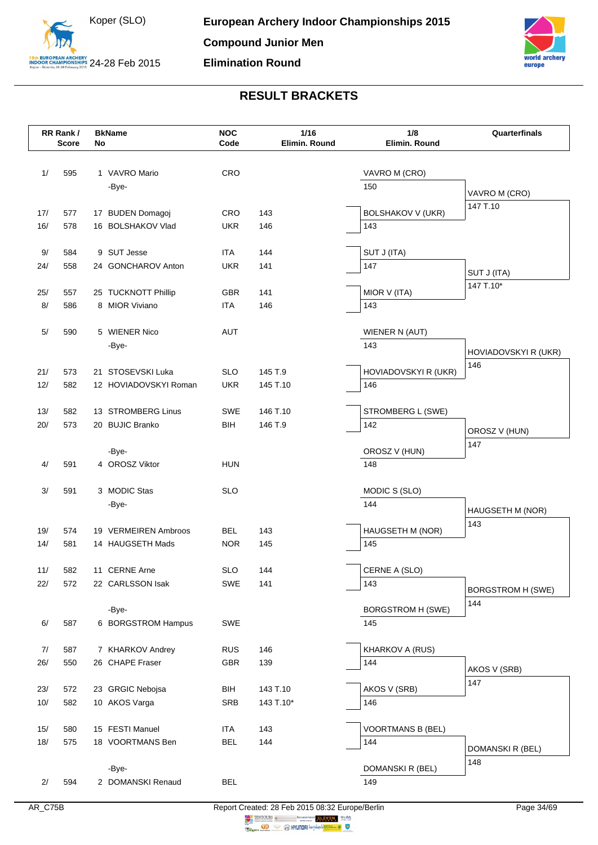



|            | RR Rank/<br><b>Score</b> | No | <b>BkName</b>                       | <b>NOC</b><br>Code       | 1/16<br>Elimin. Round | 1/8<br>Elimin. Round            | Quarterfinals               |
|------------|--------------------------|----|-------------------------------------|--------------------------|-----------------------|---------------------------------|-----------------------------|
|            |                          |    |                                     |                          |                       |                                 |                             |
|            |                          |    | 1 VAVRO Mario                       |                          |                       |                                 |                             |
| 1/         | 595                      |    | -Bye-                               | CRO                      |                       | VAVRO M (CRO)<br>150            |                             |
|            |                          |    |                                     |                          |                       |                                 | VAVRO M (CRO)               |
| 17/        | 577                      |    | 17 BUDEN Domagoj                    | CRO                      | 143                   | <b>BOLSHAKOV V (UKR)</b>        | 147 T.10                    |
| 16/        | 578                      |    | 16 BOLSHAKOV Vlad                   | <b>UKR</b>               | 146                   | 143                             |                             |
|            |                          |    |                                     |                          |                       |                                 |                             |
| 9/         | 584                      |    | 9 SUT Jesse                         | ITA                      | 144                   | SUT J (ITA)                     |                             |
| 24/        | 558                      |    | 24 GONCHAROV Anton                  | <b>UKR</b>               | 141                   | 147                             | SUT J (ITA)                 |
| 25/        | 557                      |    | 25 TUCKNOTT Phillip                 | GBR                      | 141                   | MIOR V (ITA)                    | 147 T.10*                   |
| 8/         | 586                      |    | 8 MIOR Viviano                      | <b>ITA</b>               | 146                   | 143                             |                             |
|            |                          |    |                                     |                          |                       |                                 |                             |
| 5/         | 590                      |    | 5 WIENER Nico                       | <b>AUT</b>               |                       | WIENER N (AUT)                  |                             |
|            |                          |    | -Bye-                               |                          |                       | 143                             |                             |
|            |                          |    |                                     |                          |                       |                                 | HOVIADOVSKYI R (UKR)<br>146 |
| 21/        | 573                      |    | 21 STOSEVSKI Luka                   | <b>SLO</b>               | 145 T.9               | HOVIADOVSKYI R (UKR)            |                             |
| 12/        | 582                      |    | 12 HOVIADOVSKYI Roman               | <b>UKR</b>               | 145 T.10              | 146                             |                             |
|            |                          |    | 13 STROMBERG Linus                  |                          |                       |                                 |                             |
| 13/<br>20/ | 582<br>573               |    | 20 BUJIC Branko                     | SWE<br><b>BIH</b>        | 146 T.10<br>146 T.9   | STROMBERG L (SWE)<br>142        |                             |
|            |                          |    |                                     |                          |                       |                                 | OROSZ V (HUN)               |
|            |                          |    | -Bye-                               |                          |                       | OROSZ V (HUN)                   | 147                         |
| 4/         | 591                      |    | 4 OROSZ Viktor                      | <b>HUN</b>               |                       | 148                             |                             |
|            |                          |    |                                     |                          |                       |                                 |                             |
| 3/         | 591                      |    | 3 MODIC Stas                        | <b>SLO</b>               |                       | MODIC S (SLO)                   |                             |
|            |                          |    | -Bye-                               |                          |                       | 144                             | HAUGSETH M (NOR)            |
| 19/        | 574                      |    | 19 VERMEIREN Ambroos                | <b>BEL</b>               | 143                   | HAUGSETH M (NOR)                | 143                         |
| 14/        | 581                      |    | 14 HAUGSETH Mads                    | <b>NOR</b>               | 145                   | 145                             |                             |
|            |                          |    |                                     |                          |                       |                                 |                             |
| 11/        | 582                      |    | 11 CERNE Arne                       | <b>SLO</b>               | 144                   | CERNE A (SLO)                   |                             |
| 22/        | 572                      |    | 22 CARLSSON Isak                    | SWE                      | 141                   | 143                             | <b>BORGSTROM H (SWE)</b>    |
|            |                          |    |                                     |                          |                       |                                 | 144                         |
|            |                          |    | -Bye-                               |                          |                       | <b>BORGSTROM H (SWE)</b>        |                             |
| 6/         | 587                      |    | 6 BORGSTROM Hampus                  | SWE                      |                       | 145                             |                             |
| 7/         | 587                      |    | 7 KHARKOV Andrey                    | <b>RUS</b>               | 146                   | KHARKOV A (RUS)                 |                             |
| 26/        | 550                      |    | 26 CHAPE Fraser                     | GBR                      | 139                   | 144                             |                             |
|            |                          |    |                                     |                          |                       |                                 | AKOS V (SRB)                |
| 23/        | 572                      |    | 23 GRGIC Nebojsa                    | BIH                      | 143 T.10              | AKOS V (SRB)                    | 147                         |
| 10/        | 582                      |    | 10 AKOS Varga                       | SRB                      | 143 T.10*             | 146                             |                             |
|            |                          |    |                                     |                          |                       |                                 |                             |
| 15/<br>18/ | 580<br>575               |    | 15 FESTI Manuel<br>18 VOORTMANS Ben | <b>ITA</b><br><b>BEL</b> | 143<br>144            | <b>VOORTMANS B (BEL)</b><br>144 |                             |
|            |                          |    |                                     |                          |                       |                                 | DOMANSKI R (BEL)            |
|            |                          |    | -Bye-                               |                          |                       | DOMANSKI R (BEL)                | 148                         |
| 2/         | 594                      |    | 2 DOMANSKI Renaud                   | <b>BEL</b>               |                       | 149                             |                             |
|            |                          |    |                                     |                          |                       |                                 |                             |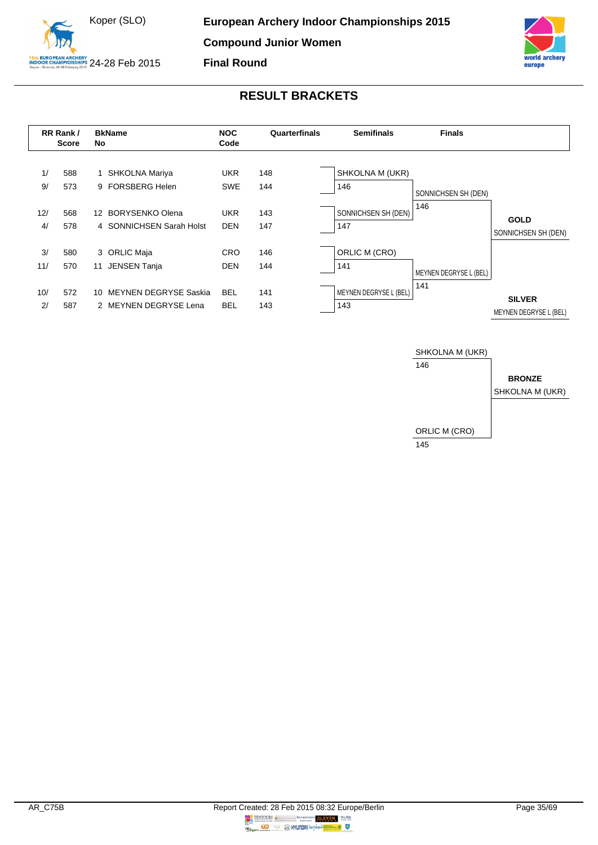



<span id="page-35-0"></span>

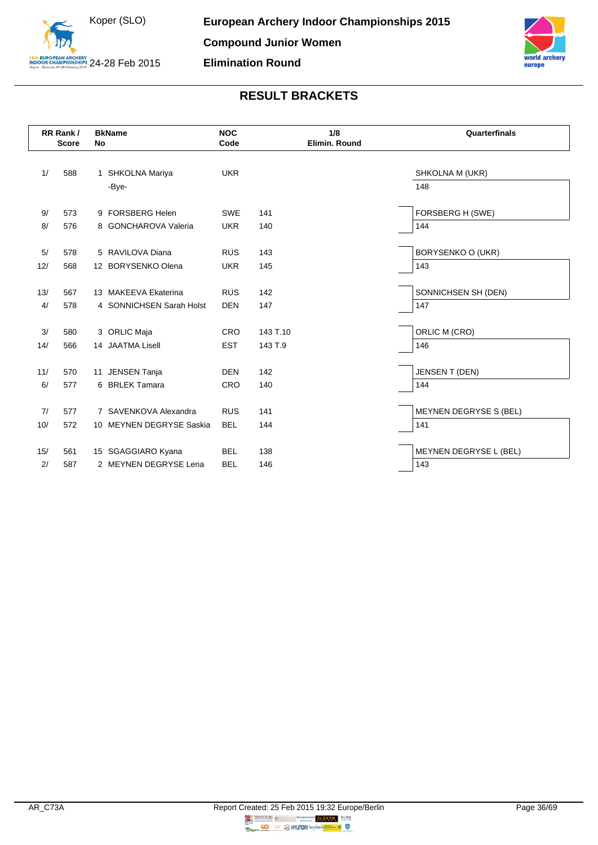



|           | RR Rank/<br><b>Score</b> | No | <b>BkName</b>                          | <b>NOC</b><br>Code       |          | 1/8<br>Elimin. Round | Quarterfinals            |
|-----------|--------------------------|----|----------------------------------------|--------------------------|----------|----------------------|--------------------------|
| 1/        | 588                      |    | 1 SHKOLNA Mariya                       | <b>UKR</b>               |          |                      | SHKOLNA M (UKR)          |
|           |                          |    | -Bye-                                  |                          |          |                      | 148                      |
| 9/        | 573                      |    | 9 FORSBERG Helen                       | <b>SWE</b>               | 141      |                      | FORSBERG H (SWE)         |
| 8/        | 576                      |    | 8 GONCHAROVA Valeria                   | <b>UKR</b>               | 140      |                      | 144                      |
| 5/<br>12/ | 578<br>568               |    | 5 RAVILOVA Diana<br>12 BORYSENKO Olena | <b>RUS</b><br><b>UKR</b> | 143      |                      | BORYSENKO O (UKR)<br>143 |
|           |                          |    |                                        |                          | 145      |                      |                          |
| 13/       | 567                      |    | 13 MAKEEVA Ekaterina                   | <b>RUS</b>               | 142      |                      | SONNICHSEN SH (DEN)      |
| 4/        | 578                      |    | 4 SONNICHSEN Sarah Holst               | <b>DEN</b>               | 147      |                      | 147                      |
| 3/        |                          |    | 3 ORLIC Maja                           | CRO                      | 143 T.10 |                      | ORLIC M (CRO)            |
|           | 580                      |    |                                        |                          |          |                      |                          |
| 14/       | 566                      |    | 14 JAATMA Lisell                       | <b>EST</b>               | 143 T.9  |                      | 146                      |
| 11/       | 570                      |    | 11 JENSEN Tanja                        | <b>DEN</b>               | 142      |                      | <b>JENSEN T (DEN)</b>    |
| 6/        | 577                      |    | 6 BRLEK Tamara                         | <b>CRO</b>               | 140      |                      | 144                      |
|           |                          |    |                                        |                          |          |                      |                          |
| 7/        | 577                      |    | 7 SAVENKOVA Alexandra                  | <b>RUS</b>               | 141      |                      | MEYNEN DEGRYSE S (BEL)   |
| 10/       | 572                      |    | 10 MEYNEN DEGRYSE Saskia               | <b>BEL</b>               | 144      |                      | 141                      |
| 15/       | 561                      |    | 15 SGAGGIARO Kyana                     | <b>BEL</b>               | 138      |                      | MEYNEN DEGRYSE L (BEL)   |
| 2/        | 587                      |    | 2 MEYNEN DEGRYSE Lena                  | <b>BEL</b>               | 146      |                      | 143                      |
|           |                          |    |                                        |                          |          |                      |                          |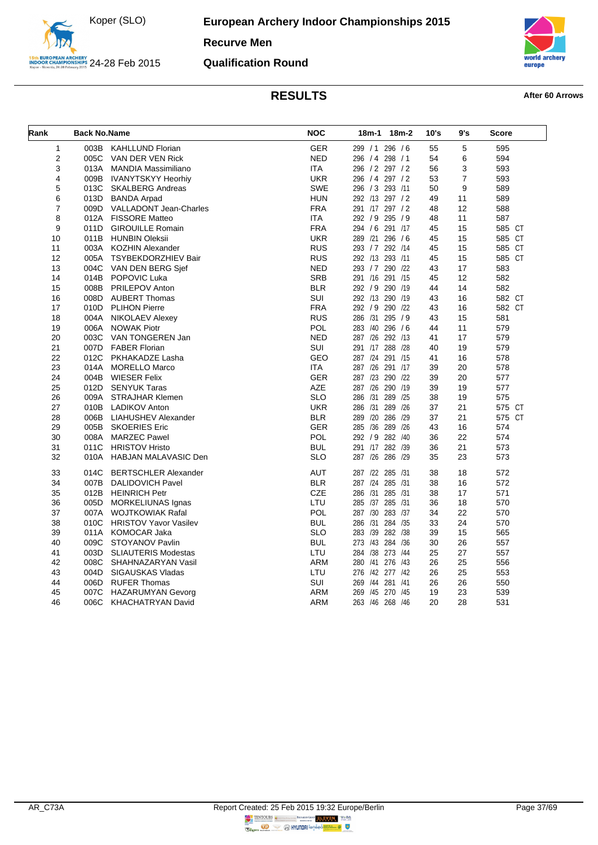

### **Qualification Round**



<span id="page-37-0"></span>

| Rank | <b>Back No.Name</b> |                               | <b>NOC</b> | 18m-1<br>18m-2     | 10's | 9's            | <b>Score</b> |
|------|---------------------|-------------------------------|------------|--------------------|------|----------------|--------------|
| 1    |                     | 003B KAHLLUND Florian         | <b>GER</b> | 299 / 1 296 / 6    | 55   | 5              | 595          |
| 2    | 005C                | VAN DER VEN Rick              | <b>NED</b> | 296 / 4 298 / 1    | 54   | 6              | 594          |
| 3    | 013A                | MANDIA Massimiliano           | <b>ITA</b> | 296 / 2 297 / 2    | 56   | 3              | 593          |
| 4    | 009B                | <b>IVANYTSKYY Heorhiy</b>     | <b>UKR</b> | 296 / 4 297 / 2    | 53   | $\overline{7}$ | 593          |
| 5    | 013C                | <b>SKALBERG Andreas</b>       | <b>SWE</b> | 296 / 3 293 /11    | 50   | 9              | 589          |
| 6    | 013D                | <b>BANDA Arpad</b>            | <b>HUN</b> | 292 /13 297 / 2    | 49   | 11             | 589          |
| 7    | 009D                | <b>VALLADONT Jean-Charles</b> | <b>FRA</b> | 291 /17 297 / 2    | 48   | 12             | 588          |
| 8    | 012A                | <b>FISSORE Matteo</b>         | ITA        | 292 / 9 295 / 9    | 48   | 11             | 587          |
| 9    | 011D                | <b>GIROUILLE Romain</b>       | <b>FRA</b> | 294 / 6 291 /17    | 45   | 15             | 585 CT       |
| 10   | 011B                | <b>HUNBIN Oleksii</b>         | <b>UKR</b> | 289 /21 296 /6     | 45   | 15             | 585 CT       |
| 11   | 003A                | <b>KOZHIN Alexander</b>       | <b>RUS</b> | 293 / 7 292 / 14   | 45   | 15             | 585 CT       |
| 12   | 005A                | <b>TSYBEKDORZHIEV Bair</b>    | <b>RUS</b> | 292 /13 293 /11    | 45   | 15             | 585 CT       |
| 13   | 004C                | VAN DEN BERG Sjef             | <b>NED</b> | 293 / 7 290 / 22   | 43   | 17             | 583          |
| 14   | 014B                | POPOVIC Luka                  | <b>SRB</b> | 291 /16 291 /15    | 45   | 12             | 582          |
| 15   | 008B                | PRILEPOV Anton                | <b>BLR</b> | 292 / 9 290 /19    | 44   | 14             | 582          |
| 16   | 008D                | <b>AUBERT Thomas</b>          | SUI        | 292 /13 290 /19    | 43   | 16             | 582 CT       |
| 17   | 010D                | <b>PLIHON Pierre</b>          | <b>FRA</b> | 292 / 9 290 /22    | 43   | 16             | 582 CT       |
| 18   | 004A                | <b>NIKOLAEV Alexey</b>        | <b>RUS</b> | 286 /31 295 / 9    | 43   | 15             | 581          |
| 19   | 006A                | <b>NOWAK Piotr</b>            | POL        | 283 /40 296 /6     | 44   | 11             | 579          |
| 20   | 003C                | VAN TONGEREN Jan              | <b>NED</b> | 287 /26 292 /13    | 41   | 17             | 579          |
| 21   | 007D                | <b>FABER Florian</b>          | SUI        | 291 /17 288 /28    | 40   | 19             | 579          |
| 22   | 012C                | PKHAKADZE Lasha               | <b>GEO</b> | 287 /24 291 /15    | 41   | 16             | 578          |
| 23   | 014A                | <b>MORELLO Marco</b>          | <b>ITA</b> | 287 /26 291 /17    | 39   | 20             | 578          |
| 24   | 004B                | <b>WIESER Felix</b>           | <b>GER</b> | 287 /23 290 /22    | 39   | 20             | 577          |
| 25   | 012D                | <b>SENYUK Taras</b>           | <b>AZE</b> | 287 /26 290 /19    | 39   | 19             | 577          |
| 26   | 009A                | <b>STRAJHAR Klemen</b>        | <b>SLO</b> | 286 /31<br>289 /25 | 38   | 19             | 575          |
| 27   | 010B                | <b>LADIKOV Anton</b>          | <b>UKR</b> | 286 /31 289 /26    | 37   | 21             | 575 CT       |
| 28   | 006B                | <b>LIAHUSHEV Alexander</b>    | <b>BLR</b> | 289 /20 286 /29    | 37   | 21             | 575 CT       |
| 29   | 005B                | <b>SKOERIES Eric</b>          | <b>GER</b> | 285 /36 289 /26    | 43   | 16             | 574          |
| 30   | 008A                | <b>MARZEC Pawel</b>           | <b>POL</b> | 292 / 9 282 / 40   | 36   | 22             | 574          |
| 31   | 011C                | <b>HRISTOV Hristo</b>         | <b>BUL</b> | 291 /17 282 /39    | 36   | 21             | 573          |
| 32   | 010A                | <b>HABJAN MALAVASIC Den</b>   | <b>SLO</b> | 287 /26 286 /29    | 35   | 23             | 573          |
| 33   | 014C                | <b>BERTSCHLER Alexander</b>   | <b>AUT</b> | 287 /22 285 /31    | 38   | 18             | 572          |
| 34   | 007B                | <b>DALIDOVICH Pavel</b>       | <b>BLR</b> | 287 /24 285 /31    | 38   | 16             | 572          |
| 35   | 012B                | <b>HEINRICH Petr</b>          | CZE        | 286 /31 285 /31    | 38   | 17             | 571          |
| 36   | 005D                | MORKELIUNAS Ignas             | LTU        | 285 /37 285 /31    | 36   | 18             | 570          |
| 37   | 007A                | <b>WOJTKOWIAK Rafal</b>       | POL        | 287 /30 283 /37    | 34   | 22             | 570          |
| 38   | 010C                | <b>HRISTOV Yavor Vasilev</b>  | <b>BUL</b> | 286 /31 284 /35    | 33   | 24             | 570          |
| 39   | 011A                | <b>KOMOCAR Jaka</b>           | <b>SLO</b> | 283 /39 282 /38    | 39   | 15             | 565          |
| 40   | 009C                | STOYANOV Pavlin               | <b>BUL</b> | 273 /43 284 /36    | 30   | 26             | 557          |
| 41   | 003D                | <b>SLIAUTERIS Modestas</b>    | LTU        | 284 /38 273 /44    | 25   | 27             | 557          |
| 42   | 008C                | SHAHNAZARYAN Vasil            | <b>ARM</b> | 280 /41 276 /43    | 26   | 25             | 556          |
| 43   | 004D                | <b>SIGAUSKAS Vladas</b>       | LTU        | 276 /42 277 /42    | 26   | 25             | 553          |
| 44   | 006D                | <b>RUFER Thomas</b>           | SUI        | 269 /44 281 /41    | 26   | 26             | 550          |
| 45   | 007C                | <b>HAZARUMYAN Gevorg</b>      | <b>ARM</b> | 269 /45 270 /45    | 19   | 23             | 539          |
| 46   | 006C                | KHACHATRYAN David             | <b>ARM</b> | 263 /46 268 /46    | 20   | 28             | 531          |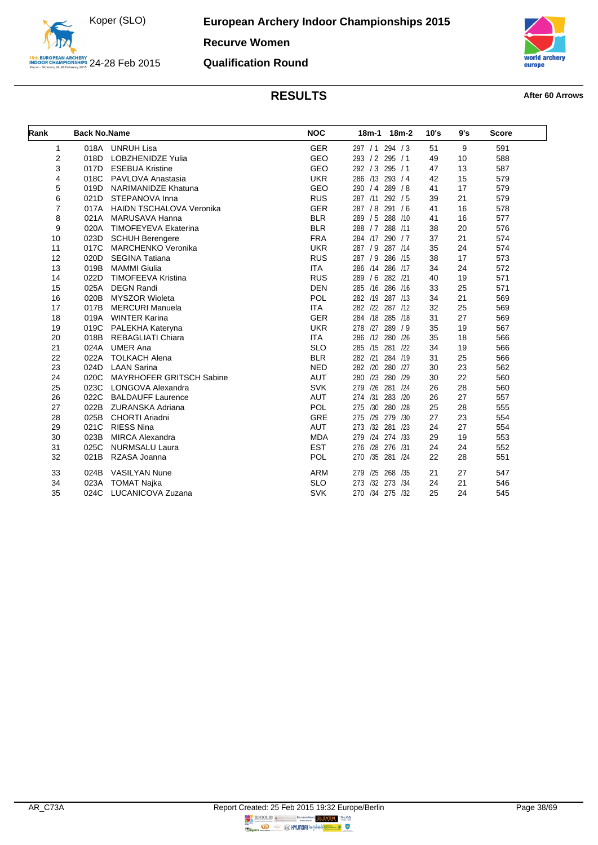

**Recurve Women**

### **Qualification Round**



<span id="page-38-0"></span>

| Rank | <b>Back No.Name</b> |                                 | <b>NOC</b> | $18m-2$<br>$18m-1$    | 10's | 9's | <b>Score</b> |
|------|---------------------|---------------------------------|------------|-----------------------|------|-----|--------------|
| 1    | 018A                | <b>UNRUH Lisa</b>               | <b>GER</b> | 297 / 1 294 / 3       | 51   | 9   | 591          |
| 2    | 018D                | <b>LOBZHENIDZE Yulia</b>        | GEO        | 293 / 2 295 / 1       | 49   | 10  | 588          |
| 3    | 017D                | <b>ESEBUA Kristine</b>          | <b>GEO</b> | 292 / 3 295 / 1       | 47   | 13  | 587          |
| 4    | 018C                | PAVLOVA Anastasia               | <b>UKR</b> | 286 /13 293 / 4       | 42   | 15  | 579          |
| 5    | 019D                | <b>NARIMANIDZE Khatuna</b>      | <b>GEO</b> | 290 / 4 289 / 8       | 41   | 17  | 579          |
| 6    | 021D                | STEPANOVA Inna                  | <b>RUS</b> | 292 / 5<br>287 /11    | 39   | 21  | 579          |
| 7    | 017A                | <b>HAIDN TSCHALOVA Veronika</b> | <b>GER</b> | 291/6<br>287 / 8      | 41   | 16  | 578          |
| 8    | 021A                | MARUSAVA Hanna                  | <b>BLR</b> | 288 /10<br>289/5      | 41   | 16  | 577          |
| 9    | 020A                | <b>TIMOFEYEVA Ekaterina</b>     | <b>BLR</b> | 288 / 7 288 / 11      | 38   | 20  | 576          |
| 10   | 023D                | <b>SCHUH Berengere</b>          | <b>FRA</b> | 284 /17 290 / 7       | 37   | 21  | 574          |
| 11   | 017C                | <b>MARCHENKO Veronika</b>       | <b>UKR</b> | 287 / 9<br>287 /14    | 35   | 24  | 574          |
| 12   | 020D                | <b>SEGINA Tatiana</b>           | <b>RUS</b> | 287/9<br>286 /15      | 38   | 17  | 573          |
| 13   | 019B                | <b>MAMMI Giulia</b>             | <b>ITA</b> | 286 /14<br>286 /17    | 34   | 24  | 572          |
| 14   | 022D                | <b>TIMOFEEVA Kristina</b>       | <b>RUS</b> | 289/6<br>282 /21      | 40   | 19  | 571          |
| 15   | 025A                | <b>DEGN Randi</b>               | <b>DEN</b> | 285 /16<br>286 /16    | 33   | 25  | 571          |
| 16   | 020B                | <b>MYSZOR Wioleta</b>           | <b>POL</b> | 282 /19 287 /13       | 34   | 21  | 569          |
| 17   | 017B                | <b>MERCURI Manuela</b>          | <b>ITA</b> | 282 /22 287 /12       | 32   | 25  | 569          |
| 18   | 019A                | <b>WINTER Karina</b>            | <b>GER</b> | 284 /18<br>285 /18    | 31   | 27  | 569          |
| 19   | 019C                | PALEKHA Kateryna                | <b>UKR</b> | 278 /27<br>289 / 9    | 35   | 19  | 567          |
| 20   | 018B                | <b>REBAGLIATI Chiara</b>        | <b>ITA</b> | 286 /12<br>280 /26    | 35   | 18  | 566          |
| 21   | 024A                | <b>UMER Ana</b>                 | <b>SLO</b> | 285 /15<br>281 /22    | 34   | 19  | 566          |
| 22   | 022A                | <b>TOLKACH Alena</b>            | <b>BLR</b> | 282 /21<br>284 /19    | 31   | 25  | 566          |
| 23   | 024D                | <b>LAAN Sarina</b>              | <b>NED</b> | 282 /20<br>280 /27    | 30   | 23  | 562          |
| 24   | 020C                | <b>MAYRHOFER GRITSCH Sabine</b> | <b>AUT</b> | 280 /23<br>280 /29    | 30   | 22  | 560          |
| 25   | 023C                | LONGOVA Alexandra               | <b>SVK</b> | /26<br>281 /24<br>279 | 26   | 28  | 560          |
| 26   | 022C                | <b>BALDAUFF Laurence</b>        | <b>AUT</b> | 274 /31<br>283 /20    | 26   | 27  | 557          |
| 27   | 022B                | <b>ZURANSKA Adriana</b>         | POL        | /30<br>280 /28<br>275 | 25   | 28  | 555          |
| 28   | 025B                | <b>CHORTI Ariadni</b>           | <b>GRE</b> | 279<br>275 /29<br>/30 | 27   | 23  | 554          |
| 29   | 021C                | <b>RIESS Nina</b>               | <b>AUT</b> | 273 /32 281 /23       | 24   | 27  | 554          |
| 30   | 023B                | <b>MIRCA Alexandra</b>          | <b>MDA</b> | 279 /24 274 /33       | 29   | 19  | 553          |
| 31   | 025C                | <b>NURMSALU Laura</b>           | <b>EST</b> | 276 /28 276 /31       | 24   | 24  | 552          |
| 32   | 021B                | RZASA Joanna                    | POL        | 270 /35 281 /24       | 22   | 28  | 551          |
| 33   | 024B                | <b>VASILYAN Nune</b>            | <b>ARM</b> | 279 /25 268 /35       | 21   | 27  | 547          |
| 34   | 023A                | <b>TOMAT Najka</b>              | <b>SLO</b> | 273 /32 273 /34       | 24   | 21  | 546          |
| 35   | 024C                | LUCANICOVA Zuzana               | <b>SVK</b> | 270 /34 275 /32       | 25   | 24  | 545          |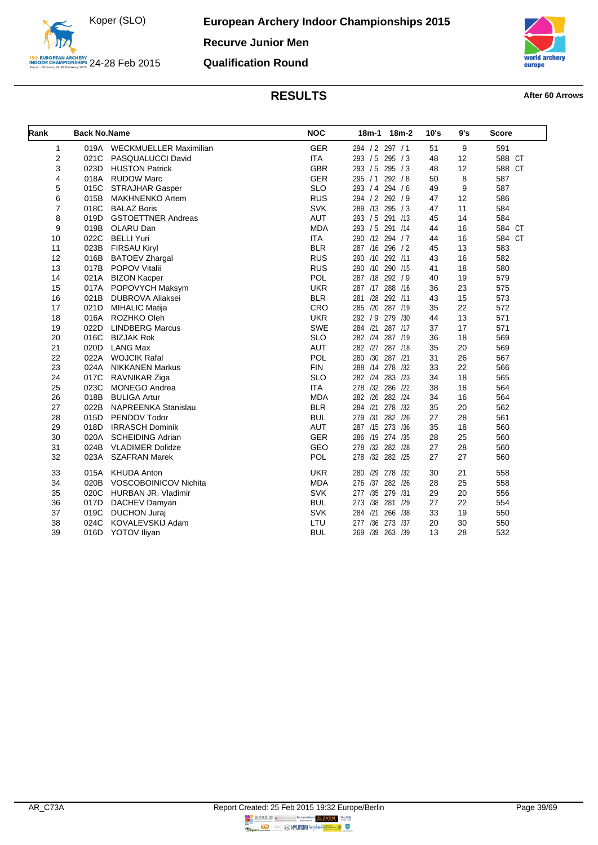



**Qualification Round**

<span id="page-39-0"></span>

| Rank                    | <b>Back No.Name</b> |                            | <b>NOC</b> | 18m-1 18m-2     | 10's | 9's | <b>Score</b> |
|-------------------------|---------------------|----------------------------|------------|-----------------|------|-----|--------------|
| $\mathbf{1}$            | 019A                | WECKMUELLER Maximilian     | <b>GER</b> | 294 / 2 297 / 1 | 51   | 9   | 591          |
| $\overline{\mathbf{c}}$ | 021C                | PASQUALUCCI David          | <b>ITA</b> | 293 / 5 295 / 3 | 48   | 12  | 588 CT       |
| 3                       | 023D                | <b>HUSTON Patrick</b>      | <b>GBR</b> | 293 / 5 295 / 3 | 48   | 12  | 588 CT       |
| 4                       | 018A                | <b>RUDOW Marc</b>          | <b>GER</b> | 295 / 1 292 / 8 | 50   | 8   | 587          |
| 5                       | 015C                | STRAJHAR Gasper            | <b>SLO</b> | 293 / 4 294 / 6 | 49   | 9   | 587          |
| 6                       | 015B                | <b>MAKHNENKO Artem</b>     | <b>RUS</b> | 294 / 2 292 / 9 | 47   | 12  | 586          |
| $\overline{7}$          | 018C                | <b>BALAZ Boris</b>         | <b>SVK</b> | 289 /13 295 /3  | 47   | 11  | 584          |
| 8                       | 019D                | <b>GSTOETTNER Andreas</b>  | <b>AUT</b> | 293 / 5 291 /13 | 45   | 14  | 584          |
| 9                       | 019B                | OLARU Dan                  | <b>MDA</b> | 293 / 5 291 /14 | 44   | 16  | 584 CT       |
| 10                      | 022C                | <b>BELLI Yuri</b>          | <b>ITA</b> | 290 /12 294 / 7 | 44   | 16  | 584 CT       |
| 11                      | 023B                | <b>FIRSAU Kiryl</b>        | <b>BLR</b> | 287 /16 296 / 2 | 45   | 13  | 583          |
| 12                      | 016B                | <b>BATOEV Zhargal</b>      | <b>RUS</b> | 290 /10 292 /11 | 43   | 16  | 582          |
| 13                      | 017B                | POPOV Vitalii              | <b>RUS</b> | 290 /10 290 /15 | 41   | 18  | 580          |
| 14                      | 021A                | <b>BIZON Kacper</b>        | POL        | 287 /18 292 / 9 | 40   | 19  | 579          |
| 15                      | 017A                | POPOVYCH Maksym            | <b>UKR</b> | 287 /17 288 /16 | 36   | 23  | 575          |
| 16                      | 021B                | <b>DUBROVA Aliaksei</b>    | <b>BLR</b> | 281 /28 292 /11 | 43   | 15  | 573          |
| 17                      | 021D                | <b>MIHALIC Matija</b>      | CRO        | 285 /20 287 /19 | 35   | 22  | 572          |
| 18                      | 016A                | ROZHKO Oleh                | <b>UKR</b> | 292 / 9 279 /30 | 44   | 13  | 571          |
| 19                      | 022D                | <b>LINDBERG Marcus</b>     | SWE        | 284 /21 287 /17 | 37   | 17  | 571          |
| 20                      | 016C                | <b>BIZJAK Rok</b>          | <b>SLO</b> | 282 /24 287 /19 | 36   | 18  | 569          |
| 21                      | 020D                | <b>LANG Max</b>            | <b>AUT</b> | 282 /27 287 /18 | 35   | 20  | 569          |
| 22                      | 022A                | <b>WOJCIK Rafal</b>        | POL        | 280 /30 287 /21 | 31   | 26  | 567          |
| 23                      | 024A                | <b>NIKKANEN Markus</b>     | <b>FIN</b> | 288 /14 278 /32 | 33   | 22  | 566          |
| 24                      | 017C                | RAVNIKAR Ziga              | <b>SLO</b> | 282 /24 283 /23 | 34   | 18  | 565          |
| 25                      | 023C                | <b>MONEGO Andrea</b>       | <b>ITA</b> | 278 /32 286 /22 | 38   | 18  | 564          |
| 26                      | 018B                | <b>BULIGA Artur</b>        | <b>MDA</b> | 282 /26 282 /24 | 34   | 16  | 564          |
| 27                      | 022B                | <b>NAPREENKA Stanislau</b> | <b>BLR</b> | 284 /21 278 /32 | 35   | 20  | 562          |
| 28                      | 015D                | PENDOV Todor               | <b>BUL</b> | 279 /31 282 /26 | 27   | 28  | 561          |
| 29                      | 018D                | <b>IRRASCH Dominik</b>     | <b>AUT</b> | 287 /15 273 /36 | 35   | 18  | 560          |
| 30                      | 020A                | <b>SCHEIDING Adrian</b>    | <b>GER</b> | 286 /19 274 /35 | 28   | 25  | 560          |
| 31                      | 024B                | <b>VLADIMER Dolidze</b>    | GEO        | 278 /32 282 /28 | 27   | 28  | 560          |
| 32                      | 023A                | <b>SZAFRAN Marek</b>       | <b>POL</b> | 278 /32 282 /25 | 27   | 27  | 560          |
| 33                      | 015A                | <b>KHUDA Anton</b>         | <b>UKR</b> | 280 /29 278 /32 | 30   | 21  | 558          |
| 34                      | 020B                | VOSCOBOINICOV Nichita      | <b>MDA</b> | 276 /37 282 /26 | 28   | 25  | 558          |
| 35                      | 020C                | HURBAN JR. Vladimir        | <b>SVK</b> | 277 /35 279 /31 | 29   | 20  | 556          |
| 36                      | 017D                | DACHEV Damyan              | <b>BUL</b> | 273 /38 281 /29 | 27   | 22  | 554          |
| 37                      | 019C                | <b>DUCHON Jurai</b>        | <b>SVK</b> | 284 /21 266 /38 | 33   | 19  | 550          |
| 38                      | 024C                | KOVALEVSKIJ Adam           | LTU        | 277 /36 273 /37 | 20   | 30  | 550          |
| 39                      | 016D                | YOTOV Iliyan               | <b>BUL</b> | 269 /39 263 /39 | 13   | 28  | 532          |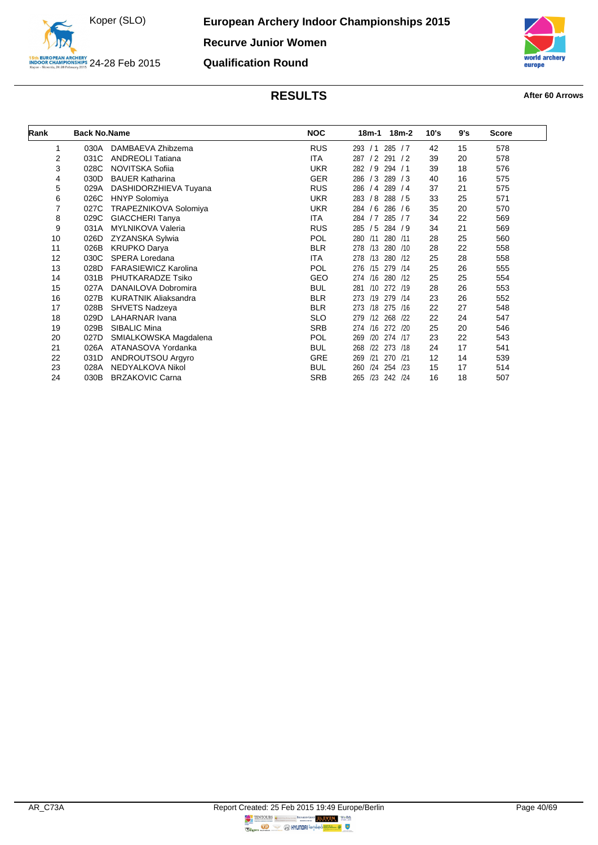

auro

## **RESULTS After 60 Arrows**

**Qualification Round**

<span id="page-40-0"></span>

| Rank | <b>Back No.Name</b> |                             | <b>NOC</b> | $18m-2$<br>18m-1         | 10's | 9's | <b>Score</b> |  |
|------|---------------------|-----------------------------|------------|--------------------------|------|-----|--------------|--|
| 1    | 030A                | DAMBAEVA Zhibzema           | <b>RUS</b> | 285 / 7<br>293 / 1       | 42   | 15  | 578          |  |
| 2    | 031C                | <b>ANDREOLI Tatiana</b>     | ITA        | 291/2<br>287/2           | 39   | 20  | 578          |  |
| 3    | 028C                | NOVITSKA Sofiia             | <b>UKR</b> | 282 / 9<br>294 / 1       | 39   | 18  | 576          |  |
| 4    | 030D                | <b>BAUER Katharina</b>      | <b>GER</b> | 289 / 3<br>286 / 3       | 40   | 16  | 575          |  |
| 5    | 029A                | DASHIDORZHIEVA Tuyana       | <b>RUS</b> | 289/4<br>286 / 4         | 37   | 21  | 575          |  |
| 6    | 026C                | <b>HNYP Solomiya</b>        | <b>UKR</b> | 288 / 5<br>283 / 8       | 33   | 25  | 571          |  |
| 7    | 027C                | TRAPEZNIKOVA Solomiya       | <b>UKR</b> | 284 / 6<br>286 / 6       | 35   | 20  | 570          |  |
| 8    | 029C                | GIACCHERI Tanya             | <b>ITA</b> | 285 / 7<br>284 / 7       | 34   | 22  | 569          |  |
| 9    | 031A                | <b>MYLNIKOVA Valeria</b>    | <b>RUS</b> | 284 / 9<br>285 / 5       | 34   | 21  | 569          |  |
| 10   | 026D                | ZYZANSKA Sylwia             | <b>POL</b> | /11<br>280 /11<br>280    | 28   | 25  | 560          |  |
| 11   | 026B                | <b>KRUPKO Darya</b>         | <b>BLR</b> | 280<br>278 /13<br>/10    | 28   | 22  | 558          |  |
| 12   | 030C                | SPERA Loredana              | <b>ITA</b> | 278 /13<br>280 /12       | 25   | 28  | 558          |  |
| 13   | 028D                | <b>FARASIEWICZ Karolina</b> | <b>POL</b> | 276 /15<br>279 /14       | 25   | 26  | 555          |  |
| 14   | 031B                | PHUTKARADZE Tsiko           | <b>GEO</b> | 274 /16<br>280 /12       | 25   | 25  | 554          |  |
| 15   | 027A                | DANAILOVA Dobromira         | <b>BUL</b> | /10<br>272 /19<br>281    | 28   | 26  | 553          |  |
| 16   | 027B                | <b>KURATNIK Aliaksandra</b> | <b>BLR</b> | 273 /19<br>279<br>/14    | 23   | 26  | 552          |  |
| 17   | 028B                | <b>SHVETS Nadzeya</b>       | <b>BLR</b> | 273 /18<br>275<br>/16    | 22   | 27  | 548          |  |
| 18   | 029D                | <b>LAHARNAR Ivana</b>       | <b>SLO</b> | 279 /12<br>268<br>/22    | 22   | 24  | 547          |  |
| 19   | 029B                | SIBALIC Mina                | <b>SRB</b> | 272 /20<br>274 /16       | 25   | 20  | 546          |  |
| 20   | 027D                | SMIALKOWSKA Magdalena       | <b>POL</b> | /20<br>274 /17<br>269    | 23   | 22  | 543          |  |
| 21   | 026A                | ATANASOVA Yordanka          | <b>BUL</b> | 268<br>122<br>273<br>/18 | 24   | 17  | 541          |  |
| 22   | 031D                | ANDROUTSOU Argyro           | <b>GRE</b> | 270<br>269<br>/21<br>/21 | 12   | 14  | 539          |  |
| 23   | 028A                | NEDYALKOVA Nikol            | <b>BUL</b> | 124<br>254<br>/23<br>260 | 15   | 17  | 514          |  |
| 24   | 030B                | <b>BRZAKOVIC Carna</b>      | <b>SRB</b> | /23<br>242 /24<br>265    | 16   | 18  | 507          |  |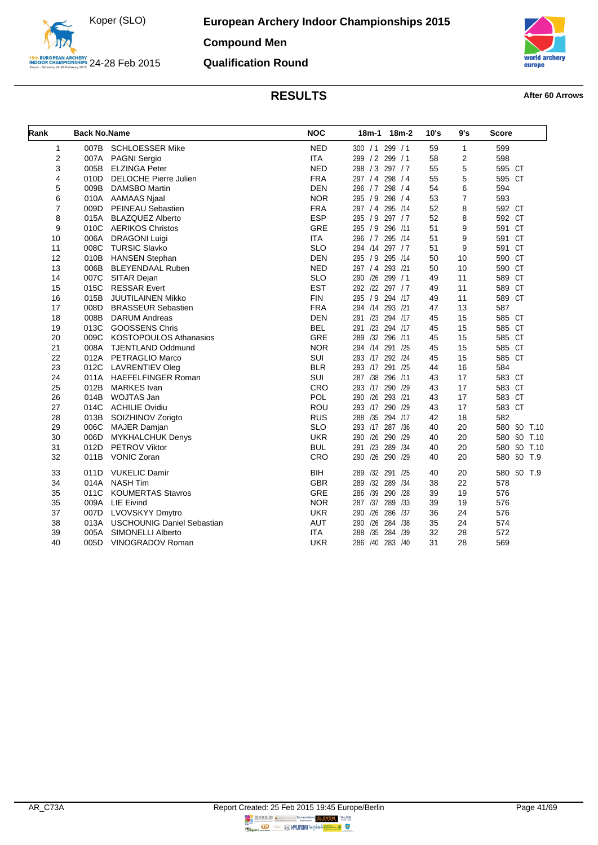



**Qualification Round**

<span id="page-41-0"></span>

| Rank           | <b>Back No.Name</b> |                                   | <b>NOC</b> | 18m-1 18m-2           | 10's | 9's            | <b>Score</b>   |
|----------------|---------------------|-----------------------------------|------------|-----------------------|------|----------------|----------------|
| 1              | 007B                | <b>SCHLOESSER Mike</b>            | <b>NED</b> | 300 / 1 299 / 1       | 59   | $\mathbf{1}$   | 599            |
| 2              | 007A                | PAGNI Sergio                      | <b>ITA</b> | 299 / 2 299 / 1       | 58   | 2              | 598            |
| 3              | 005B                | <b>ELZINGA Peter</b>              | <b>NED</b> | 298 / 3 297 / 7       | 55   | 5              | 595 CT         |
| 4              | 010D                | DELOCHE Pierre Julien             | <b>FRA</b> | 297 / 4 298 / 4       | 55   | 5              | 595 CT         |
| 5              | 009B                | <b>DAMSBO Martin</b>              | <b>DEN</b> | 296 / 7 298 / 4       | 54   | 6              | 594            |
| 6              | 010A                | AAMAAS Njaal                      | <b>NOR</b> | 298 / 4<br>295 / 9    | 53   | $\overline{7}$ | 593            |
| $\overline{7}$ | 009D                | PEINEAU Sebastien                 | <b>FRA</b> | 297 / 4 295 /14       | 52   | 8              | 592 CT         |
| 8              | 015A                | <b>BLAZQUEZ Alberto</b>           | <b>ESP</b> | 295 / 9 297 / 7       | 52   | 8              | 592 CT         |
| 9              | 010C                | <b>AERIKOS Christos</b>           | GRE        | 295 / 9 296 /11       | 51   | 9              | 591 CT         |
| 10             | 006A                | <b>DRAGONI Luigi</b>              | <b>ITA</b> | 296 / 7 295 /14       | 51   | 9              | 591 CT         |
| 11             | 008C                | <b>TURSIC Slavko</b>              | <b>SLO</b> | 294 /14 297 / 7       | 51   | 9              | 591 CT         |
| 12             | 010B                | <b>HANSEN Stephan</b>             | <b>DEN</b> | 295 / 9 295 /14       | 50   | 10             | 590 CT         |
| 13             | 006B                | <b>BLEYENDAAL Ruben</b>           | <b>NED</b> | 297 / 4 293 / 21      | 50   | 10             | 590 CT         |
| 14             | 007C                | SITAR Dejan                       | <b>SLO</b> | 290 /26<br>299 / 1    | 49   | 11             | 589 CT         |
| 15             | 015C                | <b>RESSAR Evert</b>               | <b>EST</b> | 292 /22 297 / 7       | 49   | 11             | 589 CT         |
| 16             | 015B                | JUUTILAINEN Mikko                 | <b>FIN</b> | 295 / 9 294 /17       | 49   | 11             | 589 CT         |
| 17             | 008D                | <b>BRASSEUR Sebastien</b>         | <b>FRA</b> | 294 /14 293 /21       | 47   | 13             | 587            |
| 18             | 008B                | <b>DARUM Andreas</b>              | <b>DEN</b> | 291 /23 294 /17       | 45   | 15             | 585 CT         |
| 19             | 013C                | <b>GOOSSENS Chris</b>             | <b>BEL</b> | 291 /23 294 /17       | 45   | 15             | 585 CT         |
| 20             | 009C                | <b>KOSTOPOULOS Athanasios</b>     | <b>GRE</b> | 289 /32 296 /11       | 45   | 15             | 585 CT         |
| 21             | 008A                | TJENTLAND Oddmund                 | <b>NOR</b> | 294 /14 291 /25       | 45   | 15             | 585 CT         |
| 22             | 012A                | PETRAGLIO Marco                   | SUI        | 293 /17 292 /24       | 45   | 15             | 585 CT         |
| 23             | 012C                | LAVRENTIEV Oleg                   | <b>BLR</b> | 293 /17 291 /25       | 44   | 16             | 584            |
| 24             | 011A                | <b>HAEFELFINGER Roman</b>         | <b>SUI</b> | 287 /38 296 /11       | 43   | 17             | 583 CT         |
| 25             | 012B                | <b>MARKES</b> Ivan                | CRO        | 293 /17 290 /29       | 43   | 17             | 583 CT         |
| 26             | 014B                | WOJTAS Jan                        | POL        | 290 /26 293 /21       | 43   | 17             | 583 CT         |
| 27             | 014C                | <b>ACHILIE Ovidiu</b>             | <b>ROU</b> | 293 /17 290 /29       | 43   | 17             | 583 CT         |
| 28             | 013B                | SOIZHINOV Zorigto                 | <b>RUS</b> | 288 /35 294 /17       | 42   | 18             | 582            |
| 29             | 006C                | <b>MAJER Damjan</b>               | <b>SLO</b> | 293 /17 287 /36       | 40   | 20             | 580 SO<br>T.10 |
| 30             | 006D                | <b>MYKHALCHUK Denys</b>           | <b>UKR</b> | 290 /26<br>290<br>/29 | 40   | 20             | 580 SO T.10    |
| 31             | 012D                | <b>PETROV Viktor</b>              | <b>BUL</b> | 291 /23 289<br>/34    | 40   | 20             | 580 SO T.10    |
| 32             |                     | 011B VONIC Zoran                  | CRO        | 290 /26 290 /29       | 40   | 20             | 580 SO T.9     |
| 33             | 011D                | <b>VUKELIC Damir</b>              | <b>BIH</b> | 289 /32 291<br>/25    | 40   | 20             | 580 SO T.9     |
| 34             | 014A                | <b>NASH Tim</b>                   | <b>GBR</b> | /32 289<br>289<br>/34 | 38   | 22             | 578            |
| 35             | 011C                | <b>KOUMERTAS Stavros</b>          | <b>GRE</b> | 286 /39 290<br>/28    | 39   | 19             | 576            |
| 35             | 009A                | <b>LIE Eivind</b>                 | <b>NOR</b> | 287 /37 289<br>/33    | 39   | 19             | 576            |
| 37             | 007D                | <b>LVOVSKYY Dmytro</b>            | <b>UKR</b> | 290 /26 286<br>/37    | 36   | 24             | 576            |
| 38             | 013A                | <b>USCHOUNIG Daniel Sebastian</b> | <b>AUT</b> | 290 /26<br>284 /38    | 35   | 24             | 574            |
| 39             | 005A                | <b>SIMONELLI Alberto</b>          | <b>ITA</b> | 288<br>/35 284<br>/39 | 32   | 28             | 572            |
| 40             | 005D                | VINOGRADOV Roman                  | <b>UKR</b> | 286 /40 283 /40       | 31   | 28             | 569            |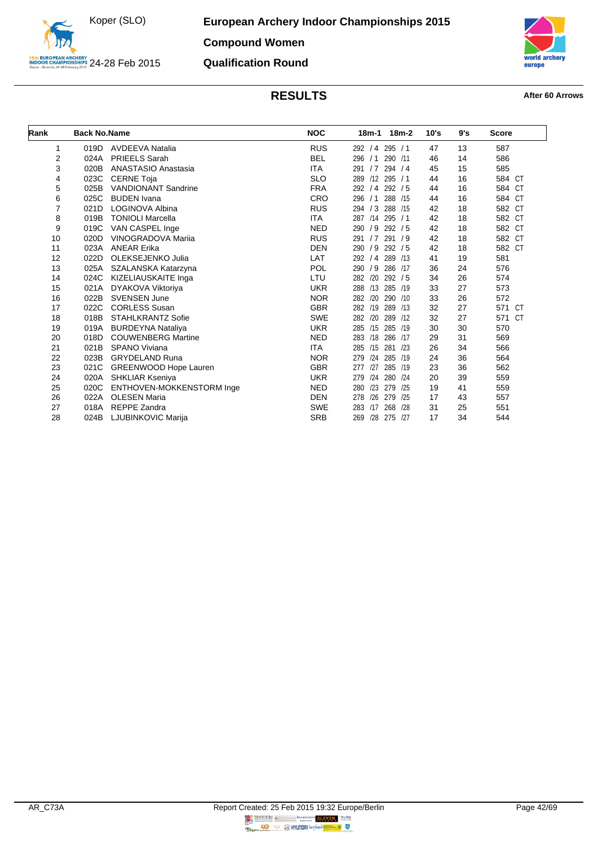

### **Qualification Round**



<span id="page-42-0"></span>

| Rank           | <b>Back No.Name</b> |                              | <b>NOC</b> | $18m-2$<br>18m-1      | 10's | 9's | <b>Score</b>     |
|----------------|---------------------|------------------------------|------------|-----------------------|------|-----|------------------|
| 1              | 019D                | <b>AVDEEVA Natalia</b>       | <b>RUS</b> | 292 / 4 295 / 1       | 47   | 13  | 587              |
| $\overline{2}$ | 024A                | <b>PRIEELS Sarah</b>         | <b>BEL</b> | 296<br>/1<br>290 /11  | 46   | 14  | 586              |
| 3              | 020B                | ANASTASIO Anastasia          | <b>ITA</b> | 294 / 4<br>291 / 7    | 45   | 15  | 585              |
| 4              | 023C                | <b>CERNE Toja</b>            | <b>SLO</b> | 289 /12 295 / 1       | 44   | 16  | 584 CT           |
| 5              | 025B                | <b>VANDIONANT Sandrine</b>   | <b>FRA</b> | 292/5<br>292 / 4      | 44   | 16  | 584 CT           |
| 6              | 025C                | <b>BUDEN</b> Ivana           | CRO        | 288 /15<br>296<br>/1  | 44   | 16  | 584 CT           |
| 7              | 021D                | LOGINOVA Albina              | <b>RUS</b> | /3<br>288 /15<br>294  | 42   | 18  | 582 CT           |
| 8              | 019B                | <b>TONIOLI Marcella</b>      | <b>ITA</b> | 287 /14 295 / 1       | 42   | 18  | 582 CT           |
| 9              | 019C                | VAN CASPEL Inge              | <b>NED</b> | /9<br>290<br>292/5    | 42   | 18  | 582 CT           |
| 10             | 020D                | <b>VINOGRADOVA Marija</b>    | <b>RUS</b> | 291 / 7<br>291/9      | 42   | 18  | 582 CT           |
| 11             | 023A                | <b>ANEAR Erika</b>           | <b>DEN</b> | /9 292 / 5<br>290     | 42   | 18  | 582 CT           |
| 12             | 022D                | OLEKSEJENKO Julia            | LAT        | 292 / 4 289 /13       | 41   | 19  | 581              |
| 13             | 025A                | SZALANSKA Katarzyna          | POL        | /9<br>286 /17<br>290  | 36   | 24  | 576              |
| 14             | 024C                | KIZELIAUSKAITE Inga          | LTU        | 282 /20<br>292/5      | 34   | 26  | 574              |
| 15             | 021A                | DYAKOVA Viktoriya            | <b>UKR</b> | /13 285 /19<br>288    | 33   | 27  | 573              |
| 16             | 022B                | <b>SVENSEN June</b>          | <b>NOR</b> | 282<br>/20<br>290 /10 | 33   | 26  | 572              |
| 17             | 022C                | <b>CORLESS Susan</b>         | <b>GBR</b> | 282 /19 289 /13       | 32   | 27  | 571<br>CT        |
| 18             | 018B                | <b>STAHLKRANTZ Sofie</b>     | <b>SWE</b> | 282<br>/20<br>289 /12 | 32   | 27  | 571<br><b>CT</b> |
| 19             | 019A                | <b>BURDEYNA Nataliya</b>     | <b>UKR</b> | 285 /15 285 /19       | 30   | 30  | 570              |
| 20             | 018D                | <b>COUWENBERG Martine</b>    | <b>NED</b> | /18<br>283<br>286 /17 | 29   | 31  | 569              |
| 21             | 021B                | SPANO Viviana                | <b>ITA</b> | 285 /15<br>281 /23    | 26   | 34  | 566              |
| 22             | 023B                | <b>GRYDELAND Runa</b>        | <b>NOR</b> | 279<br>/24 285 /19    | 24   | 36  | 564              |
| 23             | 021C                | <b>GREENWOOD Hope Lauren</b> | <b>GBR</b> | 285 /19<br>/27<br>277 | 23   | 36  | 562              |
| 24             | 020A                | <b>SHKLIAR Kseniya</b>       | <b>UKR</b> | /24 280 /24<br>279    | 20   | 39  | 559              |
| 25             | 020C                | ENTHOVEN-MOKKENSTORM Inge    | <b>NED</b> | /23<br>279 /25<br>280 | 19   | 41  | 559              |
| 26             | 022A                | <b>OLESEN Maria</b>          | <b>DEN</b> | /26<br>279 /25<br>278 | 17   | 43  | 557              |
| 27             | 018A                | <b>REPPE Zandra</b>          | <b>SWE</b> | 268 /28<br>283<br>/17 | 31   | 25  | 551              |
| 28             | 024B                | LJUBINKOVIC Marija           | <b>SRB</b> | /28 275 /27<br>269    | 17   | 34  | 544              |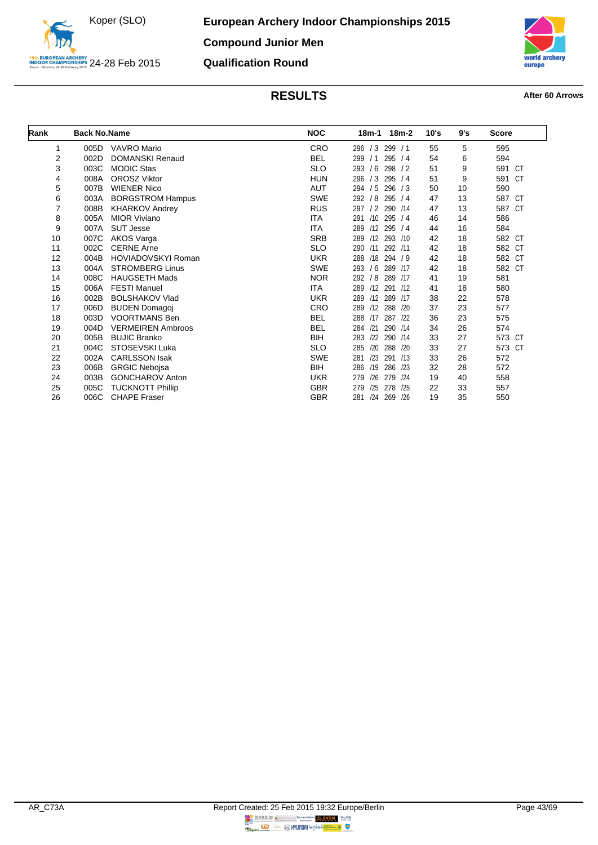



<span id="page-43-0"></span>

| Rank           | <b>Back No.Name</b> |                           | <b>NOC</b> | 18m-2<br>18m-1        | 10's | 9's | <b>Score</b> |
|----------------|---------------------|---------------------------|------------|-----------------------|------|-----|--------------|
| 1              | 005D                | <b>VAVRO</b> Mario        | <b>CRO</b> | 296 / 3 299 / 1       | 55   | 5   | 595          |
| $\overline{2}$ | 002D                | <b>DOMANSKI Renaud</b>    | <b>BEL</b> | /1<br>295/4<br>299    | 54   | 6   | 594          |
| 3              | 003C                | <b>MODIC Stas</b>         | <b>SLO</b> | 293 / 6 298 / 2       | 51   | 9   | 591 CT       |
| 4              | 008A                | <b>OROSZ Viktor</b>       | <b>HUN</b> | 296 / 3 295 / 4       | 51   | 9   | 591 CT       |
| 5              | 007B                | <b>WIENER Nico</b>        | AUT        | 294 / 5 296 / 3       | 50   | 10  | 590          |
| 6              | 003A                | <b>BORGSTROM Hampus</b>   | <b>SWE</b> | 292 / 8<br>295/4      | 47   | 13  | 587 CT       |
| $\overline{7}$ | 008B                | <b>KHARKOV Andrey</b>     | <b>RUS</b> | / 2 290 / 14<br>297   | 47   | 13  | 587 CT       |
| 8              | 005A                | <b>MIOR Viviano</b>       | ITA        | $/10$ 295 $/4$<br>291 | 46   | 14  | 586          |
| 9              | 007A                | <b>SUT Jesse</b>          | ITA        | $/12$ 295 $/4$<br>289 | 44   | 16  | 584          |
| 10             | 007C                | AKOS Varga                | <b>SRB</b> | 289 /12 293 /10       | 42   | 18  | 582 CT       |
| 11             | 002C                | <b>CERNE Arne</b>         | <b>SLO</b> | /11<br>292 /11<br>290 | 42   | 18  | 582 CT       |
| 12             | 004B                | <b>HOVIADOVSKYI Roman</b> | <b>UKR</b> | 288 /18 294 / 9       | 42   | 18  | 582 CT       |
| 13             | 004A                | <b>STROMBERG Linus</b>    | <b>SWE</b> | 293 / 6 289 /17       | 42   | 18  | 582 CT       |
| 14             | 008C                | <b>HAUGSETH Mads</b>      | <b>NOR</b> | /8<br>289 /17<br>292  | 41   | 19  | 581          |
| 15             | 006A                | <b>FESTI Manuel</b>       | ITA        | 289 /12 291 /12       | 41   | 18  | 580          |
| 16             | 002B                | <b>BOLSHAKOV Vlad</b>     | <b>UKR</b> | 289 /12 289 /17       | 38   | 22  | 578          |
| 17             | 006D                | <b>BUDEN Domagoj</b>      | <b>CRO</b> | /12 288 /20<br>289    | 37   | 23  | 577          |
| 18             | 003D                | <b>VOORTMANS Ben</b>      | <b>BEL</b> | 288 /17 287 /22       | 36   | 23  | 575          |
| 19             | 004D                | <b>VERMEIREN Ambroos</b>  | <b>BEL</b> | /21<br>290 /14<br>284 | 34   | 26  | 574          |
| 20             | 005B                | <b>BUJIC Branko</b>       | BIH        | /22<br>290 /14<br>283 | 33   | 27  | 573 CT       |
| 21             | 004C                | STOSEVSKI Luka            | <b>SLO</b> | /20 288 /20<br>285    | 33   | 27  | 573 CT       |
| 22             | 002A                | <b>CARLSSON Isak</b>      | <b>SWE</b> | /23<br>291 /13<br>281 | 33   | 26  | 572          |
| 23             | 006B                | <b>GRGIC Nebojsa</b>      | BIH        | /19<br>286 /23<br>286 | 32   | 28  | 572          |
| 24             | 003B                | <b>GONCHAROV Anton</b>    | <b>UKR</b> | /26<br>279 /24<br>279 | 19   | 40  | 558          |
| 25             | 005C                | <b>TUCKNOTT Phillip</b>   | <b>GBR</b> | 278 /25<br>/25<br>279 | 22   | 33  | 557          |
| 26             | 006C                | <b>CHAPE Fraser</b>       | <b>GBR</b> | /24<br>269 /26<br>281 | 19   | 35  | 550          |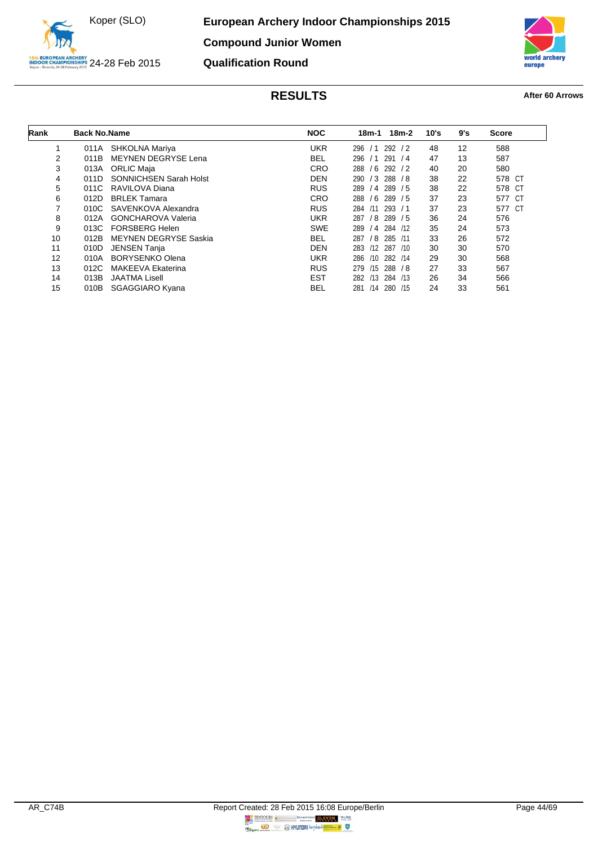



<span id="page-44-0"></span>

| Rank | <b>Back No.Name</b> |                               | <b>NOC</b> | $18m-2$<br>18m-1         | 10's | 9's | <b>Score</b> |
|------|---------------------|-------------------------------|------------|--------------------------|------|-----|--------------|
|      | 011A                | SHKOLNA Mariya                | <b>UKR</b> | 292<br>296<br>/2<br>/1   | 48   | 12  | 588          |
| 2    | 011B                | <b>MEYNEN DEGRYSE Lena</b>    | BEL        | 296<br>291<br>/1<br>/4   | 47   | 13  | 587          |
| 3    | 013A                | <b>ORLIC Maja</b>             | <b>CRO</b> | /6<br>292/2<br>288       | 40   | 20  | 580          |
| 4    | 011D                | <b>SONNICHSEN Sarah Holst</b> | <b>DEN</b> | $/3$ 288 $/8$<br>290     | 38   | 22  | 578 CT       |
| 5    | 011C                | RAVILOVA Diana                | <b>RUS</b> | $/4$ 289 $/5$<br>289     | 38   | 22  | 578 CT       |
| 6    | 012D                | <b>BRLEK Tamara</b>           | <b>CRO</b> | /6<br>289/5<br>288       | 37   | 23  | 577 CT       |
|      | 010C                | SAVENKOVA Alexandra           | <b>RUS</b> | 293/1<br>/11<br>284      | 37   | 23  | 577 CT       |
| 8    | 012A                | <b>GONCHAROVA Valeria</b>     | <b>UKR</b> | /8<br>289/5<br>287       | 36   | 24  | 576          |
| 9    | 013C                | <b>FORSBERG Helen</b>         | <b>SWE</b> | 284 /12<br>289<br>/4     | 35   | 24  | 573          |
| 10   | 012B                | <b>MEYNEN DEGRYSE Saskia</b>  | <b>BEL</b> | /8<br>285 /11<br>287     | 33   | 26  | 572          |
| 11   | 010D                | <b>JENSEN Tanja</b>           | <b>DEN</b> | /12 287 /10<br>283       | 30   | 30  | 570          |
| 12   | 010A                | <b>BORYSENKO Olena</b>        | <b>UKR</b> | /10<br>282 /14<br>286    | 29   | 30  | 568          |
| 13   | 012C                | <b>MAKEEVA Ekaterina</b>      | <b>RUS</b> | 279<br>/15<br>288 / 8    | 27   | 33  | 567          |
| 14   | 013B                | <b>JAATMA Lisell</b>          | <b>EST</b> | 284<br>282<br>/13<br>/13 | 26   | 34  | 566          |
| 15   | 010B                | <b>SGAGGIARO Kyana</b>        | <b>BEL</b> | /14 280 /15<br>281       | 24   | 33  | 561          |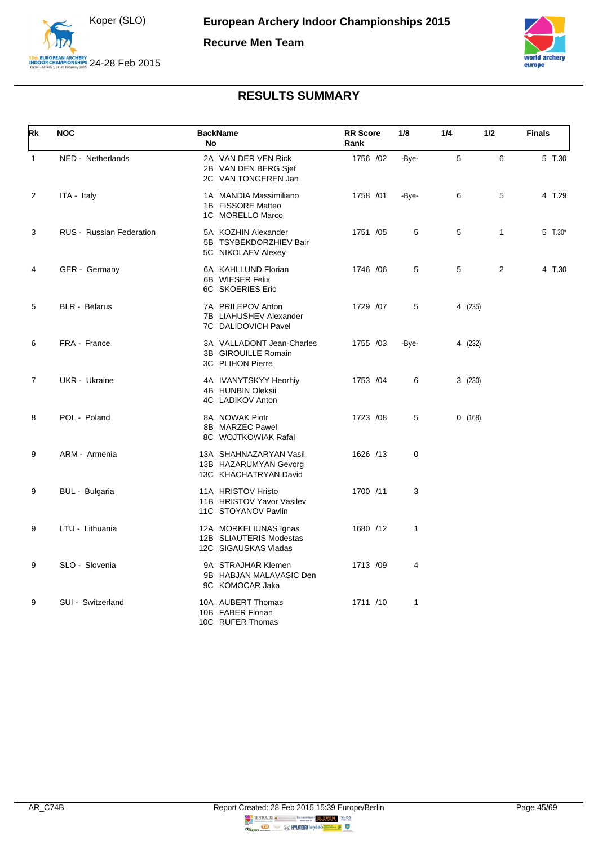

**Recurve Men Team**



<span id="page-45-0"></span>

| Rk             | <b>NOC</b>                      | <b>BackName</b><br><b>No</b>                                             | <b>RR</b> Score<br>Rank | 1/8          | 1/4     | 1/2            | <b>Finals</b> |
|----------------|---------------------------------|--------------------------------------------------------------------------|-------------------------|--------------|---------|----------------|---------------|
| 1              | NED - Netherlands               | 2A VAN DER VEN Rick<br>2B VAN DEN BERG Sjef<br>2C VAN TONGEREN Jan       | 1756 /02                | -Bye-        | 5       | 6              | 5 T.30        |
| 2              | ITA - Italy                     | 1A MANDIA Massimiliano<br>1B FISSORE Matteo<br>1C MORELLO Marco          | 1758 /01                | -Bye-        | 6       | 5              | 4 T.29        |
| 3              | <b>RUS</b> - Russian Federation | 5A KOZHIN Alexander<br>5B TSYBEKDORZHIEV Bair<br>5C NIKOLAEV Alexey      | 1751 /05                | 5            | 5       | $\mathbf{1}$   | 5 $T.30*$     |
| 4              | GER - Germany                   | 6A KAHLLUND Florian<br>6B WIESER Felix<br>6C SKOERIES Eric               | 1746 / 06               | 5            | 5       | $\overline{2}$ | 4 T.30        |
| 5              | <b>BLR</b> - Belarus            | 7A PRILEPOV Anton<br>7B LIAHUSHEV Alexander<br>7C DALIDOVICH Pavel       | 1729 /07                | 5            | 4 (235) |                |               |
| 6              | FRA - France                    | 3A VALLADONT Jean-Charles<br>3B GIROUILLE Romain<br>3C PLIHON Pierre     | 1755 /03                | -Bye-        | 4 (232) |                |               |
| $\overline{7}$ | UKR - Ukraine                   | 4A IVANYTSKYY Heorhiy<br>4B HUNBIN Oleksii<br>4C LADIKOV Anton           | 1753 /04                | 6            | 3(230)  |                |               |
| 8              | POL - Poland                    | 8A NOWAK Piotr<br>8B MARZEC Pawel<br>8C WOJTKOWIAK Rafal                 | 1723 /08                | 5            | 0(168)  |                |               |
| 9              | ARM - Armenia                   | 13A SHAHNAZARYAN Vasil<br>13B HAZARUMYAN Gevorg<br>13C KHACHATRYAN David | 1626 /13                | 0            |         |                |               |
| 9              | BUL - Bulgaria                  | 11A HRISTOV Hristo<br>11B HRISTOV Yavor Vasilev<br>11C STOYANOV Pavlin   | 1700 /11                | 3            |         |                |               |
| 9              | LTU - Lithuania                 | 12A MORKELIUNAS Ignas<br>12B SLIAUTERIS Modestas<br>12C SIGAUSKAS Vladas | 1680 /12                | $\mathbf{1}$ |         |                |               |
| 9              | SLO - Slovenia                  | 9A STRAJHAR Klemen<br>9B HABJAN MALAVASIC Den<br>9C KOMOCAR Jaka         | 1713 /09                | 4            |         |                |               |
| 9              | SUI - Switzerland               | 10A AUBERT Thomas<br>10B FABER Florian<br>10C RUFER Thomas               | 1711 /10                | 1            |         |                |               |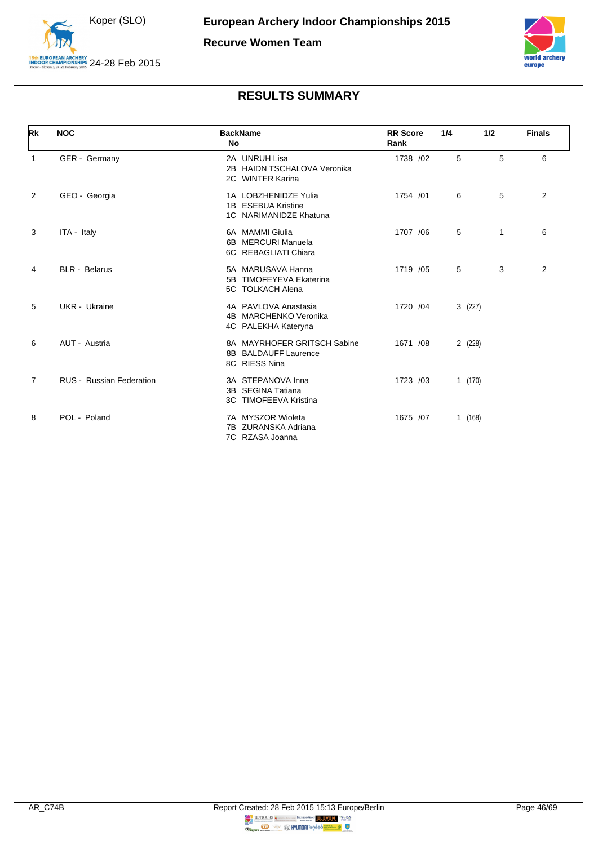



<span id="page-46-0"></span>

| Rk             | <b>NOC</b>                      | <b>BackName</b><br><b>No</b>                                         | <b>RR</b> Score<br>Rank | 1/4    | 1/2 | <b>Finals</b> |
|----------------|---------------------------------|----------------------------------------------------------------------|-------------------------|--------|-----|---------------|
| 1              | GER - Germany                   | 2A UNRUH Lisa<br>2B HAIDN TSCHALOVA Veronika<br>2C WINTER Karina     | 1738 /02                | 5      | 5   | 6             |
| 2              | GEO - Georgia                   | 1A LOBZHENIDZE Yulia<br>1B ESEBUA Kristine<br>1C NARIMANIDZE Khatuna | 1754 /01                | 6      | 5   | 2             |
| 3              | ITA - Italy                     | 6A MAMMI Giulia<br>6B MERCURI Manuela<br>6C REBAGLIATI Chiara        | 1707 /06                | 5      | 1   | 6             |
| 4              | <b>BLR</b> - Belarus            | 5A MARUSAVA Hanna<br>5B TIMOFEYEVA Ekaterina<br>5C TOLKACH Alena     | 1719 /05                | 5      | 3   | 2             |
| 5              | UKR - Ukraine                   | 4A PAVLOVA Anastasia<br>4B MARCHENKO Veronika<br>4C PALEKHA Kateryna | 1720 / 04               | 3(227) |     |               |
| 6              | AUT - Austria                   | 8A MAYRHOFER GRITSCH Sabine<br>8B BALDAUFF Laurence<br>8C RIESS Nina | 1671 /08                | 2(228) |     |               |
| $\overline{7}$ | <b>RUS - Russian Federation</b> | 3A STEPANOVA Inna<br>3B SEGINA Tatiana<br>3C TIMOFEEVA Kristina      | 1723 /03                | 1(170) |     |               |
| 8              | POL - Poland                    | 7A MYSZOR Wioleta<br>7B ZURANSKA Adriana<br>7C RZASA Joanna          | 1675 /07                | 1(168) |     |               |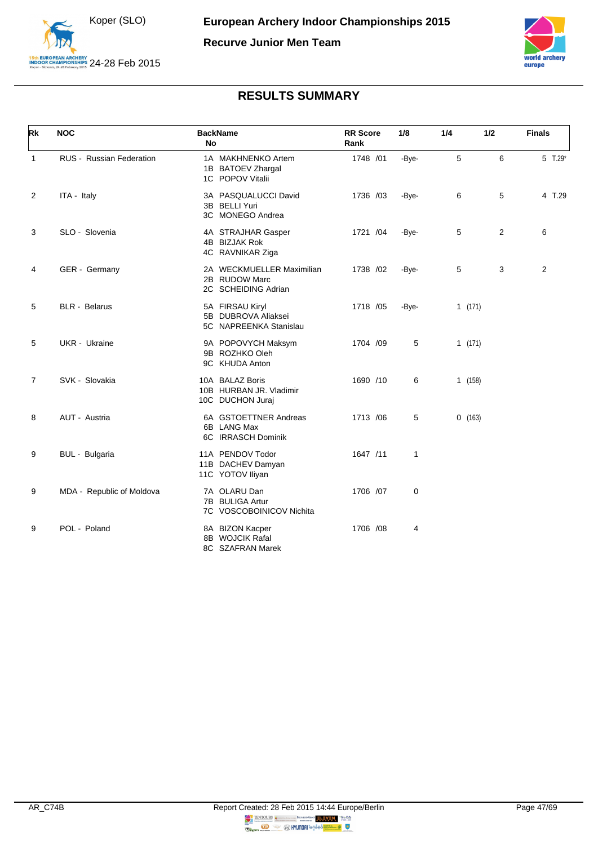

**Recurve Junior Men Team**



<span id="page-47-0"></span>

| Rk             | <b>NOC</b>                | <b>BackName</b><br><b>No</b>                                      | <b>RR</b> Score<br>Rank | 1/8   | 1/4    | 1/2            | <b>Finals</b>  |
|----------------|---------------------------|-------------------------------------------------------------------|-------------------------|-------|--------|----------------|----------------|
| $\mathbf{1}$   | RUS - Russian Federation  | 1A MAKHNENKO Artem<br>1B BATOEV Zhargal<br>1C POPOV Vitalii       | 1748 /01                | -Bye- | 5      | 6              | 5 T.29*        |
| 2              | ITA - Italy               | 3A PASQUALUCCI David<br>3B BELLI Yuri<br>3C MONEGO Andrea         | 1736 /03                | -Bye- | 6      | 5              | 4 T.29         |
| 3              | SLO - Slovenia            | 4A STRAJHAR Gasper<br>4B BIZJAK Rok<br>4C RAVNIKAR Ziga           | 1721 /04                | -Bye- | 5      | $\overline{2}$ | 6              |
| 4              | GER - Germany             | 2A WECKMUELLER Maximilian<br>2B RUDOW Marc<br>2C SCHEIDING Adrian | 1738 /02                | -Bye- | 5      | 3              | $\overline{2}$ |
| 5              | <b>BLR</b> - Belarus      | 5A FIRSAU Kiryl<br>5B DUBROVA Aliaksei<br>5C NAPREENKA Stanislau  | 1718 / 05               | -Bye- | 1(171) |                |                |
| 5              | UKR - Ukraine             | 9A POPOVYCH Maksym<br>9B ROZHKO Oleh<br>9C KHUDA Anton            | 1704 /09                | 5     | 1(171) |                |                |
| $\overline{7}$ | SVK - Slovakia            | 10A BALAZ Boris<br>10B HURBAN JR. Vladimir<br>10C DUCHON Juraj    | 1690 /10                | 6     | 1(158) |                |                |
| 8              | AUT - Austria             | 6A GSTOETTNER Andreas<br>6B LANG Max<br>6C IRRASCH Dominik        | 1713 /06                | 5     | 0(163) |                |                |
| 9              | BUL - Bulgaria            | 11A PENDOV Todor<br>11B DACHEV Damyan<br>11C YOTOV Iliyan         | 1647 /11                | 1     |        |                |                |
| 9              | MDA - Republic of Moldova | 7A OLARU Dan<br>7B BULIGA Artur<br>7C VOSCOBOINICOV Nichita       | 1706 /07                | 0     |        |                |                |
| 9              | POL - Poland              | 8A BIZON Kacper<br>8B WOJCIK Rafal<br>8C SZAFRAN Marek            | 1706 /08                | 4     |        |                |                |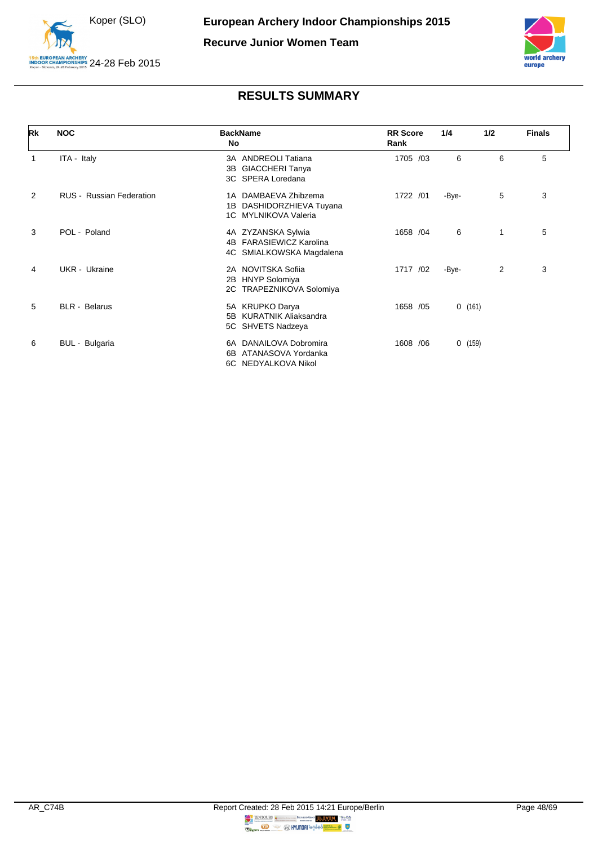



<span id="page-48-0"></span>

| Rk             | <b>NOC</b>               | <b>BackName</b><br><b>No</b>                                                        | <b>RR</b> Score<br>Rank | 1/4    | 1/2            | <b>Finals</b> |
|----------------|--------------------------|-------------------------------------------------------------------------------------|-------------------------|--------|----------------|---------------|
| $\mathbf{1}$   | ITA - Italy              | 3A ANDREOLI Tatiana<br><b>GIACCHERI Tanya</b><br>3B<br>3C SPERA Loredana            | 1705 /03                | 6      | 6              | 5             |
| $\overline{2}$ | RUS - Russian Federation | 1A DAMBAEVA Zhibzema<br>DASHIDORZHIEVA Tuyana<br>1B<br>1C MYLNIKOVA Valeria         | 1722 / 01               | -Bye-  | 5              | 3             |
| 3              | POL - Poland             | 4A ZYZANSKA Sylwia<br><b>FARASIEWICZ Karolina</b><br>4B<br>4C SMIALKOWSKA Magdalena | 1658 /04                | 6      | 1              | 5             |
| 4              | UKR - Ukraine            | 2A NOVITSKA Sofiia<br><b>HNYP Solomiya</b><br>2B<br>2C TRAPEZNIKOVA Solomiya        | 1717 /02                | -Bye-  | $\overline{2}$ | 3             |
| 5              | <b>BLR</b> - Belarus     | 5A KRUPKO Darya<br>5B KURATNIK Aliaksandra<br>5C SHVETS Nadzeya                     | 1658 /05                | 0(161) |                |               |
| 6              | BUL - Bulgaria           | 6A DANAILOVA Dobromira<br>ATANASOVA Yordanka<br>6B<br>6C NEDYALKOVA Nikol           | 1608 / 06               | 0(159) |                |               |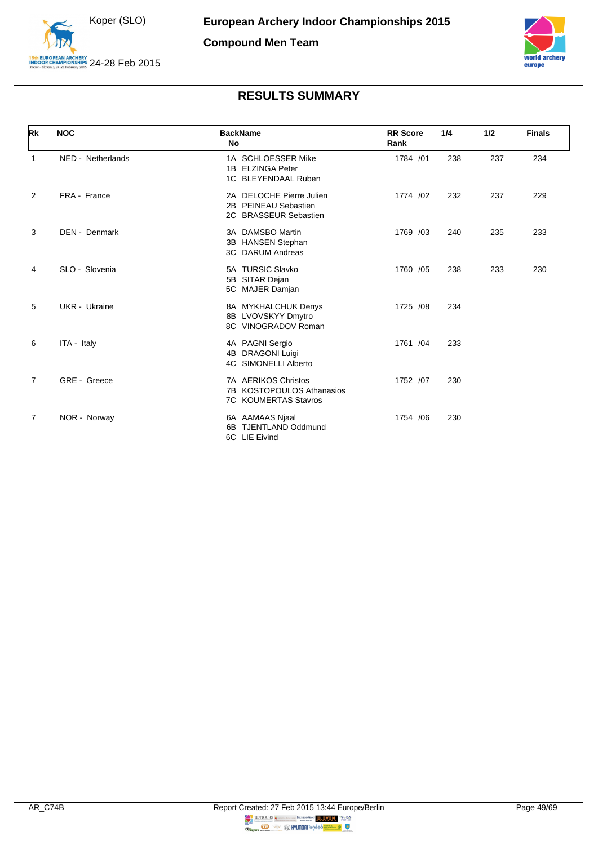



<span id="page-49-0"></span>

| Rk             | <b>NOC</b>        | <b>BackName</b><br>No                                                           | <b>RR</b> Score<br>Rank | 1/4 | 1/2 | <b>Finals</b> |
|----------------|-------------------|---------------------------------------------------------------------------------|-------------------------|-----|-----|---------------|
| 1              | NED - Netherlands | 1A SCHLOESSER Mike<br>1B ELZINGA Peter<br>1C BLEYENDAAL Ruben                   | 1784 /01                | 238 | 237 | 234           |
| $\overline{2}$ | FRA - France      | 2A DELOCHE Pierre Julien<br>2B PEINEAU Sebastien<br>2C BRASSEUR Sebastien       | 1774 /02                | 232 | 237 | 229           |
| 3              | DEN - Denmark     | 3A DAMSBO Martin<br><b>HANSEN Stephan</b><br>3B<br>3C DARUM Andreas             | 1769 /03                | 240 | 235 | 233           |
| 4              | SLO - Slovenia    | 5A TURSIC Slavko<br>SITAR Dejan<br>5B<br>5C MAJER Damjan                        | 1760 /05                | 238 | 233 | 230           |
| 5              | UKR - Ukraine     | 8A MYKHALCHUK Denys<br>8B LVOVSKYY Dmytro<br>8C VINOGRADOV Roman                | 1725 /08                | 234 |     |               |
| 6              | ITA - Italy       | 4A PAGNI Sergio<br><b>DRAGONI Luigi</b><br>4B<br>4C SIMONELLI Alberto           | 1761 /04                | 233 |     |               |
| 7              | GRE - Greece      | 7A AERIKOS Christos<br>7B KOSTOPOULOS Athanasios<br><b>7C KOUMERTAS Stavros</b> | 1752 /07                | 230 |     |               |
| $\overline{7}$ | NOR - Norway      | 6A AAMAAS Njaal<br><b>TJENTLAND Oddmund</b><br>6B<br>6C LIE Eivind              | 1754 / 06               | 230 |     |               |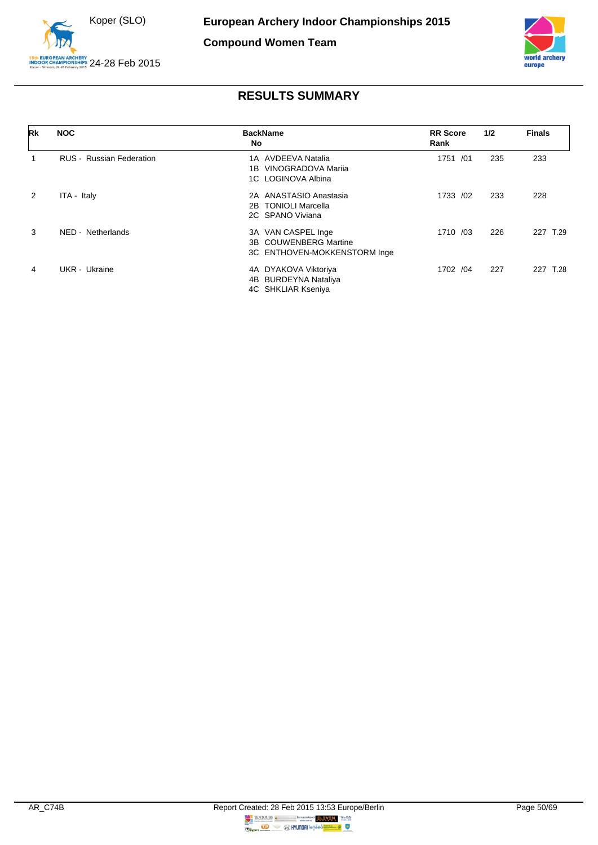



<span id="page-50-0"></span>

| Rk            | <b>NOC</b>                      | <b>BackName</b><br>No.                                                                 | <b>RR</b> Score<br>Rank | 1/2 | <b>Finals</b> |
|---------------|---------------------------------|----------------------------------------------------------------------------------------|-------------------------|-----|---------------|
|               | <b>RUS</b> - Russian Federation | 1A AVDEEVA Natalia<br>VINOGRADOVA Marija<br>1B<br>1C LOGINOVA Albina                   | 1751 /01                | 235 | 233           |
| $\mathcal{P}$ | ITA - Italy                     | 2A ANASTASIO Anastasia<br>2B TONIOLI Marcella<br>2C SPANO Viviana                      | 1733 /02                | 233 | 228           |
| 3             | NED - Netherlands               | 3A VAN CASPEL Inge<br><b>COUWENBERG Martine</b><br>3B.<br>3C ENTHOVEN-MOKKENSTORM Inge | 1710 /03                | 226 | 227<br>T.29   |
| 4             | UKR - Ukraine                   | 4A DYAKOVA Viktoriya<br>4B BURDEYNA Nataliya<br>4C SHKLIAR Kseniya                     | 1702 /04                | 227 | 227<br>T.28   |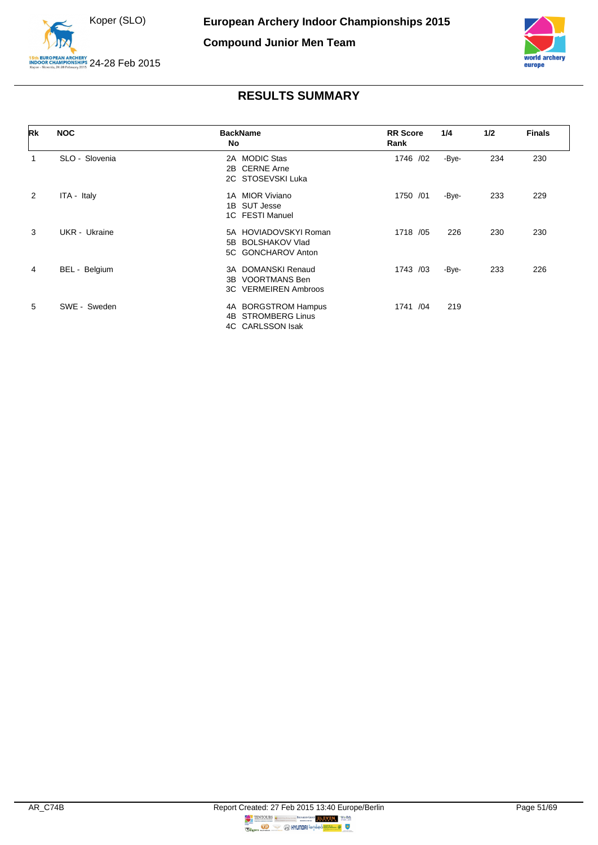



<span id="page-51-0"></span>

| Rk             | <b>NOC</b>     | <b>BackName</b><br>No                                                      | <b>RR</b> Score<br>Rank | 1/4   | 1/2 | <b>Finals</b> |
|----------------|----------------|----------------------------------------------------------------------------|-------------------------|-------|-----|---------------|
| 1              | SLO - Slovenia | 2A MODIC Stas<br>2B CERNE Arne<br>2C STOSEVSKI Luka                        | 1746 /02                | -Bye- | 234 | 230           |
| $\overline{2}$ | ITA - Italy    | 1A MIOR Viviano<br>1B SUT Jesse<br>1C FESTI Manuel                         | 1750 /01                | -Bye- | 233 | 229           |
| 3              | UKR - Ukraine  | 5A HOVIADOVSKYI Roman<br><b>BOLSHAKOV Vlad</b><br>5B<br>5C GONCHAROV Anton | 1718 / 05               | 226   | 230 | 230           |
| 4              | BEL - Belgium  | 3A DOMANSKI Renaud<br><b>VOORTMANS Ben</b><br>3B.<br>3C VERMEIREN Ambroos  | 1743 /03                | -Bye- | 233 | 226           |
| 5              | SWE - Sweden   | 4A BORGSTROM Hampus<br><b>STROMBERG Linus</b><br>4B<br>4C CARLSSON Isak    | 1741 /04                | 219   |     |               |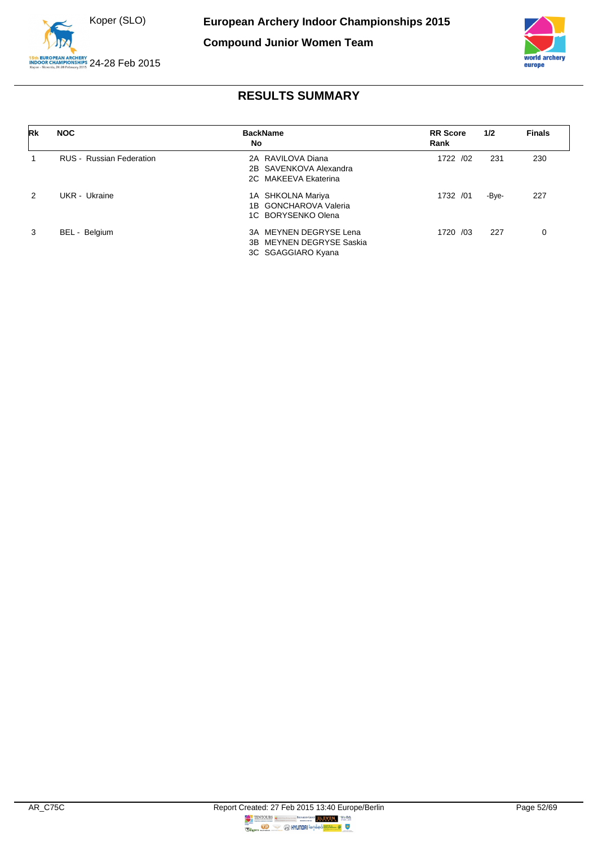



<span id="page-52-0"></span>

| Rk | <b>NOC</b>                      | <b>BackName</b><br>No    | <b>RR</b> Score<br>Rank | 1/2   | <b>Finals</b> |
|----|---------------------------------|--------------------------|-------------------------|-------|---------------|
|    | <b>RUS</b> - Russian Federation | 2A RAVILOVA Diana        | 1722 /02                | 231   | 230           |
|    |                                 | 2B SAVENKOVA Alexandra   |                         |       |               |
|    |                                 | 2C MAKEEVA Ekaterina     |                         |       |               |
| 2  | UKR - Ukraine                   | 1A SHKOLNA Mariya        | 1732 /01                | -Bye- | 227           |
|    |                                 | 1B GONCHAROVA Valeria    |                         |       |               |
|    |                                 | 1C BORYSENKO Olena       |                         |       |               |
| 3  | BEL - Belgium                   | 3A MEYNEN DEGRYSE Lena   | 1720 /03                | 227   | 0             |
|    |                                 | 3B MEYNEN DEGRYSE Saskia |                         |       |               |
|    |                                 | 3C SGAGGIARO Kyana       |                         |       |               |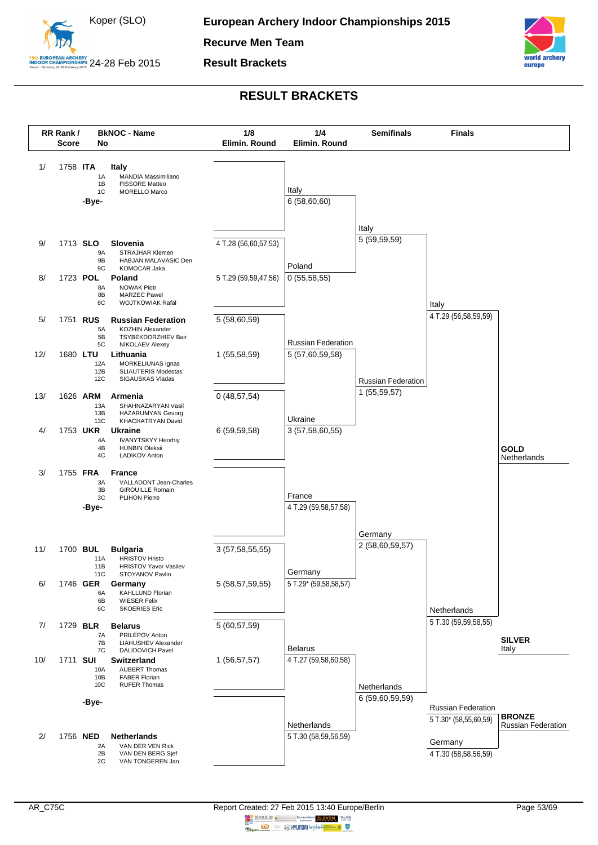

**Recurve Men Team**

**Result Brackets**



<span id="page-53-0"></span>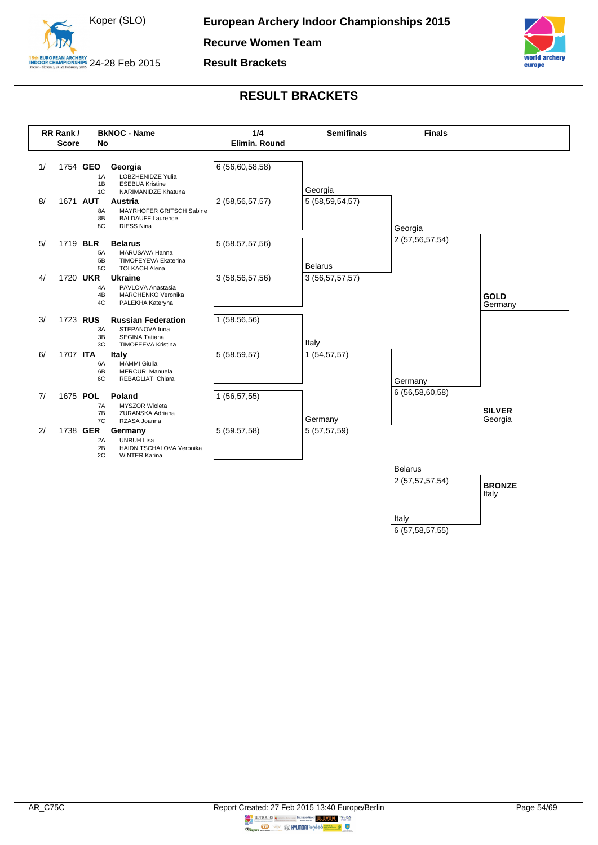

**Recurve Women Team**

**Result Brackets**



### **RESULT BRACKETS**

<span id="page-54-0"></span>

Italy 6 (57,58,57,55)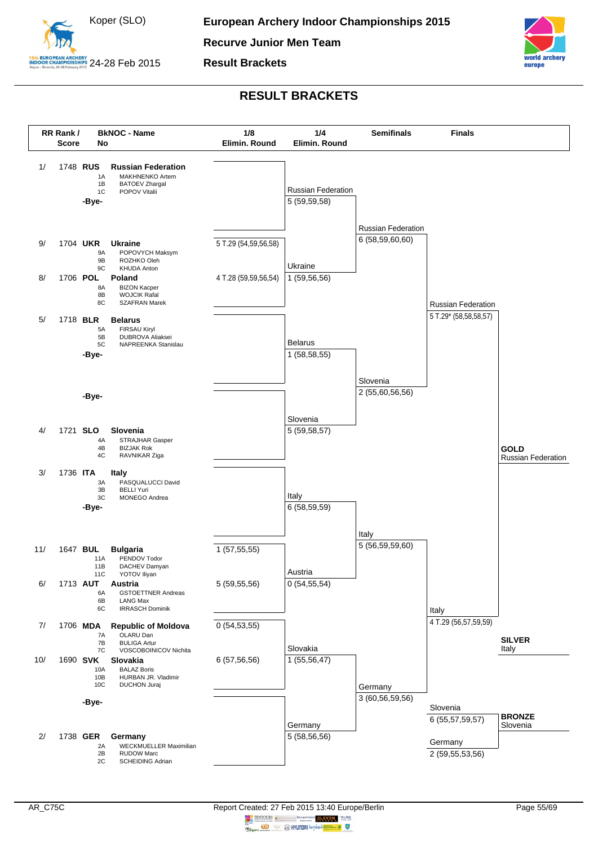

**Recurve Junior Men Team**

**Result Brackets**



<span id="page-55-0"></span>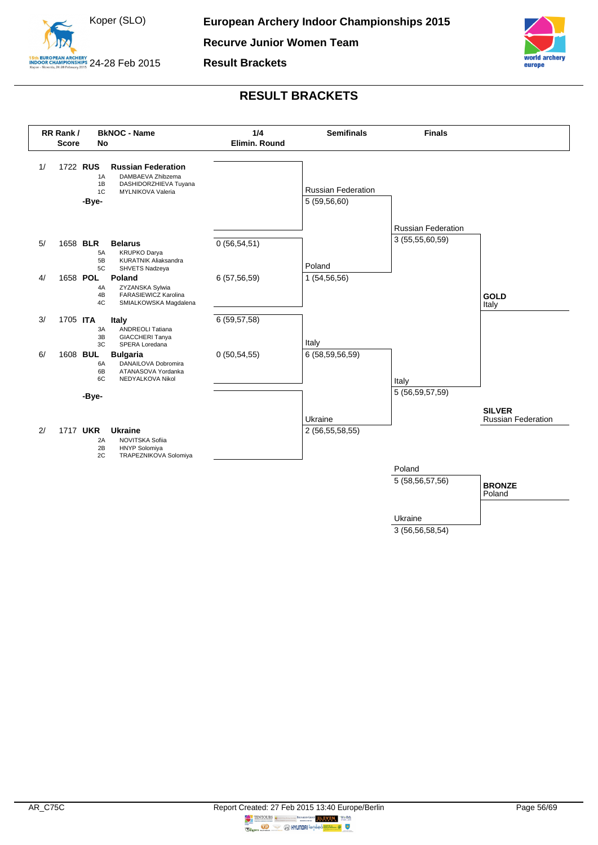

**Recurve Junior Women Team**

**Result Brackets**



<span id="page-56-0"></span>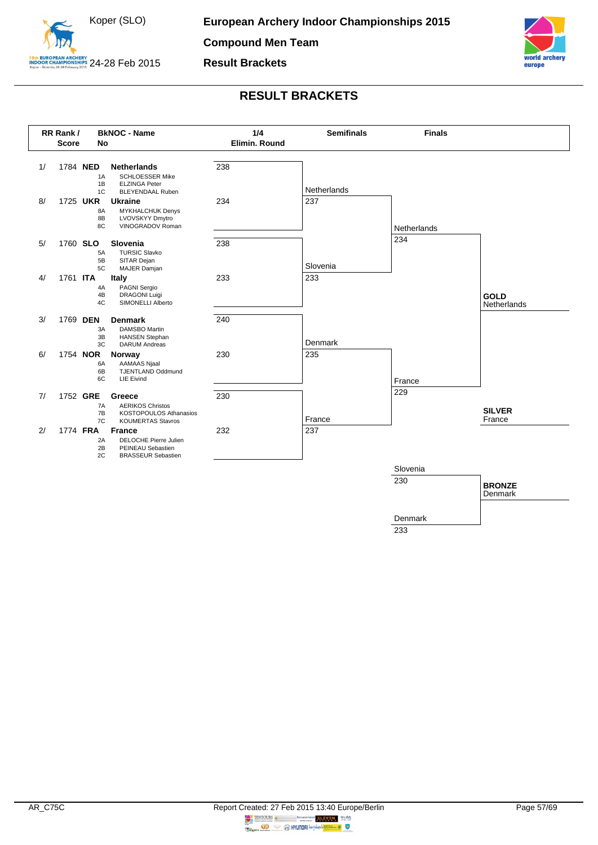



<span id="page-57-0"></span>

233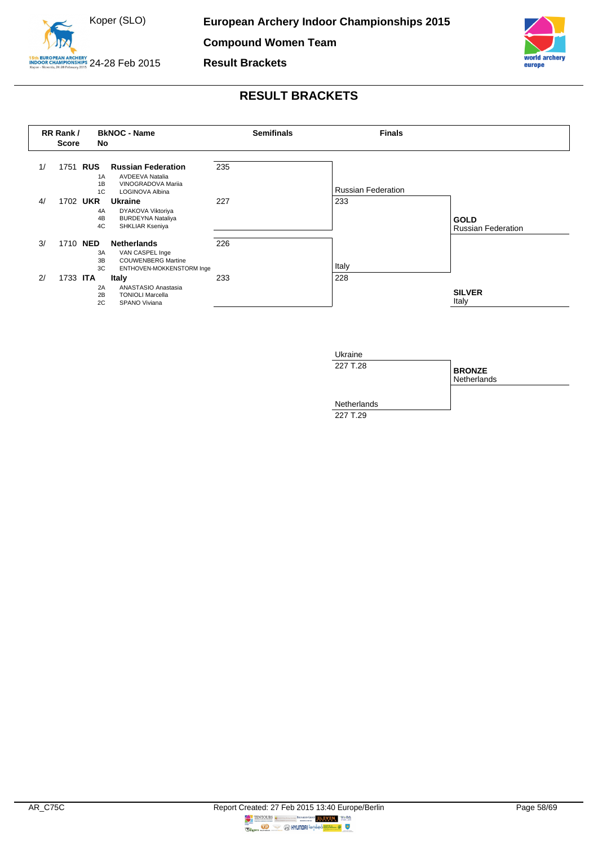

**Compound Women Team**

**Result Brackets**



<span id="page-58-0"></span>

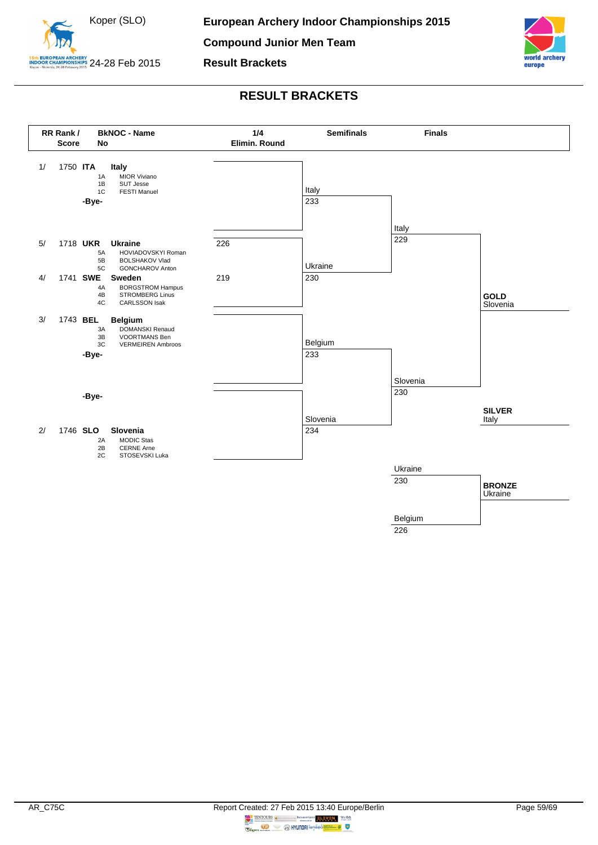



<span id="page-59-0"></span>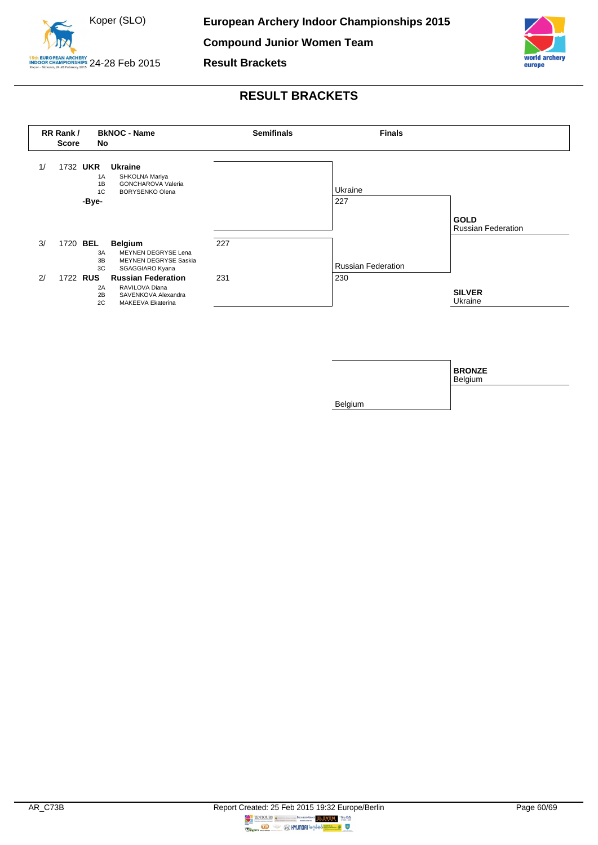

**Result Brackets**



<span id="page-60-0"></span>

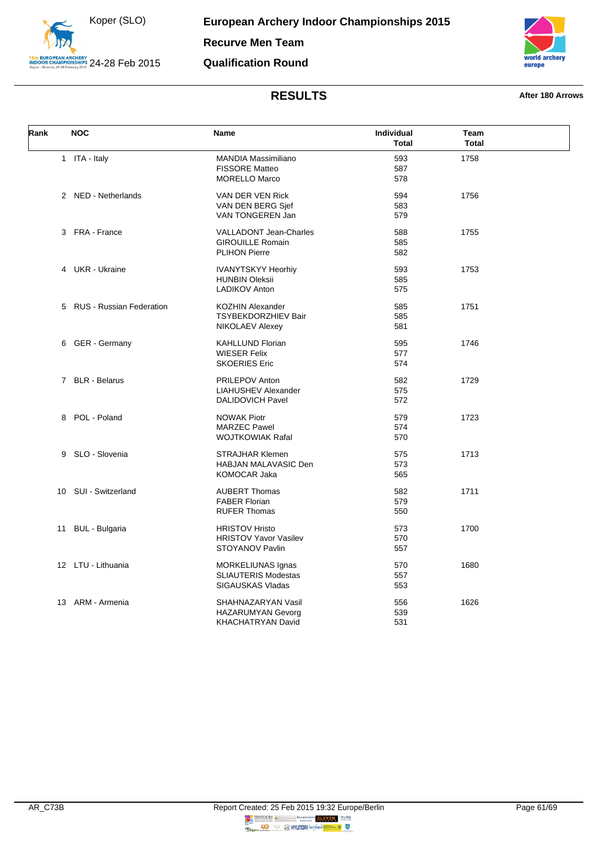



<span id="page-61-0"></span>

| Rank | <b>NOC</b>                 | Name                         | Individual<br><b>Total</b> | Team<br><b>Total</b> |  |
|------|----------------------------|------------------------------|----------------------------|----------------------|--|
|      | 1 ITA - Italy              | <b>MANDIA Massimiliano</b>   | 593                        | 1758                 |  |
|      |                            | <b>FISSORE Matteo</b>        | 587                        |                      |  |
|      |                            | <b>MORELLO Marco</b>         | 578                        |                      |  |
|      | 2 NED - Netherlands        | VAN DER VEN Rick             | 594                        | 1756                 |  |
|      |                            | VAN DEN BERG Sjef            | 583                        |                      |  |
|      |                            | VAN TONGEREN Jan             | 579                        |                      |  |
|      | 3 FRA - France             | VALLADONT Jean-Charles       | 588                        | 1755                 |  |
|      |                            | <b>GIROUILLE Romain</b>      | 585                        |                      |  |
|      |                            | <b>PLIHON Pierre</b>         | 582                        |                      |  |
|      | 4 UKR - Ukraine            | <b>IVANYTSKYY Heorhiy</b>    | 593                        | 1753                 |  |
|      |                            | <b>HUNBIN Oleksii</b>        | 585                        |                      |  |
|      |                            | <b>LADIKOV Anton</b>         | 575                        |                      |  |
|      | 5 RUS - Russian Federation | KOZHIN Alexander             | 585                        | 1751                 |  |
|      |                            | <b>TSYBEKDORZHIEV Bair</b>   | 585                        |                      |  |
|      |                            | NIKOLAEV Alexey              | 581                        |                      |  |
|      | 6 GER - Germany            | <b>KAHLLUND Florian</b>      | 595                        | 1746                 |  |
|      |                            | <b>WIESER Felix</b>          | 577                        |                      |  |
|      |                            | <b>SKOERIES Eric</b>         | 574                        |                      |  |
|      | 7 BLR - Belarus            | PRILEPOV Anton               | 582                        | 1729                 |  |
|      |                            | <b>LIAHUSHEV Alexander</b>   | 575                        |                      |  |
|      |                            | <b>DALIDOVICH Pavel</b>      | 572                        |                      |  |
|      | 8 POL - Poland             | <b>NOWAK Piotr</b>           | 579                        | 1723                 |  |
|      |                            | <b>MARZEC Pawel</b>          | 574                        |                      |  |
|      |                            | <b>WOJTKOWIAK Rafal</b>      | 570                        |                      |  |
|      | 9 SLO - Slovenia           | <b>STRAJHAR Klemen</b>       | 575                        | 1713                 |  |
|      |                            | HABJAN MALAVASIC Den         | 573                        |                      |  |
|      |                            | KOMOCAR Jaka                 | 565                        |                      |  |
|      | 10 SUI - Switzerland       | <b>AUBERT Thomas</b>         | 582                        | 1711                 |  |
|      |                            | <b>FABER Florian</b>         | 579                        |                      |  |
|      |                            | <b>RUFER Thomas</b>          | 550                        |                      |  |
| 11   | <b>BUL</b> - Bulgaria      | <b>HRISTOV Hristo</b>        | 573                        | 1700                 |  |
|      |                            | <b>HRISTOV Yavor Vasilev</b> | 570                        |                      |  |
|      |                            | STOYANOV Pavlin              | 557                        |                      |  |
|      | 12 LTU - Lithuania         | MORKELIUNAS Ignas            | 570                        | 1680                 |  |
|      |                            | SLIAUTERIS Modestas          | 557                        |                      |  |
|      |                            | SIGAUSKAS Vladas             | 553                        |                      |  |
|      | 13 ARM - Armenia           | SHAHNAZARYAN Vasil           | 556                        | 1626                 |  |
|      |                            | <b>HAZARUMYAN Gevorg</b>     | 539                        |                      |  |
|      |                            | KHACHATRYAN David            | 531                        |                      |  |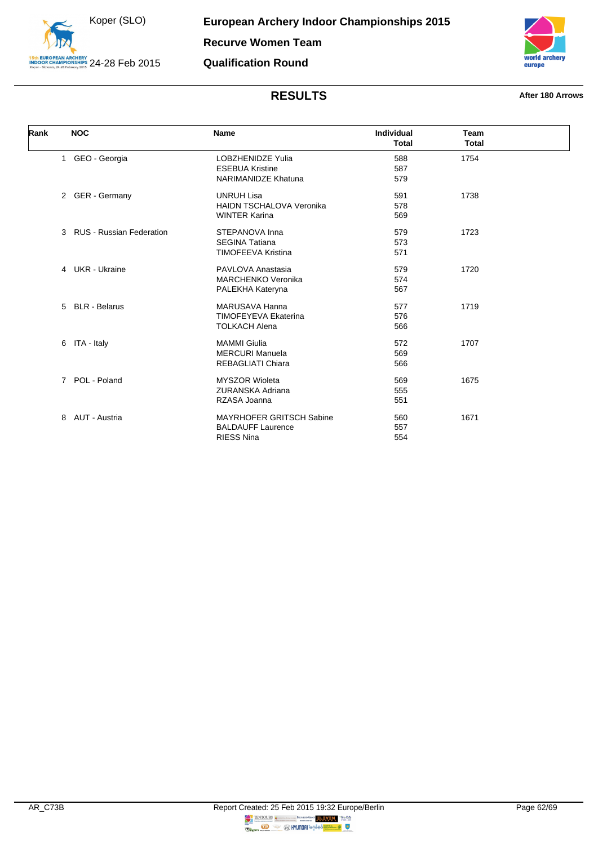



<span id="page-62-0"></span>

| Rank | <b>NOC</b>                                       | <b>Name</b>                                                                      | <b>Individual</b><br><b>Total</b> | Team<br><b>Total</b> |  |
|------|--------------------------------------------------|----------------------------------------------------------------------------------|-----------------------------------|----------------------|--|
|      | 1 GEO - Georgia                                  | <b>LOBZHENIDZE Yulia</b><br><b>ESEBUA Kristine</b><br><b>NARIMANIDZE Khatuna</b> | 588<br>587<br>579                 | 1754                 |  |
|      | 2 GER - Germany                                  | <b>UNRUH Lisa</b><br><b>HAIDN TSCHALOVA Veronika</b><br><b>WINTER Karina</b>     | 591<br>578<br>569                 | 1738                 |  |
|      | <b>RUS - Russian Federation</b><br>$\mathcal{E}$ | STEPANOVA Inna<br><b>SEGINA Tatiana</b><br><b>TIMOFEEVA Kristina</b>             | 579<br>573<br>571                 | 1723                 |  |
|      | 4 UKR - Ukraine                                  | PAVLOVA Anastasia<br><b>MARCHENKO Veronika</b><br>PALEKHA Kateryna               | 579<br>574<br>567                 | 1720                 |  |
|      | 5 BLR - Belarus                                  | <b>MARUSAVA Hanna</b><br><b>TIMOFEYEVA Ekaterina</b><br><b>TOLKACH Alena</b>     | 577<br>576<br>566                 | 1719                 |  |
|      | ITA - Italy<br>6                                 | <b>MAMMI Giulia</b><br><b>MERCURI Manuela</b><br><b>REBAGLIATI Chiara</b>        | 572<br>569<br>566                 | 1707                 |  |
|      | POL - Poland<br>$7^{\circ}$                      | <b>MYSZOR Wioleta</b><br><b>ZURANSKA Adriana</b><br>RZASA Joanna                 | 569<br>555<br>551                 | 1675                 |  |
|      | AUT - Austria<br>8                               | <b>MAYRHOFER GRITSCH Sabine</b><br><b>BALDAUFF Laurence</b><br><b>RIESS Nina</b> | 560<br>557<br>554                 | 1671                 |  |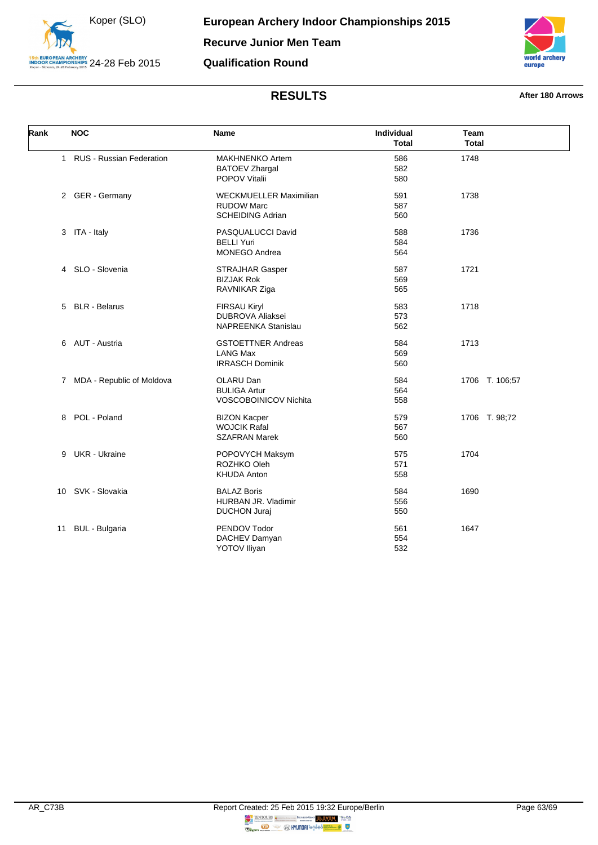



<span id="page-63-0"></span>

| Rank | <b>NOC</b>                  | <b>Name</b>                                                                   | Individual<br><b>Total</b> | Team<br><b>Total</b> |
|------|-----------------------------|-------------------------------------------------------------------------------|----------------------------|----------------------|
|      | 1 RUS - Russian Federation  | <b>MAKHNENKO Artem</b><br><b>BATOEV Zhargal</b><br>POPOV Vitalii              | 586<br>582<br>580          | 1748                 |
|      | 2 GER - Germany             | <b>WECKMUELLER Maximilian</b><br><b>RUDOW Marc</b><br><b>SCHEIDING Adrian</b> | 591<br>587<br>560          | 1738                 |
|      | 3 ITA - Italy               | PASQUALUCCI David<br><b>BELLI Yuri</b><br><b>MONEGO Andrea</b>                | 588<br>584<br>564          | 1736                 |
|      | 4 SLO - Slovenia            | <b>STRAJHAR Gasper</b><br><b>BIZJAK Rok</b><br>RAVNIKAR Ziga                  | 587<br>569<br>565          | 1721                 |
|      | 5 BLR - Belarus             | <b>FIRSAU Kiryl</b><br><b>DUBROVA Aliaksei</b><br><b>NAPREENKA Stanislau</b>  | 583<br>573<br>562          | 1718                 |
|      | 6 AUT - Austria             | <b>GSTOETTNER Andreas</b><br><b>LANG Max</b><br><b>IRRASCH Dominik</b>        | 584<br>569<br>560          | 1713                 |
|      | 7 MDA - Republic of Moldova | OLARU Dan<br><b>BULIGA Artur</b><br>VOSCOBOINICOV Nichita                     | 584<br>564<br>558          | 1706 T. 106;57       |
|      | 8 POL - Poland              | <b>BIZON Kacper</b><br><b>WOJCIK Rafal</b><br><b>SZAFRAN Marek</b>            | 579<br>567<br>560          | 1706 T. 98;72        |
| 9    | <b>UKR</b> - Ukraine        | POPOVYCH Maksym<br>ROZHKO Oleh<br><b>KHUDA Anton</b>                          | 575<br>571<br>558          | 1704                 |
|      | 10 SVK - Slovakia           | <b>BALAZ Boris</b><br>HURBAN JR. Vladimir<br><b>DUCHON Juraj</b>              | 584<br>556<br>550          | 1690                 |
| 11   | <b>BUL - Bulgaria</b>       | PENDOV Todor<br>DACHEV Damyan<br><b>YOTOV Iliyan</b>                          | 561<br>554<br>532          | 1647                 |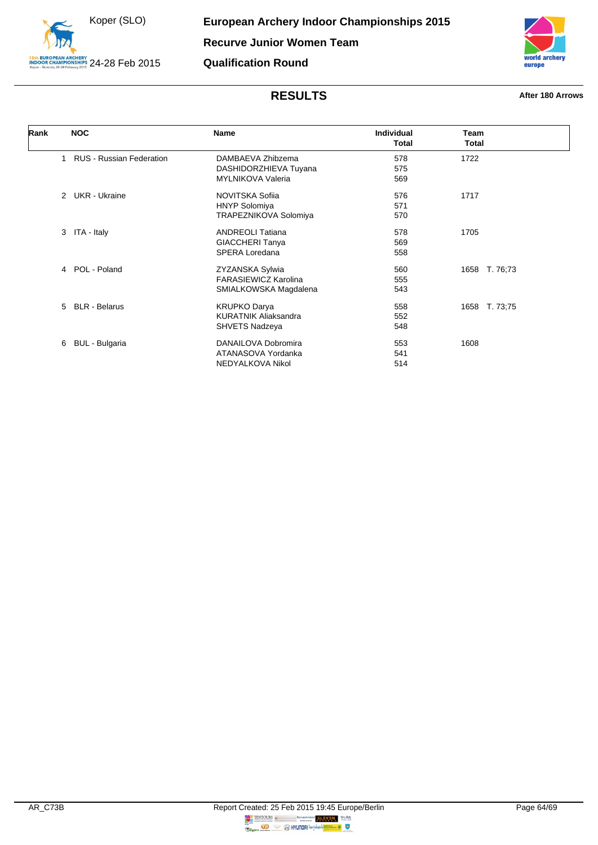



<span id="page-64-0"></span>

| Rank | <b>NOC</b>                            | Name                        | <b>Individual</b><br><b>Total</b> | <b>Team</b><br><b>Total</b> |
|------|---------------------------------------|-----------------------------|-----------------------------------|-----------------------------|
|      | <b>RUS - Russian Federation</b>       | DAMBAEVA Zhibzema           | 578                               | 1722                        |
|      |                                       | DASHIDORZHIEVA Tuyana       | 575                               |                             |
|      |                                       | <b>MYLNIKOVA Valeria</b>    | 569                               |                             |
|      | <b>UKR</b> - Ukraine<br>$\mathcal{P}$ | NOVITSKA Sofija             | 576                               | 1717                        |
|      |                                       | <b>HNYP Solomiya</b>        | 571                               |                             |
|      |                                       | TRAPEZNIKOVA Solomiya       | 570                               |                             |
|      | ITA - Italy<br>3                      | <b>ANDREOLI Tatiana</b>     | 578                               | 1705                        |
|      |                                       | <b>GIACCHERI Tanya</b>      | 569                               |                             |
|      |                                       | SPERA Loredana              | 558                               |                             |
|      | 4 POL - Poland                        | ZYZANSKA Sylwia             | 560                               | 1658 T. 76,73               |
|      |                                       | FARASIEWICZ Karolina        | 555                               |                             |
|      |                                       | SMIALKOWSKA Magdalena       | 543                               |                             |
|      | 5 BLR - Belarus                       | <b>KRUPKO Darya</b>         | 558                               | 1658 T. 73;75               |
|      |                                       | <b>KURATNIK Aliaksandra</b> | 552                               |                             |
|      |                                       | SHVETS Nadzeya              | 548                               |                             |
|      | BUL - Bulgaria<br>6                   | DANAILOVA Dobromira         | 553                               | 1608                        |
|      |                                       | ATANASOVA Yordanka          | 541                               |                             |
|      |                                       | NEDYALKOVA Nikol            | 514                               |                             |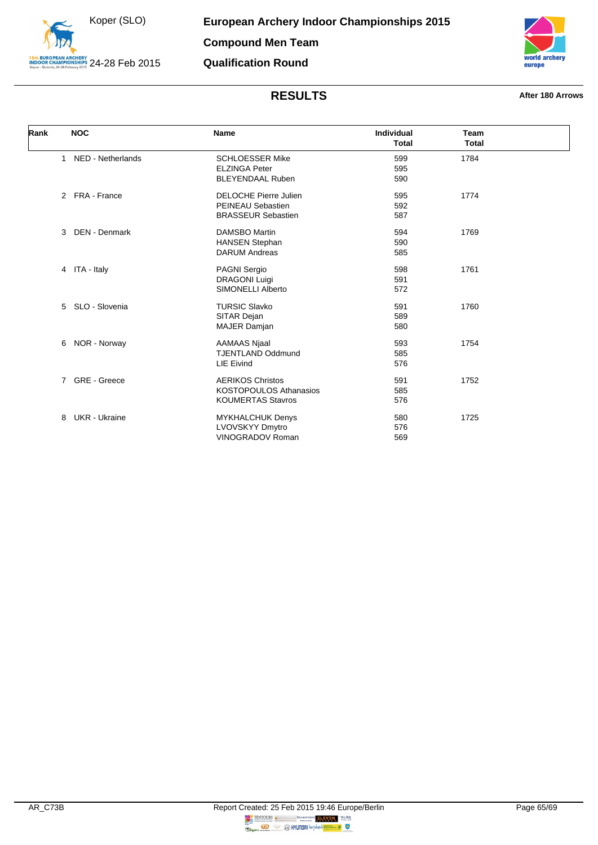



<span id="page-65-0"></span>

| Rank | <b>NOC</b>                        | <b>Name</b>                                                                          | Individual<br><b>Total</b> | Team<br><b>Total</b> |
|------|-----------------------------------|--------------------------------------------------------------------------------------|----------------------------|----------------------|
|      | NED - Netherlands<br>$\mathbf{1}$ | <b>SCHLOESSER Mike</b><br><b>ELZINGA Peter</b><br><b>BLEYENDAAL Ruben</b>            | 599<br>595<br>590          | 1784                 |
|      | 2 FRA - France                    | <b>DELOCHE Pierre Julien</b><br>PEINEAU Sebastien<br><b>BRASSEUR Sebastien</b>       | 595<br>592<br>587          | 1774                 |
|      | <b>DEN - Denmark</b><br>3         | <b>DAMSBO Martin</b><br><b>HANSEN Stephan</b><br><b>DARUM Andreas</b>                | 594<br>590<br>585          | 1769                 |
|      | 4 ITA - Italy                     | <b>PAGNI Sergio</b><br><b>DRAGONI Luigi</b><br>SIMONELLI Alberto                     | 598<br>591<br>572          | 1761                 |
|      | SLO - Slovenia<br>5               | <b>TURSIC Slavko</b><br>SITAR Dejan<br><b>MAJER Damjan</b>                           | 591<br>589<br>580          | 1760                 |
|      | NOR - Norway<br>6                 | <b>AAMAAS Njaal</b><br><b>TJENTLAND Oddmund</b><br><b>LIE Eivind</b>                 | 593<br>585<br>576          | 1754                 |
|      | GRE - Greece<br>$7^{\circ}$       | <b>AERIKOS Christos</b><br><b>KOSTOPOULOS Athanasios</b><br><b>KOUMERTAS Stavros</b> | 591<br>585<br>576          | 1752                 |
|      | <b>UKR</b> - Ukraine<br>8         | <b>MYKHALCHUK Denys</b><br><b>LVOVSKYY Dmytro</b><br>VINOGRADOV Roman                | 580<br>576<br>569          | 1725                 |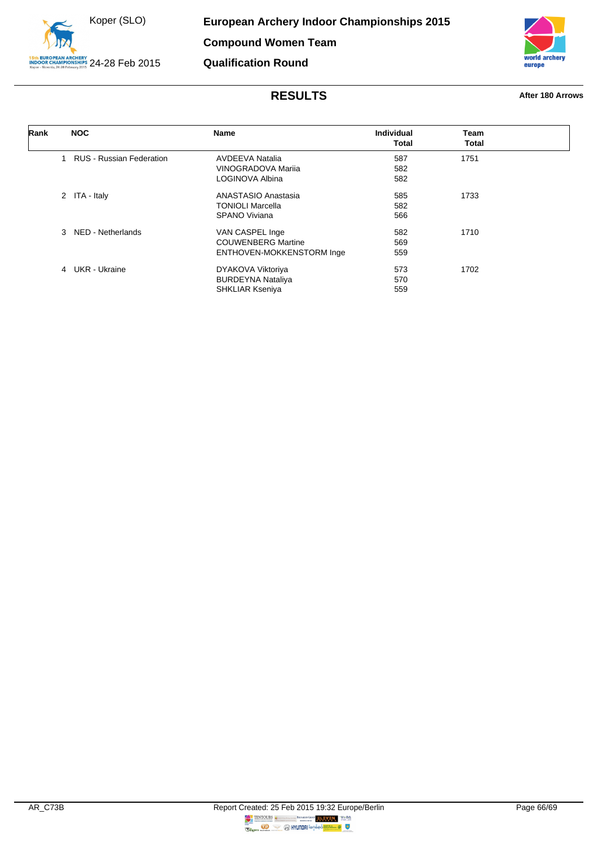



<span id="page-66-0"></span>

| Rank | <b>NOC</b>                         | Name                      | Individual   | Team         |
|------|------------------------------------|---------------------------|--------------|--------------|
|      |                                    |                           | <b>Total</b> | <b>Total</b> |
|      | <b>RUS - Russian Federation</b>    | <b>AVDEEVA Natalia</b>    | 587          | 1751         |
|      |                                    | VINOGRADOVA Marija        | 582          |              |
|      |                                    | LOGINOVA Albina           | 582          |              |
|      | 2 ITA - Italy                      | ANASTASIO Anastasia       | 585          | 1733         |
|      |                                    | <b>TONIOLI Marcella</b>   | 582          |              |
|      |                                    | SPANO Viviana             | 566          |              |
|      | NED - Netherlands<br>$\mathcal{R}$ | VAN CASPEL Inge           | 582          | 1710         |
|      |                                    | <b>COUWENBERG Martine</b> | 569          |              |
|      |                                    | ENTHOVEN-MOKKENSTORM Inge | 559          |              |
|      | 4 UKR - Ukraine                    | DYAKOVA Viktoriya         | 573          | 1702         |
|      |                                    | <b>BURDEYNA Nataliya</b>  | 570          |              |
|      |                                    | <b>SHKLIAR Kseniya</b>    | 559          |              |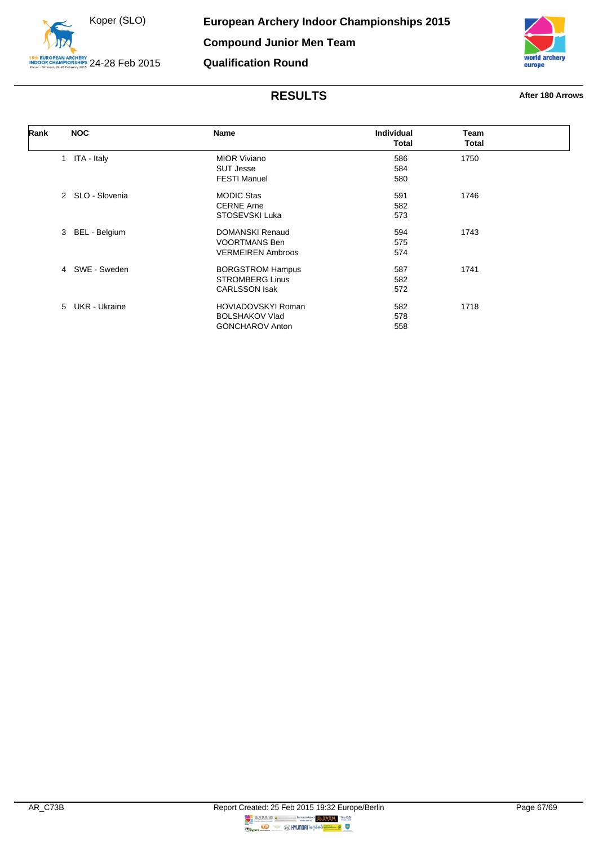



<span id="page-67-0"></span>

| Rank | <b>NOC</b>       | <b>Name</b>               | <b>Individual</b> | <b>Team</b> |  |
|------|------------------|---------------------------|-------------------|-------------|--|
|      |                  |                           | <b>Total</b>      | Total       |  |
|      | 1 ITA - Italy    | <b>MIOR Viviano</b>       | 586               | 1750        |  |
|      |                  | <b>SUT Jesse</b>          | 584               |             |  |
|      |                  | <b>FESTI Manuel</b>       | 580               |             |  |
|      | 2 SLO - Slovenia | <b>MODIC Stas</b>         | 591               | 1746        |  |
|      |                  | <b>CERNE Arne</b>         | 582               |             |  |
|      |                  | STOSEVSKI Luka            | 573               |             |  |
|      | 3 BEL - Belgium  | DOMANSKI Renaud           | 594               | 1743        |  |
|      |                  | <b>VOORTMANS Ben</b>      | 575               |             |  |
|      |                  | <b>VERMEIREN Ambroos</b>  | 574               |             |  |
|      | 4 SWE - Sweden   | <b>BORGSTROM Hampus</b>   | 587               | 1741        |  |
|      |                  | <b>STROMBERG Linus</b>    | 582               |             |  |
|      |                  | <b>CARLSSON Isak</b>      | 572               |             |  |
|      | 5 UKR - Ukraine  | <b>HOVIADOVSKYI Roman</b> | 582               | 1718        |  |
|      |                  | <b>BOLSHAKOV Vlad</b>     | 578               |             |  |
|      |                  | <b>GONCHAROV Anton</b>    | 558               |             |  |